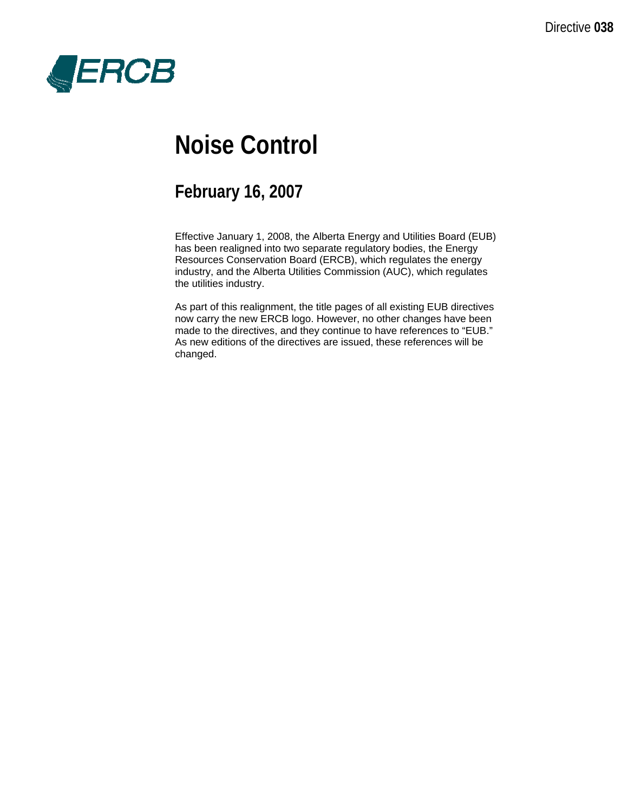

# **Noise Control**

# **February 16, 2007**

Effective January 1, 2008, the Alberta Energy and Utilities Board (EUB) has been realigned into two separate regulatory bodies, the Energy Resources Conservation Board (ERCB), which regulates the energy industry, and the Alberta Utilities Commission (AUC), which regulates the utilities industry.

As part of this realignment, the title pages of all existing EUB directives now carry the new ERCB logo. However, no other changes have been made to the directives, and they continue to have references to "EUB." As new editions of the directives are issued, these references will be changed.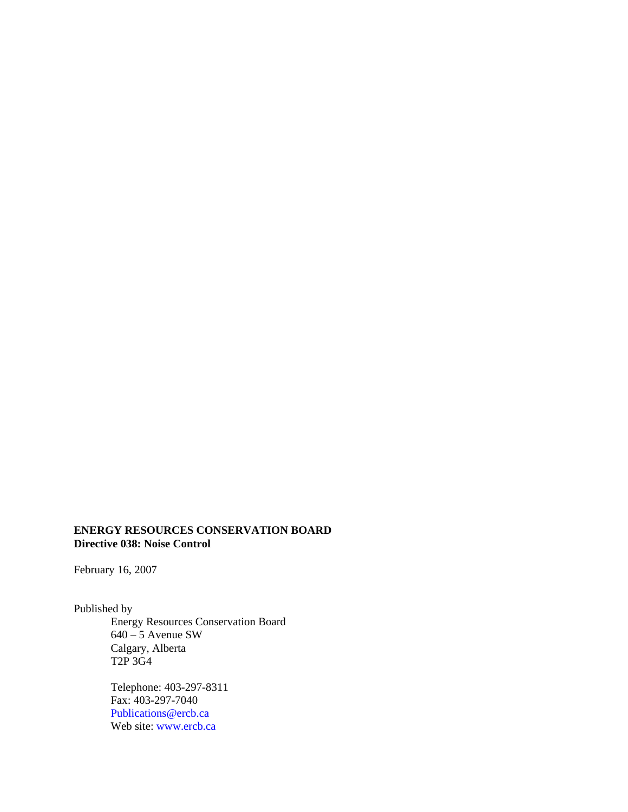#### **ENERGY RESOURCES CONSERVATION BOARD Directive 038: Noise Control**

February 16, 2007

Published by

Energy Resources Conservation Board 640 – 5 Avenue SW Calgary, Alberta T2P 3G4

Telephone: 403-297-8311 Fax: 403-297-7040 [Publications@ercb.ca](mailto:Publications@ercb.ca)  Web site: [www.ercb.ca](http://www.ercb.ca/)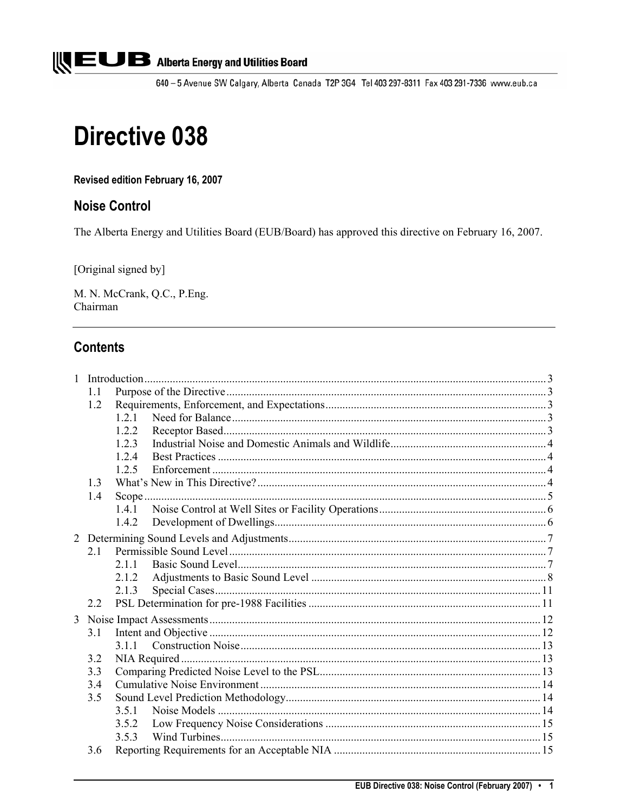

640 - 5 Avenue SW Calgary, Alberta Canada T2P 3G4 Tel 403 297-8311 Fax 403 291-7336 www.eub.ca

# **Directive 038**

Revised edition February 16, 2007

# **Noise Control**

The Alberta Energy and Utilities Board (EUB/Board) has approved this directive on February 16, 2007.

[Original signed by]

M. N. McCrank, Q.C., P.Eng. Chairman

# **Contents**

| 1              |                |       |  |  |  |
|----------------|----------------|-------|--|--|--|
|                | 1.1            |       |  |  |  |
|                | 1.2            |       |  |  |  |
|                |                | 1.2.1 |  |  |  |
|                |                | 1.2.2 |  |  |  |
|                |                | 1.2.3 |  |  |  |
|                |                | 12.4  |  |  |  |
|                |                | 1.2.5 |  |  |  |
|                | 1 <sup>3</sup> |       |  |  |  |
|                | 1.4            |       |  |  |  |
|                |                | 1.4.1 |  |  |  |
|                |                | 1.4.2 |  |  |  |
| $\overline{2}$ |                |       |  |  |  |
|                | 21             |       |  |  |  |
|                |                | 2 1 1 |  |  |  |
|                |                | 212   |  |  |  |
|                |                | 2.1.3 |  |  |  |
|                | 2.2            |       |  |  |  |
| 3              |                |       |  |  |  |
|                | 3.1            |       |  |  |  |
|                |                |       |  |  |  |
|                | 3.2            |       |  |  |  |
| 3.3            |                |       |  |  |  |
|                | 34             |       |  |  |  |
|                | 3.5            |       |  |  |  |
|                |                | 3.51  |  |  |  |
|                |                | 3.5.2 |  |  |  |
|                |                | 3.5.3 |  |  |  |
|                | 3.6            |       |  |  |  |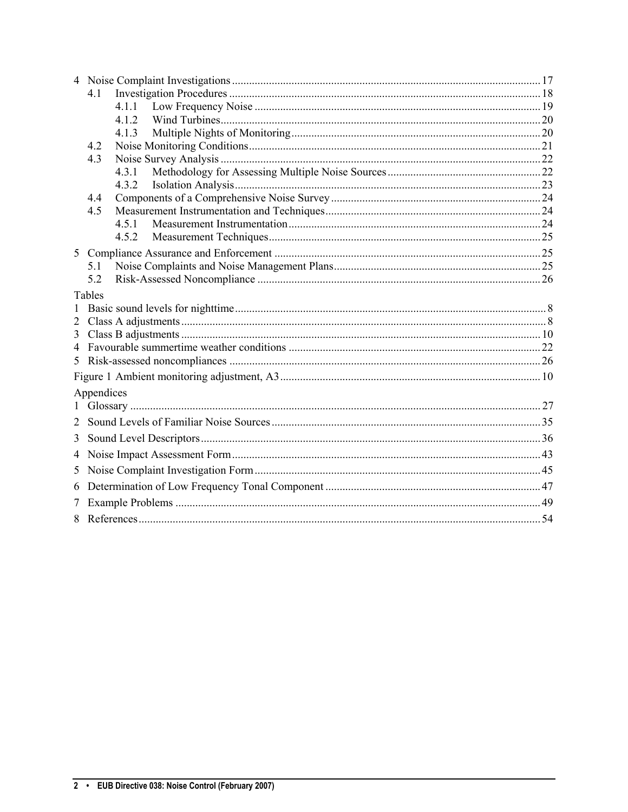|                | 41             |  |  |
|----------------|----------------|--|--|
|                | 4.1.1          |  |  |
|                | 4 1 2          |  |  |
|                | 4.1.3          |  |  |
|                | 42             |  |  |
|                | 4.3            |  |  |
|                | 4.3.1<br>4.3.2 |  |  |
|                | 4.4            |  |  |
|                | 4.5            |  |  |
|                | 4.5.1          |  |  |
|                |                |  |  |
| 5 <sup>1</sup> |                |  |  |
|                | 5.1            |  |  |
|                | 5.2            |  |  |
|                | Tables         |  |  |
|                |                |  |  |
| 2              |                |  |  |
| 3              |                |  |  |
| 4              |                |  |  |
| 5              |                |  |  |
|                |                |  |  |
|                |                |  |  |
|                | Appendices     |  |  |
| $\mathbf{1}$   |                |  |  |
| 2              |                |  |  |
| 3              |                |  |  |
| 4              |                |  |  |
| 5              |                |  |  |
| 6              |                |  |  |
| 7              |                |  |  |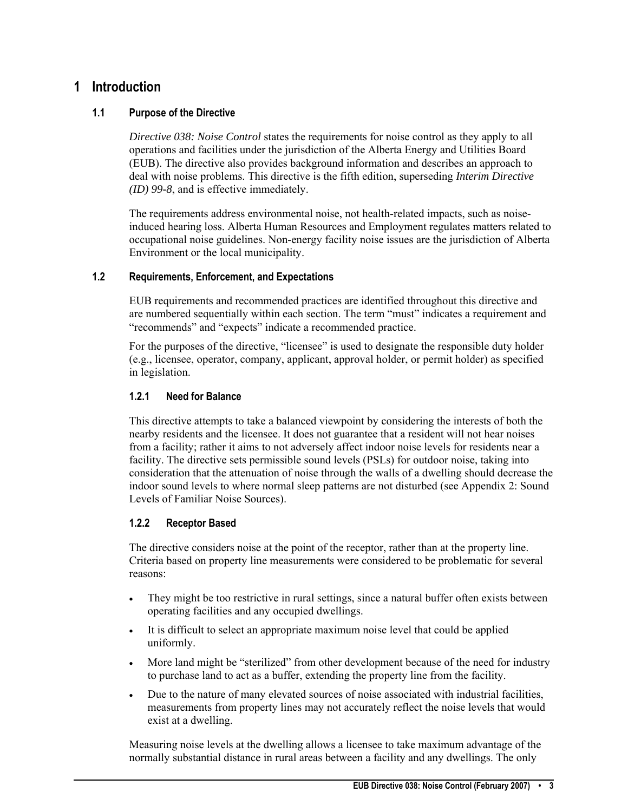# <span id="page-4-0"></span>**1 Introduction**

# **1.1 Purpose of the Directive**

*Directive 038: Noise Control* states the requirements for noise control as they apply to all operations and facilities under the jurisdiction of the Alberta Energy and Utilities Board (EUB). The directive also provides background information and describes an approach to deal with noise problems. This directive is the fifth edition, superseding *Interim Directive (ID) 99-8*, and is effective immediately.

The requirements address environmental noise, not health-related impacts, such as noiseinduced hearing loss. Alberta Human Resources and Employment regulates matters related to occupational noise guidelines. Non-energy facility noise issues are the jurisdiction of Alberta Environment or the local municipality.

# **1.2 Requirements, Enforcement, and Expectations**

EUB requirements and recommended practices are identified throughout this directive and are numbered sequentially within each section. The term "must" indicates a requirement and "recommends" and "expects" indicate a recommended practice.

For the purposes of the directive, "licensee" is used to designate the responsible duty holder (e.g., licensee, operator, company, applicant, approval holder, or permit holder) as specified in legislation.

# **1.2.1 Need for Balance**

This directive attempts to take a balanced viewpoint by considering the interests of both the nearby residents and the licensee. It does not guarantee that a resident will not hear noises from a facility; rather it aims to not adversely affect indoor noise levels for residents near a facility. The directive sets permissible sound levels (PSLs) for outdoor noise, taking into consideration that the attenuation of noise through the walls of a dwelling should decrease the indoor sound levels to where normal sleep patterns are not disturbed (see Appendix 2: Sound Levels of Familiar Noise Sources).

# **1.2.2 Receptor Based**

The directive considers noise at the point of the receptor, rather than at the property line. Criteria based on property line measurements were considered to be problematic for several reasons:

- They might be too restrictive in rural settings, since a natural buffer often exists between operating facilities and any occupied dwellings.
- It is difficult to select an appropriate maximum noise level that could be applied uniformly.
- More land might be "sterilized" from other development because of the need for industry to purchase land to act as a buffer, extending the property line from the facility.
- Due to the nature of many elevated sources of noise associated with industrial facilities, measurements from property lines may not accurately reflect the noise levels that would exist at a dwelling.

Measuring noise levels at the dwelling allows a licensee to take maximum advantage of the normally substantial distance in rural areas between a facility and any dwellings. The only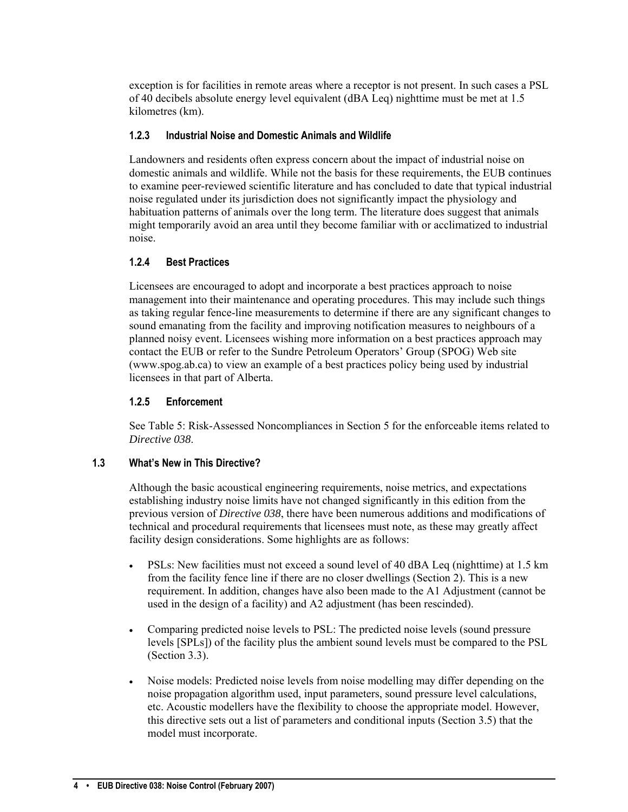<span id="page-5-0"></span>exception is for facilities in remote areas where a receptor is not present. In such cases a PSL of 40 decibels absolute energy level equivalent (dBA Leq) nighttime must be met at 1.5 kilometres (km).

# **1.2.3 Industrial Noise and Domestic Animals and Wildlife**

Landowners and residents often express concern about the impact of industrial noise on domestic animals and wildlife. While not the basis for these requirements, the EUB continues to examine peer-reviewed scientific literature and has concluded to date that typical industrial noise regulated under its jurisdiction does not significantly impact the physiology and habituation patterns of animals over the long term. The literature does suggest that animals might temporarily avoid an area until they become familiar with or acclimatized to industrial noise.

# **1.2.4 Best Practices**

Licensees are encouraged to adopt and incorporate a best practices approach to noise management into their maintenance and operating procedures. This may include such things as taking regular fence-line measurements to determine if there are any significant changes to sound emanating from the facility and improving notification measures to neighbours of a planned noisy event. Licensees wishing more information on a best practices approach may contact the EUB or refer to the Sundre Petroleum Operators' Group (SPOG) Web site (www.spog.ab.ca) to view an example of a best practices policy being used by industrial licensees in that part of Alberta.

# **1.2.5 Enforcement**

See Table 5: Risk-Assessed Noncompliances in Section 5 for the enforceable items related to *Directive 038*.

# **1.3 What's New in This Directive?**

Although the basic acoustical engineering requirements, noise metrics, and expectations establishing industry noise limits have not changed significantly in this edition from the previous version of *Directive 038*, there have been numerous additions and modifications of technical and procedural requirements that licensees must note, as these may greatly affect facility design considerations. Some highlights are as follows:

- PSLs: New facilities must not exceed a sound level of 40 dBA Leq (nighttime) at 1.5 km from the facility fence line if there are no closer dwellings (Section 2). This is a new requirement. In addition, changes have also been made to the A1 Adjustment (cannot be used in the design of a facility) and A2 adjustment (has been rescinded).
- Comparing predicted noise levels to PSL: The predicted noise levels (sound pressure levels [SPLs]) of the facility plus the ambient sound levels must be compared to the PSL (Section 3.3).
- Noise models: Predicted noise levels from noise modelling may differ depending on the noise propagation algorithm used, input parameters, sound pressure level calculations, etc. Acoustic modellers have the flexibility to choose the appropriate model. However, this directive sets out a list of parameters and conditional inputs (Section 3.5) that the model must incorporate.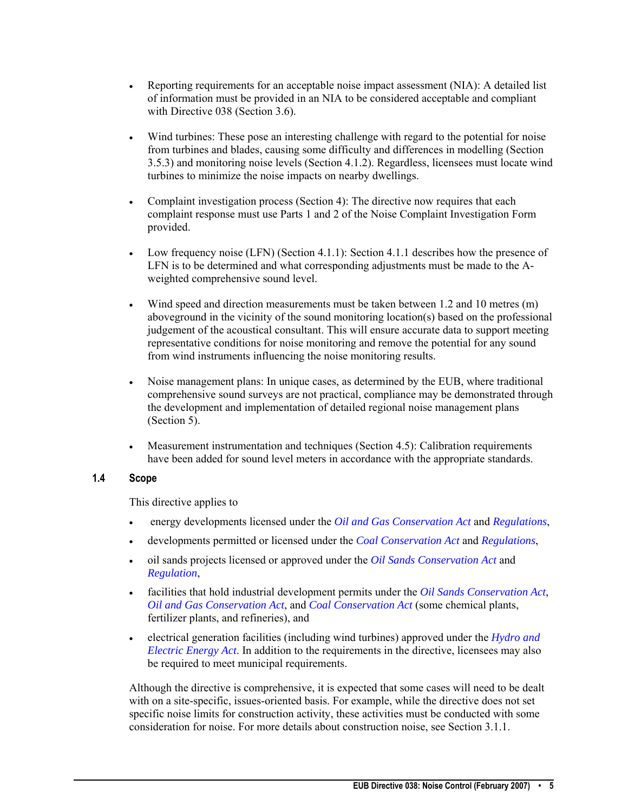- <span id="page-6-0"></span>• Reporting requirements for an acceptable noise impact assessment (NIA): A detailed list of information must be provided in an NIA to be considered acceptable and compliant with Directive 038 (Section 3.6).
- Wind turbines: These pose an interesting challenge with regard to the potential for noise from turbines and blades, causing some difficulty and differences in modelling (Section 3.5.3) and monitoring noise levels (Section 4.1.2). Regardless, licensees must locate wind turbines to minimize the noise impacts on nearby dwellings.
- Complaint investigation process (Section 4): The directive now requires that each complaint response must use Parts 1 and 2 of the Noise Complaint Investigation Form provided.
- Low frequency noise  $(LFN)$  (Section 4.1.1): Section 4.1.1 describes how the presence of LFN is to be determined and what corresponding adjustments must be made to the Aweighted comprehensive sound level.
- Wind speed and direction measurements must be taken between 1.2 and 10 metres (m) aboveground in the vicinity of the sound monitoring location(s) based on the professional judgement of the acoustical consultant. This will ensure accurate data to support meeting representative conditions for noise monitoring and remove the potential for any sound from wind instruments influencing the noise monitoring results.
- Noise management plans: In unique cases, as determined by the EUB, where traditional comprehensive sound surveys are not practical, compliance may be demonstrated through the development and implementation of detailed regional noise management plans (Section 5).
- Measurement instrumentation and techniques (Section 4.5): Calibration requirements have been added for sound level meters in accordance with the appropriate standards.

# **1.4 Scope**

This directive applies to

- energy developments licensed under the *[Oil and Gas Conservation Act](http://www.eub.ca/docs/requirements/actsregs/ogc_act.pdf)* and *[Regulations](http://www.eub.ca/docs/requirements/actsregs/ogc_reg_151_71_ogcr.pdf)*,
- developments permitted or licensed under the *[Coal Conservation Act](http://www.eub.ca/docs/requirements/actsregs/cc_act.pdf)* and *[Regulations](http://www.eub.ca/docs/requirements/actsregs/cc_reg_270_81.pdf)*,
- oil sands projects licensed or approved under the *[Oil Sands Conservation Act](http://www.eub.ca/docs/requirements/actsregs/osc_act.pdf)* and *[Regulation](http://www.eub.ca/docs/requirements/actsregs/osc_reg_076_88_oil_sands.pdf)*,
- facilities that hold industrial development permits under the *[Oil Sands Conservation](http://www.eub.ca/docs/requirements/actsregs/osc_act.pdf) Act*, *[Oil and Gas Conservation Act](http://www.eub.ca/docs/requirements/actsregs/ogc_act.pdf)*, and *[Coal Conservation Act](http://www.eub.ca/docs/requirements/actsregs/cc_act.pdf)* (some chemical plants, fertilizer plants, and refineries), and
- electrical generation facilities (including wind turbines) approved under the *[Hydro and](http://www.eub.ca/docs/requirements/actsregs/hee_act.pdf)  [Electric Energy Act](http://www.eub.ca/docs/requirements/actsregs/hee_act.pdf)*. In addition to the requirements in the directive, licensees may also be required to meet municipal requirements.

Although the directive is comprehensive, it is expected that some cases will need to be dealt with on a site-specific, issues-oriented basis. For example, while the directive does not set specific noise limits for construction activity, these activities must be conducted with some consideration for noise. For more details about construction noise, see Section 3.1.1.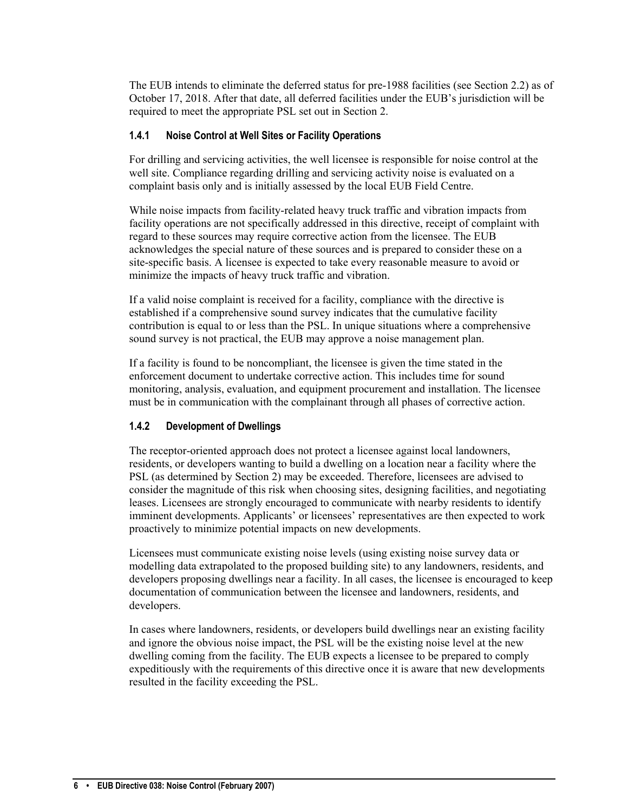<span id="page-7-0"></span>The EUB intends to eliminate the deferred status for pre-1988 facilities (see Section 2.2) as of October 17, 2018. After that date, all deferred facilities under the EUB's jurisdiction will be required to meet the appropriate PSL set out in Section 2.

# **1.4.1 Noise Control at Well Sites or Facility Operations**

For drilling and servicing activities, the well licensee is responsible for noise control at the well site. Compliance regarding drilling and servicing activity noise is evaluated on a complaint basis only and is initially assessed by the local EUB Field Centre.

While noise impacts from facility-related heavy truck traffic and vibration impacts from facility operations are not specifically addressed in this directive, receipt of complaint with regard to these sources may require corrective action from the licensee. The EUB acknowledges the special nature of these sources and is prepared to consider these on a site-specific basis. A licensee is expected to take every reasonable measure to avoid or minimize the impacts of heavy truck traffic and vibration.

If a valid noise complaint is received for a facility, compliance with the directive is established if a comprehensive sound survey indicates that the cumulative facility contribution is equal to or less than the PSL. In unique situations where a comprehensive sound survey is not practical, the EUB may approve a noise management plan.

If a facility is found to be noncompliant, the licensee is given the time stated in the enforcement document to undertake corrective action. This includes time for sound monitoring, analysis, evaluation, and equipment procurement and installation. The licensee must be in communication with the complainant through all phases of corrective action.

# **1.4.2 Development of Dwellings**

The receptor-oriented approach does not protect a licensee against local landowners, residents, or developers wanting to build a dwelling on a location near a facility where the PSL (as determined by Section 2) may be exceeded. Therefore, licensees are advised to consider the magnitude of this risk when choosing sites, designing facilities, and negotiating leases. Licensees are strongly encouraged to communicate with nearby residents to identify imminent developments. Applicants' or licensees' representatives are then expected to work proactively to minimize potential impacts on new developments.

Licensees must communicate existing noise levels (using existing noise survey data or modelling data extrapolated to the proposed building site) to any landowners, residents, and developers proposing dwellings near a facility. In all cases, the licensee is encouraged to keep documentation of communication between the licensee and landowners, residents, and developers.

In cases where landowners, residents, or developers build dwellings near an existing facility and ignore the obvious noise impact, the PSL will be the existing noise level at the new dwelling coming from the facility. The EUB expects a licensee to be prepared to comply expeditiously with the requirements of this directive once it is aware that new developments resulted in the facility exceeding the PSL.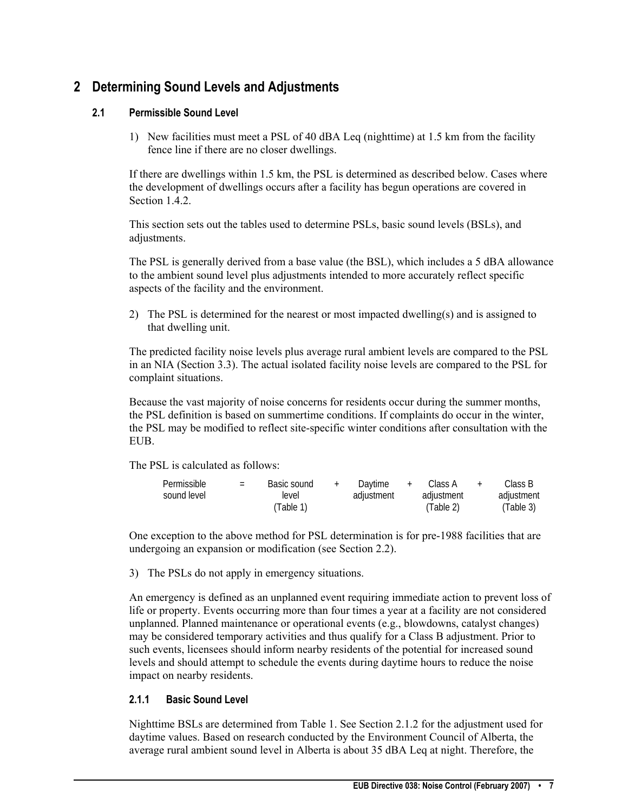# <span id="page-8-0"></span>**2 Determining Sound Levels and Adjustments**

# **2.1 Permissible Sound Level**

1) New facilities must meet a PSL of 40 dBA Leq (nighttime) at 1.5 km from the facility fence line if there are no closer dwellings.

If there are dwellings within 1.5 km, the PSL is determined as described below. Cases where the development of dwellings occurs after a facility has begun operations are covered in Section 1.4.2.

This section sets out the tables used to determine PSLs, basic sound levels (BSLs), and adjustments.

The PSL is generally derived from a base value (the BSL), which includes a 5 dBA allowance to the ambient sound level plus adjustments intended to more accurately reflect specific aspects of the facility and the environment.

2) The PSL is determined for the nearest or most impacted dwelling(s) and is assigned to that dwelling unit.

The predicted facility noise levels plus average rural ambient levels are compared to the PSL in an NIA (Section 3.3). The actual isolated facility noise levels are compared to the PSL for complaint situations.

Because the vast majority of noise concerns for residents occur during the summer months, the PSL definition is based on summertime conditions. If complaints do occur in the winter, the PSL may be modified to reflect site-specific winter conditions after consultation with the EUB.

The PSL is calculated as follows:

| Permissible | $=$ | Basic sound | $^{+}$ | Daytime    | Class A    | Class B    |
|-------------|-----|-------------|--------|------------|------------|------------|
| sound level |     | level       |        | adiustment | adjustment | adjustment |
|             |     | (Table 1)   |        |            | (Table 2)  | (Table 3)  |

One exception to the above method for PSL determination is for pre-1988 facilities that are undergoing an expansion or modification (see Section 2.2).

3) The PSLs do not apply in emergency situations.

An emergency is defined as an unplanned event requiring immediate action to prevent loss of life or property. Events occurring more than four times a year at a facility are not considered unplanned. Planned maintenance or operational events (e.g., blowdowns, catalyst changes) may be considered temporary activities and thus qualify for a Class B adjustment. Prior to such events, licensees should inform nearby residents of the potential for increased sound levels and should attempt to schedule the events during daytime hours to reduce the noise impact on nearby residents.

# **2.1.1 Basic Sound Level**

Nighttime BSLs are determined from Table 1. See Section 2.1.2 for the adjustment used for daytime values. Based on research conducted by the Environment Council of Alberta, the average rural ambient sound level in Alberta is about 35 dBA Leq at night. Therefore, the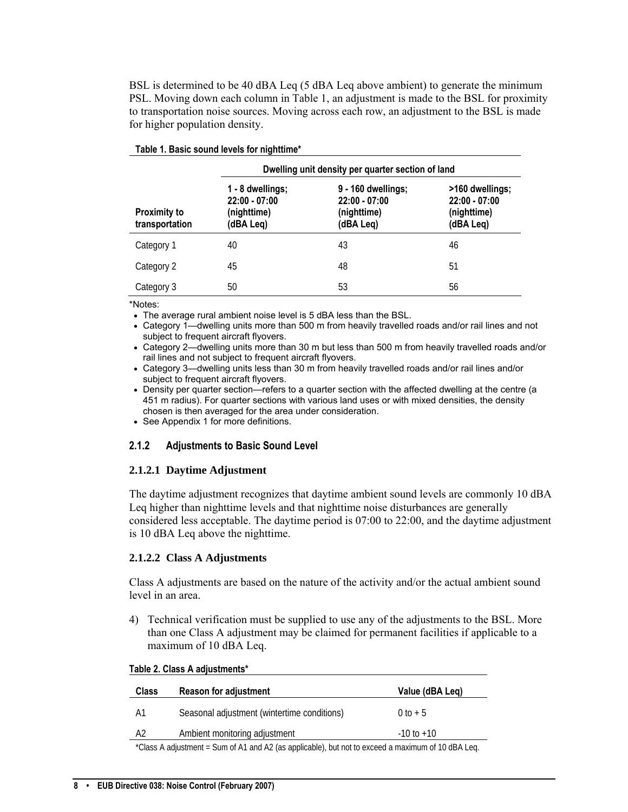<span id="page-9-0"></span>BSL is determined to be 40 dBA Leq (5 dBA Leq above ambient) to generate the minimum PSL. Moving down each column in Table 1, an adjustment is made to the BSL for proximity to transportation noise sources. Moving across each row, an adjustment to the BSL is made for higher population density.

|                                       | Dwelling unit density per quarter section of land               |                                                                   |                                                                |  |  |
|---------------------------------------|-----------------------------------------------------------------|-------------------------------------------------------------------|----------------------------------------------------------------|--|--|
| <b>Proximity to</b><br>transportation | 1 - 8 dwellings;<br>$22:00 - 07:00$<br>(nighttime)<br>(dBA Leq) | 9 - 160 dwellings;<br>$22:00 - 07:00$<br>(nighttime)<br>(dBA Leq) | >160 dwellings;<br>$22:00 - 07:00$<br>(nighttime)<br>(dBA Leq) |  |  |
| Category 1                            | 40                                                              | 43                                                                | 46                                                             |  |  |
| Category 2                            | 45                                                              | 48                                                                | 51                                                             |  |  |
| Category 3                            | 50                                                              | 53                                                                | 56                                                             |  |  |

#### **Table 1. Basic sound levels for nighttime\***

\*Notes:

- The average rural ambient noise level is 5 dBA less than the BSL.
- Category 1—dwelling units more than 500 m from heavily travelled roads and/or rail lines and not subject to frequent aircraft flyovers.
- Category 2—dwelling units more than 30 m but less than 500 m from heavily travelled roads and/or rail lines and not subject to frequent aircraft flyovers.
- Category 3—dwelling units less than 30 m from heavily travelled roads and/or rail lines and/or subject to frequent aircraft flyovers.
- Density per quarter section—refers to a quarter section with the affected dwelling at the centre (a 451 m radius). For quarter sections with various land uses or with mixed densities, the density chosen is then averaged for the area under consideration.
- See Appendix 1 for more definitions.

#### **2.1.2 Adjustments to Basic Sound Level**

#### **2.1.2.1 Daytime Adjustment**

The daytime adjustment recognizes that daytime ambient sound levels are commonly 10 dBA Leq higher than nighttime levels and that nighttime noise disturbances are generally considered less acceptable. The daytime period is 07:00 to 22:00, and the daytime adjustment is 10 dBA Leq above the nighttime.

#### **2.1.2.2 Class A Adjustments**

Class A adjustments are based on the nature of the activity and/or the actual ambient sound level in an area.

4) Technical verification must be supplied to use any of the adjustments to the BSL. More than one Class A adjustment may be claimed for permanent facilities if applicable to a maximum of 10 dBA Leq.

| $14010 + 191400 + 191400$                                                                         |                                             |                 |  |  |
|---------------------------------------------------------------------------------------------------|---------------------------------------------|-----------------|--|--|
| <b>Class</b>                                                                                      | <b>Reason for adjustment</b>                | Value (dBA Leg) |  |  |
| A1                                                                                                | Seasonal adjustment (wintertime conditions) | $0 to + 5$      |  |  |
| A2                                                                                                | Ambient monitoring adjustment               | $-10$ to $+10$  |  |  |
| *Class A adjustment - Sum of A1 and A2 (as applicable), but not to exceed a maximum of 10 dRA Leg |                                             |                 |  |  |

#### **Table 2. Class A adjustments\***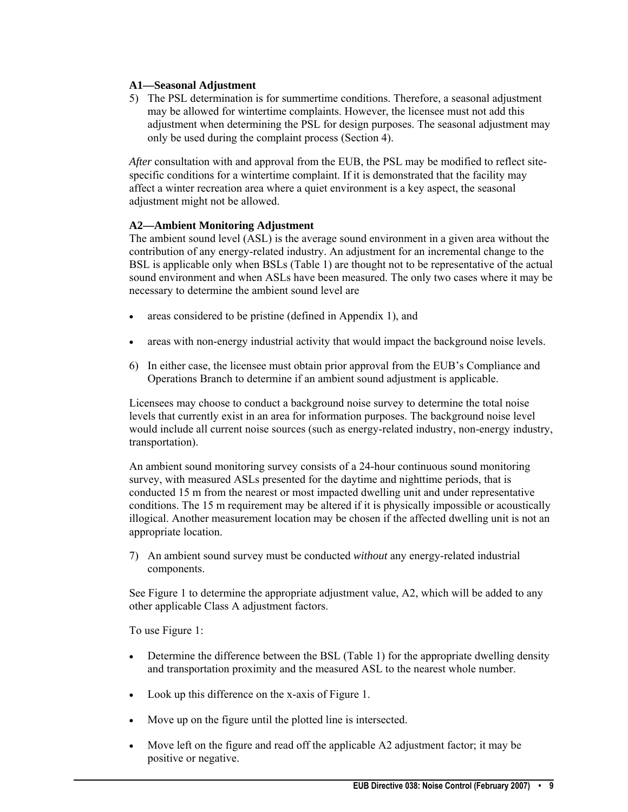# **A1—Seasonal Adjustment**

5) The PSL determination is for summertime conditions. Therefore, a seasonal adjustment may be allowed for wintertime complaints. However, the licensee must not add this adjustment when determining the PSL for design purposes. The seasonal adjustment may only be used during the complaint process (Section 4).

*After* consultation with and approval from the EUB, the PSL may be modified to reflect sitespecific conditions for a wintertime complaint. If it is demonstrated that the facility may affect a winter recreation area where a quiet environment is a key aspect, the seasonal adjustment might not be allowed.

#### **A2—Ambient Monitoring Adjustment**

The ambient sound level (ASL) is the average sound environment in a given area without the contribution of any energy-related industry. An adjustment for an incremental change to the BSL is applicable only when BSLs (Table 1) are thought not to be representative of the actual sound environment and when ASLs have been measured. The only two cases where it may be necessary to determine the ambient sound level are

- areas considered to be pristine (defined in Appendix 1), and
- areas with non-energy industrial activity that would impact the background noise levels.
- 6) In either case, the licensee must obtain prior approval from the EUB's Compliance and Operations Branch to determine if an ambient sound adjustment is applicable.

Licensees may choose to conduct a background noise survey to determine the total noise levels that currently exist in an area for information purposes. The background noise level would include all current noise sources (such as energy-related industry, non-energy industry, transportation).

An ambient sound monitoring survey consists of a 24-hour continuous sound monitoring survey, with measured ASLs presented for the daytime and nighttime periods, that is conducted 15 m from the nearest or most impacted dwelling unit and under representative conditions. The 15 m requirement may be altered if it is physically impossible or acoustically illogical. Another measurement location may be chosen if the affected dwelling unit is not an appropriate location.

7) An ambient sound survey must be conducted *without* any energy-related industrial components.

See Figure 1 to determine the appropriate adjustment value, A2, which will be added to any other applicable Class A adjustment factors.

To use Figure 1:

- Determine the difference between the BSL (Table 1) for the appropriate dwelling density and transportation proximity and the measured ASL to the nearest whole number.
- Look up this difference on the x-axis of Figure 1.
- Move up on the figure until the plotted line is intersected.
- Move left on the figure and read off the applicable A2 adjustment factor; it may be positive or negative.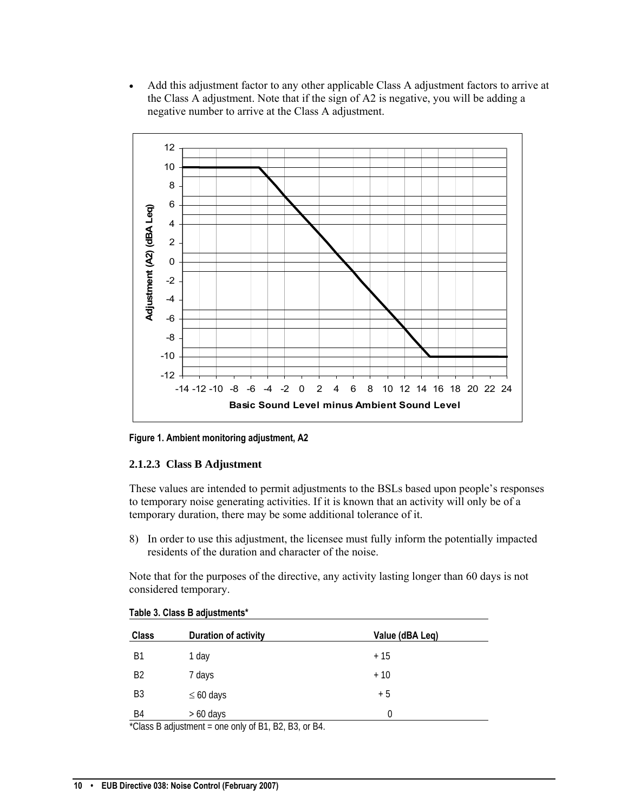• Add this adjustment factor to any other applicable Class A adjustment factors to arrive at the Class A adjustment. Note that if the sign of A2 is negative, you will be adding a negative number to arrive at the Class A adjustment.



**Figure 1. Ambient monitoring adjustment, A2** 

#### **2.1.2.3 Class B Adjustment**

These values are intended to permit adjustments to the BSLs based upon people's responses to temporary noise generating activities. If it is known that an activity will only be of a temporary duration, there may be some additional tolerance of it.

8) In order to use this adjustment, the licensee must fully inform the potentially impacted residents of the duration and character of the noise.

Note that for the purposes of the directive, any activity lasting longer than 60 days is not considered temporary.

| <b>Class</b>   | <b>Duration of activity</b> | Value (dBA Leq) |
|----------------|-----------------------------|-----------------|
| <b>B1</b>      | 1 day                       | $+15$           |
| B <sub>2</sub> | 7 days                      | $+10$           |
| B3             | $\leq 60$ days              | $+5$            |
| B4             | $> 60$ days                 | 0               |

\*Class B adjustment = one only of B1, B2, B3, or B4.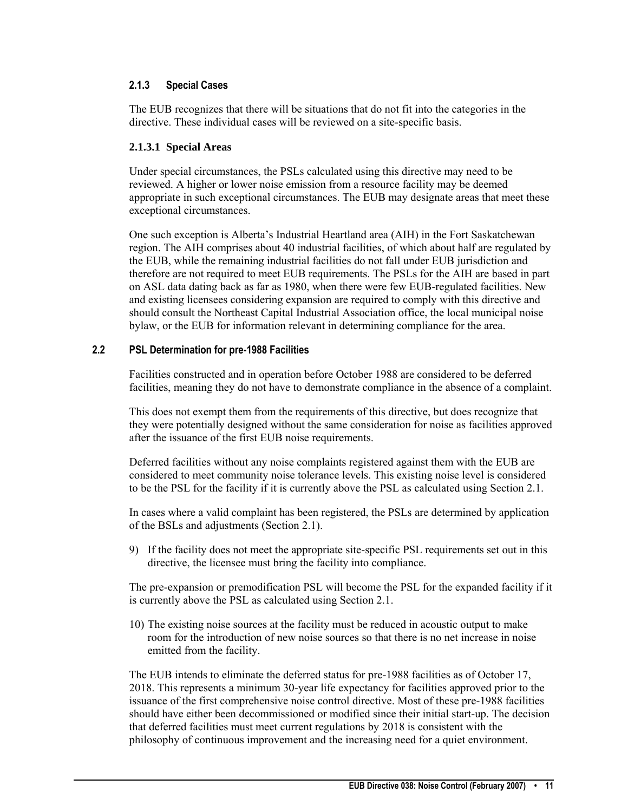# <span id="page-12-0"></span>**2.1.3 Special Cases**

The EUB recognizes that there will be situations that do not fit into the categories in the directive. These individual cases will be reviewed on a site-specific basis.

#### **2.1.3.1 Special Areas**

Under special circumstances, the PSLs calculated using this directive may need to be reviewed. A higher or lower noise emission from a resource facility may be deemed appropriate in such exceptional circumstances. The EUB may designate areas that meet these exceptional circumstances.

One such exception is Alberta's Industrial Heartland area (AIH) in the Fort Saskatchewan region. The AIH comprises about 40 industrial facilities, of which about half are regulated by the EUB, while the remaining industrial facilities do not fall under EUB jurisdiction and therefore are not required to meet EUB requirements. The PSLs for the AIH are based in part on ASL data dating back as far as 1980, when there were few EUB-regulated facilities. New and existing licensees considering expansion are required to comply with this directive and should consult the Northeast Capital Industrial Association office, the local municipal noise bylaw, or the EUB for information relevant in determining compliance for the area.

#### **2.2 PSL Determination for pre-1988 Facilities**

Facilities constructed and in operation before October 1988 are considered to be deferred facilities, meaning they do not have to demonstrate compliance in the absence of a complaint.

This does not exempt them from the requirements of this directive, but does recognize that they were potentially designed without the same consideration for noise as facilities approved after the issuance of the first EUB noise requirements.

Deferred facilities without any noise complaints registered against them with the EUB are considered to meet community noise tolerance levels. This existing noise level is considered to be the PSL for the facility if it is currently above the PSL as calculated using Section 2.1.

In cases where a valid complaint has been registered, the PSLs are determined by application of the BSLs and adjustments (Section 2.1).

9) If the facility does not meet the appropriate site-specific PSL requirements set out in this directive, the licensee must bring the facility into compliance.

The pre-expansion or premodification PSL will become the PSL for the expanded facility if it is currently above the PSL as calculated using Section 2.1.

10) The existing noise sources at the facility must be reduced in acoustic output to make room for the introduction of new noise sources so that there is no net increase in noise emitted from the facility.

The EUB intends to eliminate the deferred status for pre-1988 facilities as of October 17, 2018. This represents a minimum 30-year life expectancy for facilities approved prior to the issuance of the first comprehensive noise control directive. Most of these pre-1988 facilities should have either been decommissioned or modified since their initial start-up. The decision that deferred facilities must meet current regulations by 2018 is consistent with the philosophy of continuous improvement and the increasing need for a quiet environment.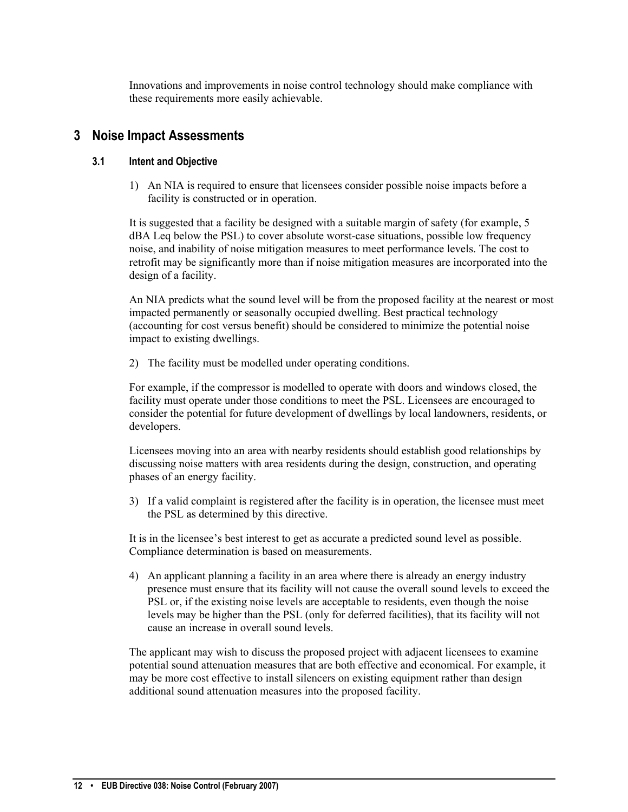Innovations and improvements in noise control technology should make compliance with these requirements more easily achievable.

# <span id="page-13-0"></span>**3 Noise Impact Assessments**

#### **3.1 Intent and Objective**

1) An NIA is required to ensure that licensees consider possible noise impacts before a facility is constructed or in operation.

It is suggested that a facility be designed with a suitable margin of safety (for example, 5 dBA Leq below the PSL) to cover absolute worst-case situations, possible low frequency noise, and inability of noise mitigation measures to meet performance levels. The cost to retrofit may be significantly more than if noise mitigation measures are incorporated into the design of a facility.

An NIA predicts what the sound level will be from the proposed facility at the nearest or most impacted permanently or seasonally occupied dwelling. Best practical technology (accounting for cost versus benefit) should be considered to minimize the potential noise impact to existing dwellings.

2) The facility must be modelled under operating conditions.

For example, if the compressor is modelled to operate with doors and windows closed, the facility must operate under those conditions to meet the PSL. Licensees are encouraged to consider the potential for future development of dwellings by local landowners, residents, or developers.

Licensees moving into an area with nearby residents should establish good relationships by discussing noise matters with area residents during the design, construction, and operating phases of an energy facility.

3) If a valid complaint is registered after the facility is in operation, the licensee must meet the PSL as determined by this directive.

It is in the licensee's best interest to get as accurate a predicted sound level as possible. Compliance determination is based on measurements.

4) An applicant planning a facility in an area where there is already an energy industry presence must ensure that its facility will not cause the overall sound levels to exceed the PSL or, if the existing noise levels are acceptable to residents, even though the noise levels may be higher than the PSL (only for deferred facilities), that its facility will not cause an increase in overall sound levels.

The applicant may wish to discuss the proposed project with adjacent licensees to examine potential sound attenuation measures that are both effective and economical. For example, it may be more cost effective to install silencers on existing equipment rather than design additional sound attenuation measures into the proposed facility.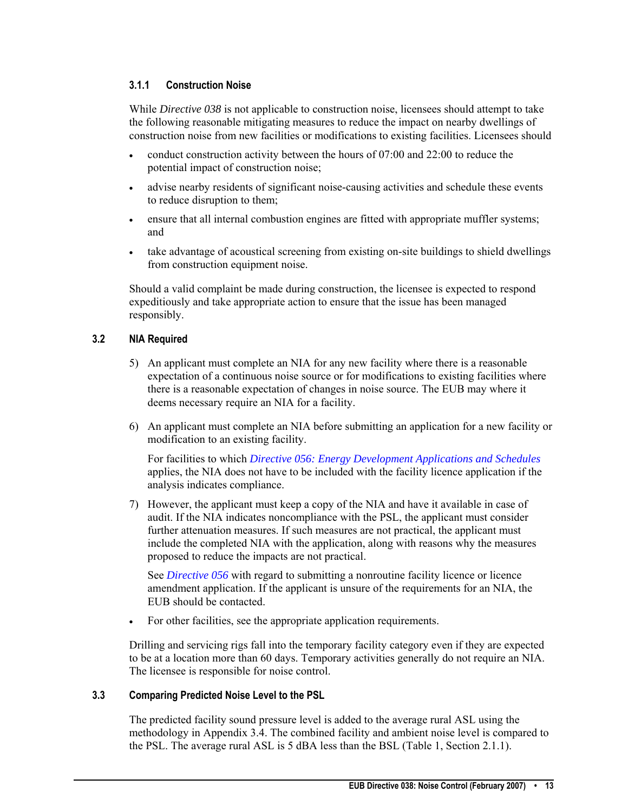# <span id="page-14-0"></span>**3.1.1 Construction Noise**

While *Directive 038* is not applicable to construction noise, licensees should attempt to take the following reasonable mitigating measures to reduce the impact on nearby dwellings of construction noise from new facilities or modifications to existing facilities. Licensees should

- conduct construction activity between the hours of 07:00 and 22:00 to reduce the potential impact of construction noise;
- advise nearby residents of significant noise-causing activities and schedule these events to reduce disruption to them;
- ensure that all internal combustion engines are fitted with appropriate muffler systems; and
- take advantage of acoustical screening from existing on-site buildings to shield dwellings from construction equipment noise.

Should a valid complaint be made during construction, the licensee is expected to respond expeditiously and take appropriate action to ensure that the issue has been managed responsibly.

# **3.2 NIA Required**

- 5) An applicant must complete an NIA for any new facility where there is a reasonable expectation of a continuous noise source or for modifications to existing facilities where there is a reasonable expectation of changes in noise source. The EUB may where it deems necessary require an NIA for a facility.
- 6) An applicant must complete an NIA before submitting an application for a new facility or modification to an existing facility.

For facilities to which *[Directive 056: Energy Development Applications and Schedules](http://www.eub.ca/portal/server.pt/gateway/PTARGS_0_0_270_233_0_43/http%3B/extContent/publishedcontent/publish/eub_home/industry_zone/rules__regulations__requirements/directives/directive056.aspx)* applies, the NIA does not have to be included with the facility licence application if the analysis indicates compliance.

7) However, the applicant must keep a copy of the NIA and have it available in case of audit. If the NIA indicates noncompliance with the PSL, the applicant must consider further attenuation measures. If such measures are not practical, the applicant must include the completed NIA with the application, along with reasons why the measures proposed to reduce the impacts are not practical.

See *[Directive 056](http://www.eub.ca/portal/server.pt/gateway/PTARGS_0_0_270_233_0_43/http%3B/extContent/publishedcontent/publish/eub_home/industry_zone/rules__regulations__requirements/directives/directive056.aspx)* with regard to submitting a nonroutine facility licence or licence amendment application. If the applicant is unsure of the requirements for an NIA, the EUB should be contacted.

• For other facilities, see the appropriate application requirements.

Drilling and servicing rigs fall into the temporary facility category even if they are expected to be at a location more than 60 days. Temporary activities generally do not require an NIA. The licensee is responsible for noise control.

### **3.3 Comparing Predicted Noise Level to the PSL**

The predicted facility sound pressure level is added to the average rural ASL using the methodology in Appendix 3.4. The combined facility and ambient noise level is compared to the PSL. The average rural ASL is 5 dBA less than the BSL (Table 1, Section 2.1.1).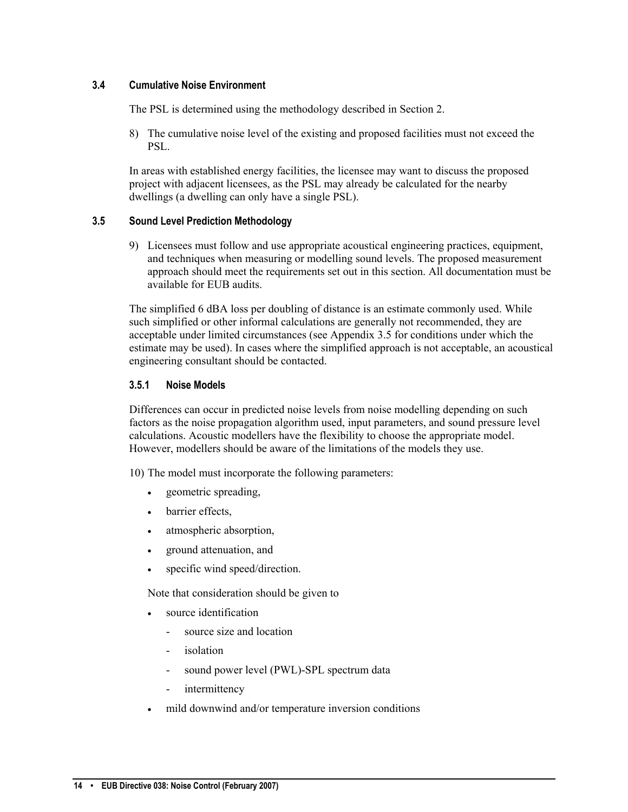### <span id="page-15-0"></span>**3.4 Cumulative Noise Environment**

The PSL is determined using the methodology described in Section 2.

8) The cumulative noise level of the existing and proposed facilities must not exceed the PSL.

In areas with established energy facilities, the licensee may want to discuss the proposed project with adjacent licensees, as the PSL may already be calculated for the nearby dwellings (a dwelling can only have a single PSL).

#### **3.5 Sound Level Prediction Methodology**

9) Licensees must follow and use appropriate acoustical engineering practices, equipment, and techniques when measuring or modelling sound levels. The proposed measurement approach should meet the requirements set out in this section. All documentation must be available for EUB audits.

The simplified 6 dBA loss per doubling of distance is an estimate commonly used. While such simplified or other informal calculations are generally not recommended, they are acceptable under limited circumstances (see Appendix 3.5 for conditions under which the estimate may be used). In cases where the simplified approach is not acceptable, an acoustical engineering consultant should be contacted.

#### **3.5.1 Noise Models**

Differences can occur in predicted noise levels from noise modelling depending on such factors as the noise propagation algorithm used, input parameters, and sound pressure level calculations. Acoustic modellers have the flexibility to choose the appropriate model. However, modellers should be aware of the limitations of the models they use.

10) The model must incorporate the following parameters:

- geometric spreading,
- barrier effects,
- atmospheric absorption,
- ground attenuation, and
- specific wind speed/direction.

Note that consideration should be given to

- source identification
	- source size and location
	- *isolation*
	- sound power level (PWL)-SPL spectrum data
	- intermittency
- mild downwind and/or temperature inversion conditions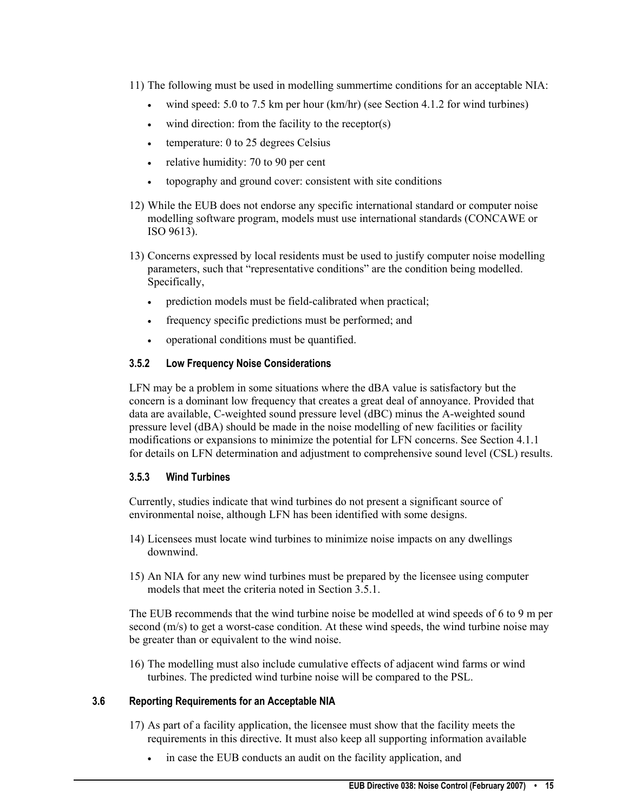- <span id="page-16-0"></span>11) The following must be used in modelling summertime conditions for an acceptable NIA:
	- wind speed:  $5.0$  to  $7.5$  km per hour (km/hr) (see Section 4.1.2 for wind turbines)
	- wind direction: from the facility to the receptor(s)
	- temperature: 0 to 25 degrees Celsius
	- relative humidity: 70 to 90 per cent
	- topography and ground cover: consistent with site conditions
- 12) While the EUB does not endorse any specific international standard or computer noise modelling software program, models must use international standards (CONCAWE or ISO 9613).
- 13) Concerns expressed by local residents must be used to justify computer noise modelling parameters, such that "representative conditions" are the condition being modelled. Specifically,
	- prediction models must be field-calibrated when practical;
	- frequency specific predictions must be performed; and
	- operational conditions must be quantified.

#### **3.5.2 Low Frequency Noise Considerations**

LFN may be a problem in some situations where the dBA value is satisfactory but the concern is a dominant low frequency that creates a great deal of annoyance. Provided that data are available, C-weighted sound pressure level (dBC) minus the A-weighted sound pressure level (dBA) should be made in the noise modelling of new facilities or facility modifications or expansions to minimize the potential for LFN concerns. See Section 4.1.1 for details on LFN determination and adjustment to comprehensive sound level (CSL) results.

#### **3.5.3 Wind Turbines**

Currently, studies indicate that wind turbines do not present a significant source of environmental noise, although LFN has been identified with some designs.

- 14) Licensees must locate wind turbines to minimize noise impacts on any dwellings downwind.
- 15) An NIA for any new wind turbines must be prepared by the licensee using computer models that meet the criteria noted in Section 3.5.1.

The EUB recommends that the wind turbine noise be modelled at wind speeds of 6 to 9 m per second (m/s) to get a worst-case condition. At these wind speeds, the wind turbine noise may be greater than or equivalent to the wind noise.

16) The modelling must also include cumulative effects of adjacent wind farms or wind turbines. The predicted wind turbine noise will be compared to the PSL.

#### **3.6 Reporting Requirements for an Acceptable NIA**

- 17) As part of a facility application, the licensee must show that the facility meets the requirements in this directive*.* It must also keep all supporting information available
	- in case the EUB conducts an audit on the facility application, and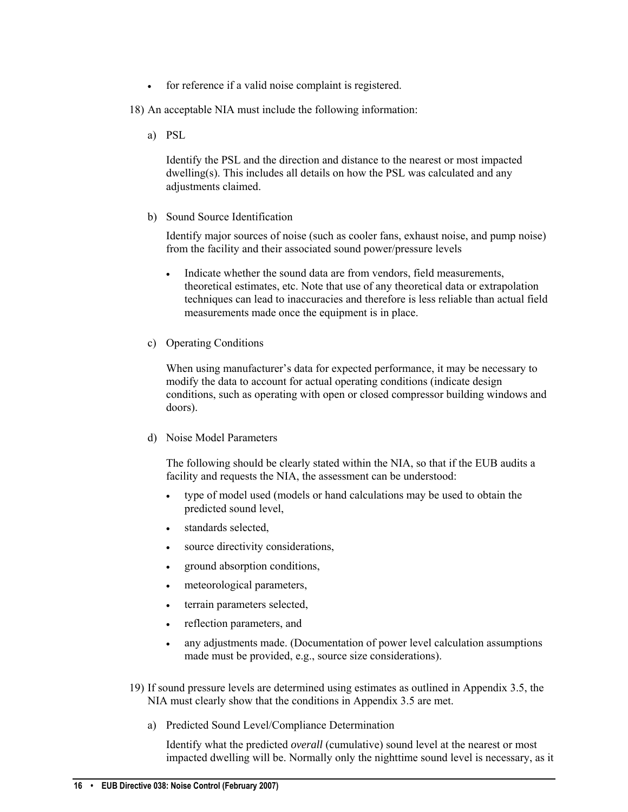- for reference if a valid noise complaint is registered.
- 18) An acceptable NIA must include the following information:
	- a) PSL

Identify the PSL and the direction and distance to the nearest or most impacted dwelling(s). This includes all details on how the PSL was calculated and any adjustments claimed.

b) Sound Source Identification

Identify major sources of noise (such as cooler fans, exhaust noise, and pump noise) from the facility and their associated sound power/pressure levels

- Indicate whether the sound data are from vendors, field measurements, theoretical estimates, etc. Note that use of any theoretical data or extrapolation techniques can lead to inaccuracies and therefore is less reliable than actual field measurements made once the equipment is in place.
- c) Operating Conditions

When using manufacturer's data for expected performance, it may be necessary to modify the data to account for actual operating conditions (indicate design conditions, such as operating with open or closed compressor building windows and doors).

d) Noise Model Parameters

The following should be clearly stated within the NIA, so that if the EUB audits a facility and requests the NIA, the assessment can be understood:

- type of model used (models or hand calculations may be used to obtain the predicted sound level,
- standards selected.
- source directivity considerations,
- ground absorption conditions,
- meteorological parameters,
- terrain parameters selected,
- reflection parameters, and
- any adjustments made. (Documentation of power level calculation assumptions made must be provided, e.g., source size considerations).
- 19) If sound pressure levels are determined using estimates as outlined in Appendix 3.5, the NIA must clearly show that the conditions in Appendix 3.5 are met.
	- a) Predicted Sound Level/Compliance Determination

Identify what the predicted *overall* (cumulative) sound level at the nearest or most impacted dwelling will be. Normally only the nighttime sound level is necessary, as it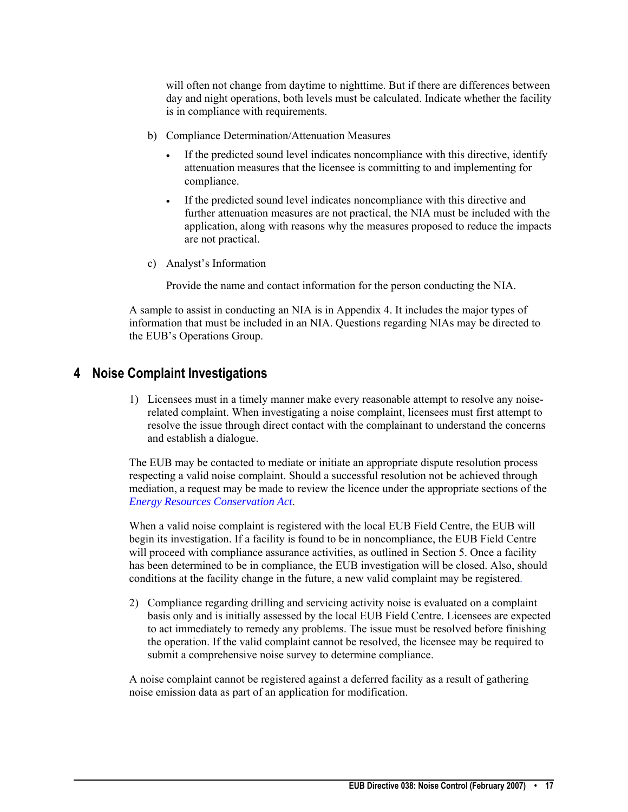<span id="page-18-0"></span>will often not change from daytime to nighttime. But if there are differences between day and night operations, both levels must be calculated. Indicate whether the facility is in compliance with requirements.

- b) Compliance Determination/Attenuation Measures
	- If the predicted sound level indicates noncompliance with this directive, identify attenuation measures that the licensee is committing to and implementing for compliance.
	- If the predicted sound level indicates noncompliance with this directive and further attenuation measures are not practical, the NIA must be included with the application, along with reasons why the measures proposed to reduce the impacts are not practical.
- c) Analyst's Information

Provide the name and contact information for the person conducting the NIA.

A sample to assist in conducting an NIA is in Appendix 4. It includes the major types of information that must be included in an NIA. Questions regarding NIAs may be directed to the EUB's Operations Group.

# **4 Noise Complaint Investigations**

1) Licensees must in a timely manner make every reasonable attempt to resolve any noiserelated complaint. When investigating a noise complaint, licensees must first attempt to resolve the issue through direct contact with the complainant to understand the concerns and establish a dialogue.

The EUB may be contacted to mediate or initiate an appropriate dispute resolution process respecting a valid noise complaint. Should a successful resolution not be achieved through mediation, a request may be made to review the licence under the appropriate sections of the *[Energy Resources Conservation Act](http://www.eub.ca/docs/requirements/actsregs/erc_act.pdf)*.

When a valid noise complaint is registered with the local EUB Field Centre, the EUB will begin its investigation. If a facility is found to be in noncompliance, the EUB Field Centre will proceed with compliance assurance activities, as outlined in Section 5. Once a facility has been determined to be in compliance, the EUB investigation will be closed. Also, should conditions at the facility change in the future, a new valid complaint may be registered.

2) Compliance regarding drilling and servicing activity noise is evaluated on a complaint basis only and is initially assessed by the local EUB Field Centre. Licensees are expected to act immediately to remedy any problems. The issue must be resolved before finishing the operation. If the valid complaint cannot be resolved, the licensee may be required to submit a comprehensive noise survey to determine compliance.

A noise complaint cannot be registered against a deferred facility as a result of gathering noise emission data as part of an application for modification.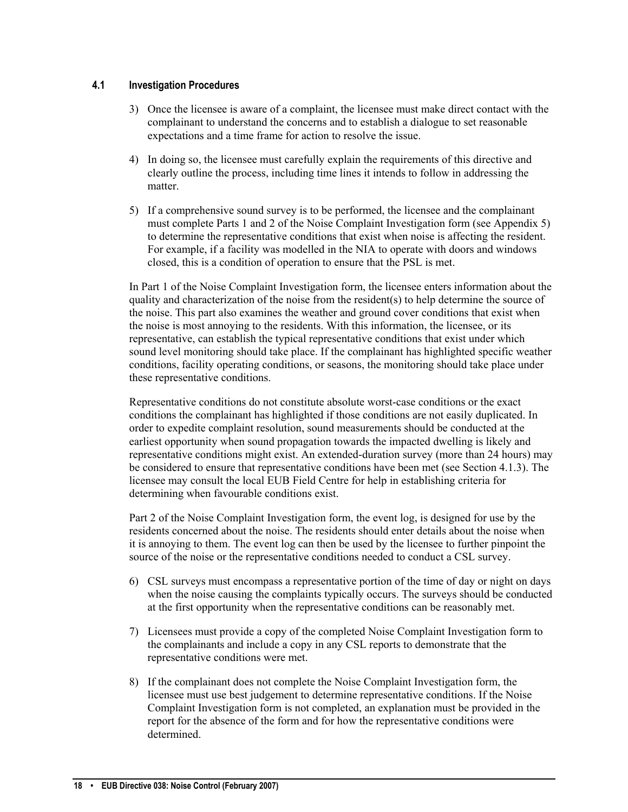# <span id="page-19-0"></span>**4.1 Investigation Procedures**

- 3) Once the licensee is aware of a complaint, the licensee must make direct contact with the complainant to understand the concerns and to establish a dialogue to set reasonable expectations and a time frame for action to resolve the issue.
- 4) In doing so, the licensee must carefully explain the requirements of this directive and clearly outline the process, including time lines it intends to follow in addressing the matter.
- 5) If a comprehensive sound survey is to be performed, the licensee and the complainant must complete Parts 1 and 2 of the Noise Complaint Investigation form (see Appendix 5) to determine the representative conditions that exist when noise is affecting the resident. For example, if a facility was modelled in the NIA to operate with doors and windows closed, this is a condition of operation to ensure that the PSL is met.

In Part 1 of the Noise Complaint Investigation form, the licensee enters information about the quality and characterization of the noise from the resident(s) to help determine the source of the noise. This part also examines the weather and ground cover conditions that exist when the noise is most annoying to the residents. With this information, the licensee, or its representative, can establish the typical representative conditions that exist under which sound level monitoring should take place. If the complainant has highlighted specific weather conditions, facility operating conditions, or seasons, the monitoring should take place under these representative conditions.

Representative conditions do not constitute absolute worst-case conditions or the exact conditions the complainant has highlighted if those conditions are not easily duplicated. In order to expedite complaint resolution, sound measurements should be conducted at the earliest opportunity when sound propagation towards the impacted dwelling is likely and representative conditions might exist. An extended-duration survey (more than 24 hours) may be considered to ensure that representative conditions have been met (see Section 4.1.3). The licensee may consult the local EUB Field Centre for help in establishing criteria for determining when favourable conditions exist.

Part 2 of the Noise Complaint Investigation form, the event log, is designed for use by the residents concerned about the noise. The residents should enter details about the noise when it is annoying to them. The event log can then be used by the licensee to further pinpoint the source of the noise or the representative conditions needed to conduct a CSL survey.

- 6) CSL surveys must encompass a representative portion of the time of day or night on days when the noise causing the complaints typically occurs. The surveys should be conducted at the first opportunity when the representative conditions can be reasonably met.
- 7) Licensees must provide a copy of the completed Noise Complaint Investigation form to the complainants and include a copy in any CSL reports to demonstrate that the representative conditions were met.
- 8) If the complainant does not complete the Noise Complaint Investigation form, the licensee must use best judgement to determine representative conditions. If the Noise Complaint Investigation form is not completed, an explanation must be provided in the report for the absence of the form and for how the representative conditions were determined.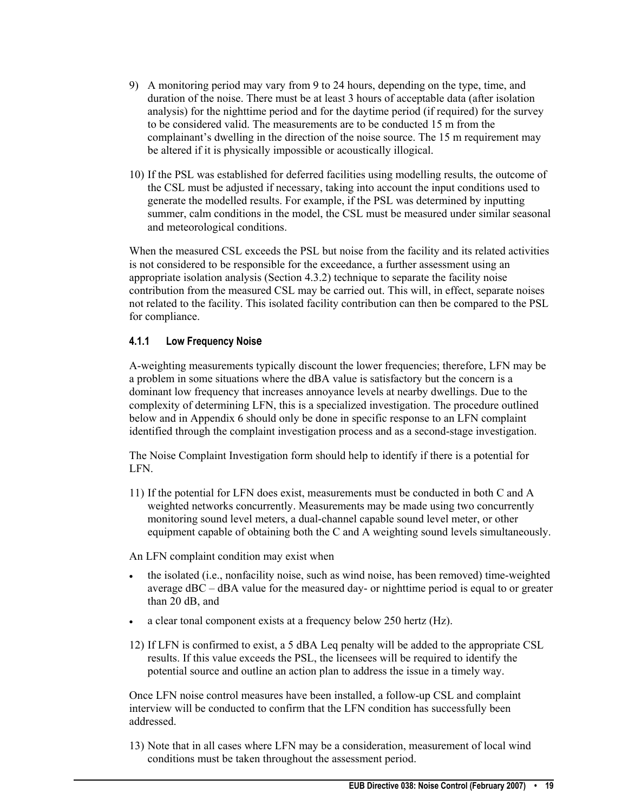- <span id="page-20-0"></span>9) A monitoring period may vary from 9 to 24 hours, depending on the type, time, and duration of the noise. There must be at least 3 hours of acceptable data (after isolation analysis) for the nighttime period and for the daytime period (if required) for the survey to be considered valid. The measurements are to be conducted 15 m from the complainant's dwelling in the direction of the noise source. The 15 m requirement may be altered if it is physically impossible or acoustically illogical.
- 10) If the PSL was established for deferred facilities using modelling results, the outcome of the CSL must be adjusted if necessary, taking into account the input conditions used to generate the modelled results. For example, if the PSL was determined by inputting summer, calm conditions in the model, the CSL must be measured under similar seasonal and meteorological conditions.

When the measured CSL exceeds the PSL but noise from the facility and its related activities is not considered to be responsible for the exceedance, a further assessment using an appropriate isolation analysis (Section 4.3.2) technique to separate the facility noise contribution from the measured CSL may be carried out. This will, in effect, separate noises not related to the facility. This isolated facility contribution can then be compared to the PSL for compliance.

# **4.1.1 Low Frequency Noise**

A-weighting measurements typically discount the lower frequencies; therefore, LFN may be a problem in some situations where the dBA value is satisfactory but the concern is a dominant low frequency that increases annoyance levels at nearby dwellings. Due to the complexity of determining LFN, this is a specialized investigation. The procedure outlined below and in Appendix 6 should only be done in specific response to an LFN complaint identified through the complaint investigation process and as a second-stage investigation.

The Noise Complaint Investigation form should help to identify if there is a potential for LFN.

11) If the potential for LFN does exist, measurements must be conducted in both C and A weighted networks concurrently. Measurements may be made using two concurrently monitoring sound level meters, a dual-channel capable sound level meter, or other equipment capable of obtaining both the C and A weighting sound levels simultaneously.

An LFN complaint condition may exist when

- the isolated (i.e., nonfacility noise, such as wind noise, has been removed) time-weighted average dBC – dBA value for the measured day- or nighttime period is equal to or greater than 20 dB, and
- a clear tonal component exists at a frequency below 250 hertz (Hz).
- 12) If LFN is confirmed to exist, a 5 dBA Leq penalty will be added to the appropriate CSL results. If this value exceeds the PSL, the licensees will be required to identify the potential source and outline an action plan to address the issue in a timely way.

Once LFN noise control measures have been installed, a follow-up CSL and complaint interview will be conducted to confirm that the LFN condition has successfully been addressed.

13) Note that in all cases where LFN may be a consideration, measurement of local wind conditions must be taken throughout the assessment period.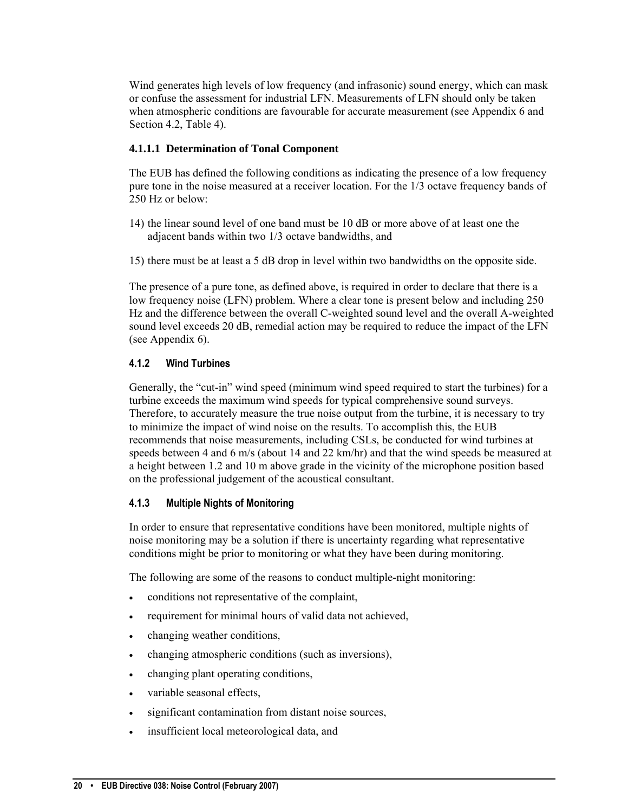<span id="page-21-0"></span>Wind generates high levels of low frequency (and infrasonic) sound energy, which can mask or confuse the assessment for industrial LFN. Measurements of LFN should only be taken when atmospheric conditions are favourable for accurate measurement (see Appendix 6 and Section 4.2, Table 4).

## **4.1.1.1 Determination of Tonal Component**

The EUB has defined the following conditions as indicating the presence of a low frequency pure tone in the noise measured at a receiver location. For the 1/3 octave frequency bands of 250 Hz or below:

- 14) the linear sound level of one band must be 10 dB or more above of at least one the adjacent bands within two 1/3 octave bandwidths, and
- 15) there must be at least a 5 dB drop in level within two bandwidths on the opposite side.

The presence of a pure tone, as defined above, is required in order to declare that there is a low frequency noise (LFN) problem. Where a clear tone is present below and including 250 Hz and the difference between the overall C-weighted sound level and the overall A-weighted sound level exceeds 20 dB, remedial action may be required to reduce the impact of the LFN (see Appendix 6).

# **4.1.2 Wind Turbines**

Generally, the "cut-in" wind speed (minimum wind speed required to start the turbines) for a turbine exceeds the maximum wind speeds for typical comprehensive sound surveys. Therefore, to accurately measure the true noise output from the turbine, it is necessary to try to minimize the impact of wind noise on the results. To accomplish this, the EUB recommends that noise measurements, including CSLs, be conducted for wind turbines at speeds between 4 and 6 m/s (about 14 and 22 km/hr) and that the wind speeds be measured at a height between 1.2 and 10 m above grade in the vicinity of the microphone position based on the professional judgement of the acoustical consultant.

# **4.1.3 Multiple Nights of Monitoring**

In order to ensure that representative conditions have been monitored, multiple nights of noise monitoring may be a solution if there is uncertainty regarding what representative conditions might be prior to monitoring or what they have been during monitoring.

The following are some of the reasons to conduct multiple-night monitoring:

- conditions not representative of the complaint,
- requirement for minimal hours of valid data not achieved,
- changing weather conditions,
- changing atmospheric conditions (such as inversions),
- changing plant operating conditions,
- variable seasonal effects,
- significant contamination from distant noise sources,
- insufficient local meteorological data, and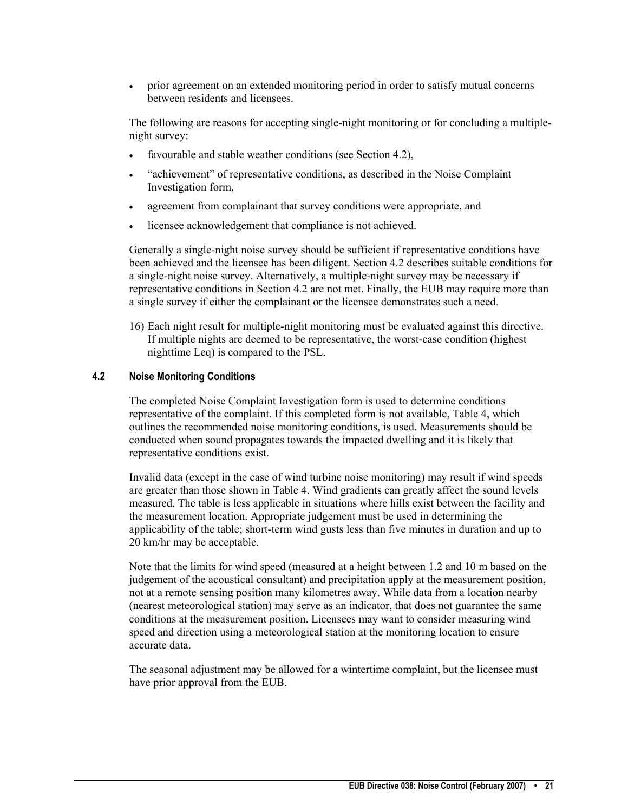<span id="page-22-0"></span>• prior agreement on an extended monitoring period in order to satisfy mutual concerns between residents and licensees.

The following are reasons for accepting single-night monitoring or for concluding a multiplenight survey:

- favourable and stable weather conditions (see Section 4.2),
- "achievement" of representative conditions, as described in the Noise Complaint Investigation form,
- agreement from complainant that survey conditions were appropriate, and
- licensee acknowledgement that compliance is not achieved.

Generally a single-night noise survey should be sufficient if representative conditions have been achieved and the licensee has been diligent. Section 4.2 describes suitable conditions for a single-night noise survey. Alternatively, a multiple-night survey may be necessary if representative conditions in Section 4.2 are not met. Finally, the EUB may require more than a single survey if either the complainant or the licensee demonstrates such a need.

16) Each night result for multiple-night monitoring must be evaluated against this directive. If multiple nights are deemed to be representative, the worst-case condition (highest nighttime Leq) is compared to the PSL.

#### **4.2 Noise Monitoring Conditions**

The completed Noise Complaint Investigation form is used to determine conditions representative of the complaint. If this completed form is not available, Table 4, which outlines the recommended noise monitoring conditions, is used. Measurements should be conducted when sound propagates towards the impacted dwelling and it is likely that representative conditions exist.

Invalid data (except in the case of wind turbine noise monitoring) may result if wind speeds are greater than those shown in Table 4. Wind gradients can greatly affect the sound levels measured. The table is less applicable in situations where hills exist between the facility and the measurement location. Appropriate judgement must be used in determining the applicability of the table; short-term wind gusts less than five minutes in duration and up to 20 km/hr may be acceptable.

Note that the limits for wind speed (measured at a height between 1.2 and 10 m based on the judgement of the acoustical consultant) and precipitation apply at the measurement position, not at a remote sensing position many kilometres away. While data from a location nearby (nearest meteorological station) may serve as an indicator, that does not guarantee the same conditions at the measurement position. Licensees may want to consider measuring wind speed and direction using a meteorological station at the monitoring location to ensure accurate data.

The seasonal adjustment may be allowed for a wintertime complaint, but the licensee must have prior approval from the EUB.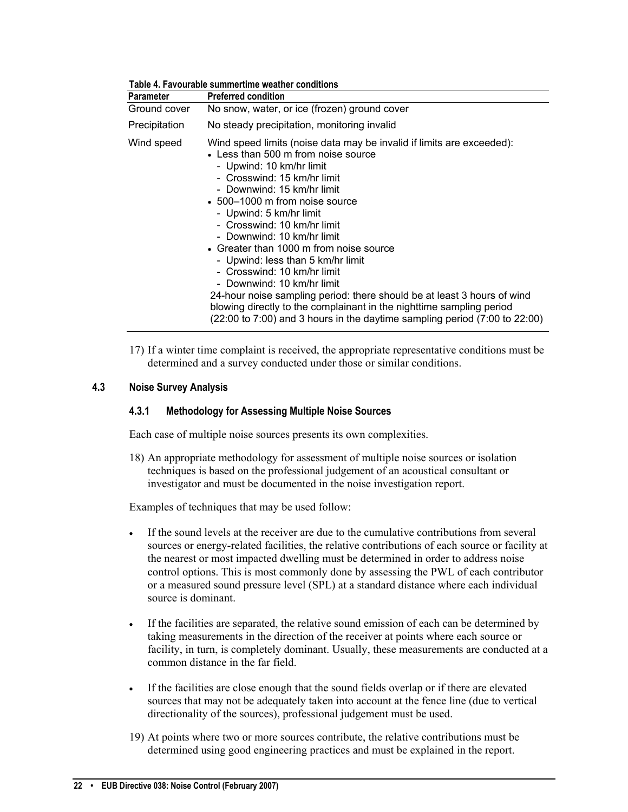<span id="page-23-0"></span>

| <b>Parameter</b> | <b>Preferred condition</b>                                                                                                                                                                                                                                                                                                                                                                                                                                                                                                                                                                                                                                                                                          |
|------------------|---------------------------------------------------------------------------------------------------------------------------------------------------------------------------------------------------------------------------------------------------------------------------------------------------------------------------------------------------------------------------------------------------------------------------------------------------------------------------------------------------------------------------------------------------------------------------------------------------------------------------------------------------------------------------------------------------------------------|
| Ground cover     | No snow, water, or ice (frozen) ground cover                                                                                                                                                                                                                                                                                                                                                                                                                                                                                                                                                                                                                                                                        |
| Precipitation    | No steady precipitation, monitoring invalid                                                                                                                                                                                                                                                                                                                                                                                                                                                                                                                                                                                                                                                                         |
| Wind speed       | Wind speed limits (noise data may be invalid if limits are exceeded):<br>• Less than 500 m from noise source<br>- Upwind: 10 km/hr limit<br>- Crosswind: 15 km/hr limit<br>- Downwind: 15 km/hr limit<br>$\cdot$ 500–1000 m from noise source<br>- Upwind: 5 km/hr limit<br>- Crosswind: 10 km/hr limit<br>- Downwind: 10 km/hr limit<br>• Greater than 1000 m from noise source<br>- Upwind: less than 5 km/hr limit<br>- Crosswind: 10 km/hr limit<br>- Downwind: 10 km/hr limit<br>24-hour noise sampling period: there should be at least 3 hours of wind<br>blowing directly to the complainant in the nighttime sampling period<br>(22:00 to 7:00) and 3 hours in the daytime sampling period (7:00 to 22:00) |

**Table 4. Favourable summertime weather conditions** 

17) If a winter time complaint is received, the appropriate representative conditions must be determined and a survey conducted under those or similar conditions.

## **4.3 Noise Survey Analysis**

#### **4.3.1 Methodology for Assessing Multiple Noise Sources**

Each case of multiple noise sources presents its own complexities.

18) An appropriate methodology for assessment of multiple noise sources or isolation techniques is based on the professional judgement of an acoustical consultant or investigator and must be documented in the noise investigation report.

Examples of techniques that may be used follow:

- If the sound levels at the receiver are due to the cumulative contributions from several sources or energy-related facilities, the relative contributions of each source or facility at the nearest or most impacted dwelling must be determined in order to address noise control options. This is most commonly done by assessing the PWL of each contributor or a measured sound pressure level (SPL) at a standard distance where each individual source is dominant.
- If the facilities are separated, the relative sound emission of each can be determined by taking measurements in the direction of the receiver at points where each source or facility, in turn, is completely dominant. Usually, these measurements are conducted at a common distance in the far field.
- If the facilities are close enough that the sound fields overlap or if there are elevated sources that may not be adequately taken into account at the fence line (due to vertical directionality of the sources), professional judgement must be used.
- 19) At points where two or more sources contribute, the relative contributions must be determined using good engineering practices and must be explained in the report.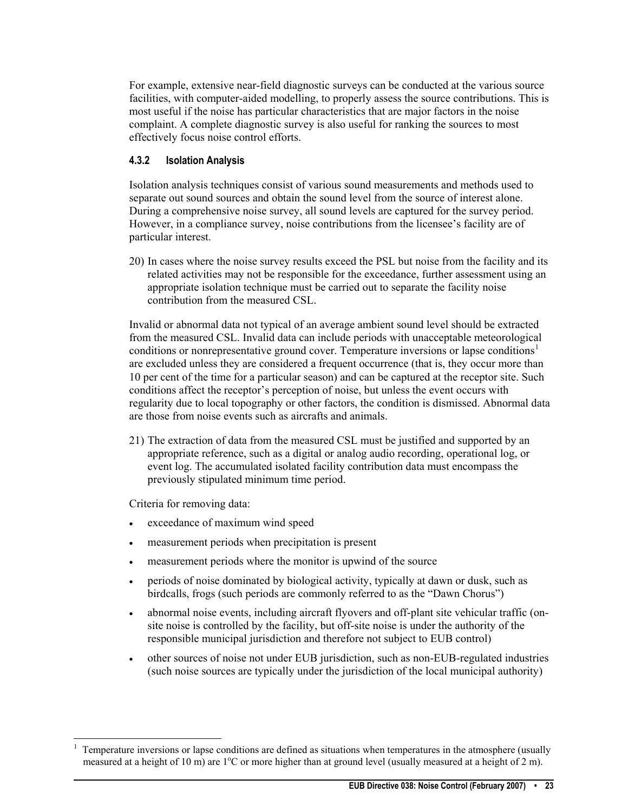<span id="page-24-0"></span>For example, extensive near-field diagnostic surveys can be conducted at the various source facilities, with computer-aided modelling, to properly assess the source contributions. This is most useful if the noise has particular characteristics that are major factors in the noise complaint. A complete diagnostic survey is also useful for ranking the sources to most effectively focus noise control efforts.

# **4.3.2 Isolation Analysis**

Isolation analysis techniques consist of various sound measurements and methods used to separate out sound sources and obtain the sound level from the source of interest alone. During a comprehensive noise survey, all sound levels are captured for the survey period. However, in a compliance survey, noise contributions from the licensee's facility are of particular interest.

20) In cases where the noise survey results exceed the PSL but noise from the facility and its related activities may not be responsible for the exceedance, further assessment using an appropriate isolation technique must be carried out to separate the facility noise contribution from the measured CSL.

Invalid or abnormal data not typical of an average ambient sound level should be extracted from the measured CSL. Invalid data can include periods with unacceptable meteorological conditions or nonrepresentative ground cover. Temperature inversions or lapse conditions<sup>[1](#page-24-1)</sup> are excluded unless they are considered a frequent occurrence (that is, they occur more than 10 per cent of the time for a particular season) and can be captured at the receptor site. Such conditions affect the receptor's perception of noise, but unless the event occurs with regularity due to local topography or other factors, the condition is dismissed. Abnormal data are those from noise events such as aircrafts and animals.

21) The extraction of data from the measured CSL must be justified and supported by an appropriate reference, such as a digital or analog audio recording, operational log, or event log. The accumulated isolated facility contribution data must encompass the previously stipulated minimum time period.

Criteria for removing data:

-

- exceedance of maximum wind speed
- measurement periods when precipitation is present
- measurement periods where the monitor is upwind of the source
- periods of noise dominated by biological activity, typically at dawn or dusk, such as birdcalls, frogs (such periods are commonly referred to as the "Dawn Chorus")
- abnormal noise events, including aircraft flyovers and off-plant site vehicular traffic (onsite noise is controlled by the facility, but off-site noise is under the authority of the responsible municipal jurisdiction and therefore not subject to EUB control)
- other sources of noise not under EUB jurisdiction, such as non-EUB-regulated industries (such noise sources are typically under the jurisdiction of the local municipal authority)

<span id="page-24-1"></span><sup>1</sup> Temperature inversions or lapse conditions are defined as situations when temperatures in the atmosphere (usually measured at a height of 10 m) are 1<sup>o</sup>C or more higher than at ground level (usually measured at a height of 2 m).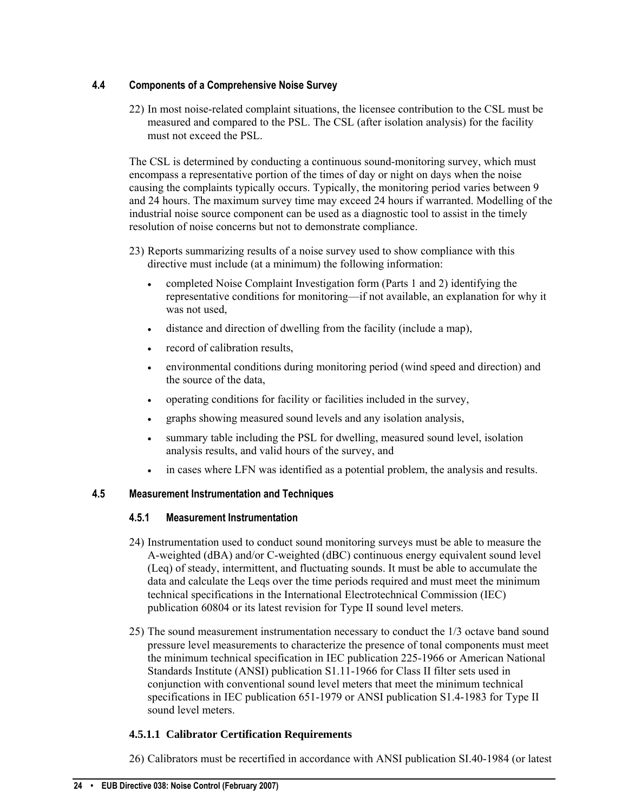# <span id="page-25-0"></span>**4.4 Components of a Comprehensive Noise Survey**

22) In most noise-related complaint situations, the licensee contribution to the CSL must be measured and compared to the PSL. The CSL (after isolation analysis) for the facility must not exceed the PSL.

The CSL is determined by conducting a continuous sound-monitoring survey, which must encompass a representative portion of the times of day or night on days when the noise causing the complaints typically occurs. Typically, the monitoring period varies between 9 and 24 hours. The maximum survey time may exceed 24 hours if warranted. Modelling of the industrial noise source component can be used as a diagnostic tool to assist in the timely resolution of noise concerns but not to demonstrate compliance.

- 23) Reports summarizing results of a noise survey used to show compliance with this directive must include (at a minimum) the following information:
	- completed Noise Complaint Investigation form (Parts 1 and 2) identifying the representative conditions for monitoring—if not available, an explanation for why it was not used,
	- distance and direction of dwelling from the facility (include a map),
	- record of calibration results,
	- environmental conditions during monitoring period (wind speed and direction) and the source of the data,
	- operating conditions for facility or facilities included in the survey,
	- graphs showing measured sound levels and any isolation analysis,
	- summary table including the PSL for dwelling, measured sound level, isolation analysis results, and valid hours of the survey, and
	- in cases where LFN was identified as a potential problem, the analysis and results.

# **4.5 Measurement Instrumentation and Techniques**

# **4.5.1 Measurement Instrumentation**

- 24) Instrumentation used to conduct sound monitoring surveys must be able to measure the A-weighted (dBA) and/or C-weighted (dBC) continuous energy equivalent sound level (Leq) of steady, intermittent, and fluctuating sounds. It must be able to accumulate the data and calculate the Leqs over the time periods required and must meet the minimum technical specifications in the International Electrotechnical Commission (IEC) publication 60804 or its latest revision for Type II sound level meters.
- 25) The sound measurement instrumentation necessary to conduct the 1/3 octave band sound pressure level measurements to characterize the presence of tonal components must meet the minimum technical specification in IEC publication 225-1966 or American National Standards Institute (ANSI) publication S1.11-1966 for Class II filter sets used in conjunction with conventional sound level meters that meet the minimum technical specifications in IEC publication 651-1979 or ANSI publication S1.4-1983 for Type II sound level meters.

# **4.5.1.1 Calibrator Certification Requirements**

26) Calibrators must be recertified in accordance with ANSI publication SI.40-1984 (or latest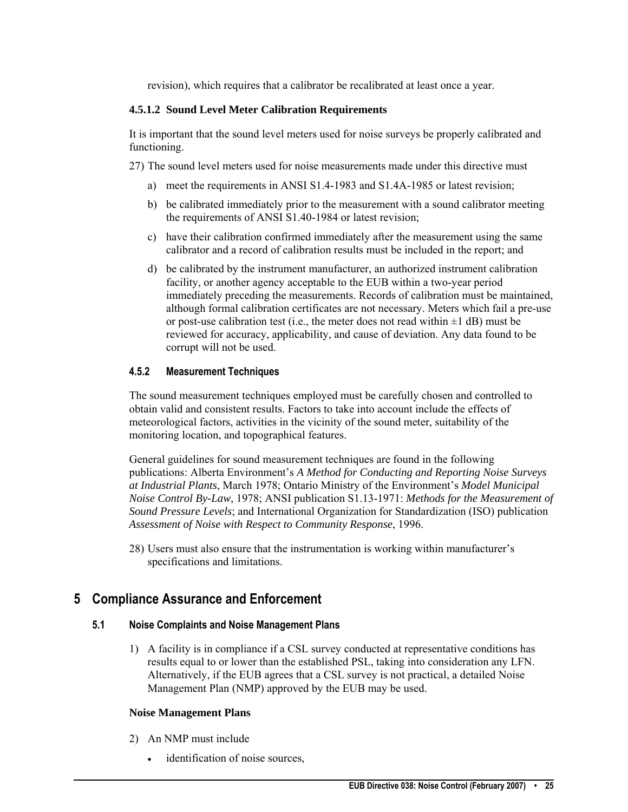revision), which requires that a calibrator be recalibrated at least once a year.

#### <span id="page-26-0"></span>**4.5.1.2 Sound Level Meter Calibration Requirements**

It is important that the sound level meters used for noise surveys be properly calibrated and functioning.

27) The sound level meters used for noise measurements made under this directive must

- a) meet the requirements in ANSI S1.4-1983 and S1.4A-1985 or latest revision;
- b) be calibrated immediately prior to the measurement with a sound calibrator meeting the requirements of ANSI S1.40-1984 or latest revision;
- c) have their calibration confirmed immediately after the measurement using the same calibrator and a record of calibration results must be included in the report; and
- d) be calibrated by the instrument manufacturer, an authorized instrument calibration facility, or another agency acceptable to the EUB within a two-year period immediately preceding the measurements. Records of calibration must be maintained, although formal calibration certificates are not necessary. Meters which fail a pre-use or post-use calibration test (i.e., the meter does not read within  $\pm 1$  dB) must be reviewed for accuracy, applicability, and cause of deviation. Any data found to be corrupt will not be used.

#### **4.5.2 Measurement Techniques**

The sound measurement techniques employed must be carefully chosen and controlled to obtain valid and consistent results. Factors to take into account include the effects of meteorological factors, activities in the vicinity of the sound meter, suitability of the monitoring location, and topographical features.

General guidelines for sound measurement techniques are found in the following publications: Alberta Environment's *A Method for Conducting and Reporting Noise Surveys at Industrial Plants*, March 1978; Ontario Ministry of the Environment's *Model Municipal Noise Control By-Law*, 1978; ANSI publication S1.13-1971: *Methods for the Measurement of Sound Pressure Levels*; and International Organization for Standardization (ISO) publication *Assessment of Noise with Respect to Community Response*, 1996.

28) Users must also ensure that the instrumentation is working within manufacturer's specifications and limitations.

# **5 Compliance Assurance and Enforcement**

#### **5.1 Noise Complaints and Noise Management Plans**

1) A facility is in compliance if a CSL survey conducted at representative conditions has results equal to or lower than the established PSL, taking into consideration any LFN. Alternatively, if the EUB agrees that a CSL survey is not practical, a detailed Noise Management Plan (NMP) approved by the EUB may be used.

#### **Noise Management Plans**

- 2) An NMP must include
	- identification of noise sources,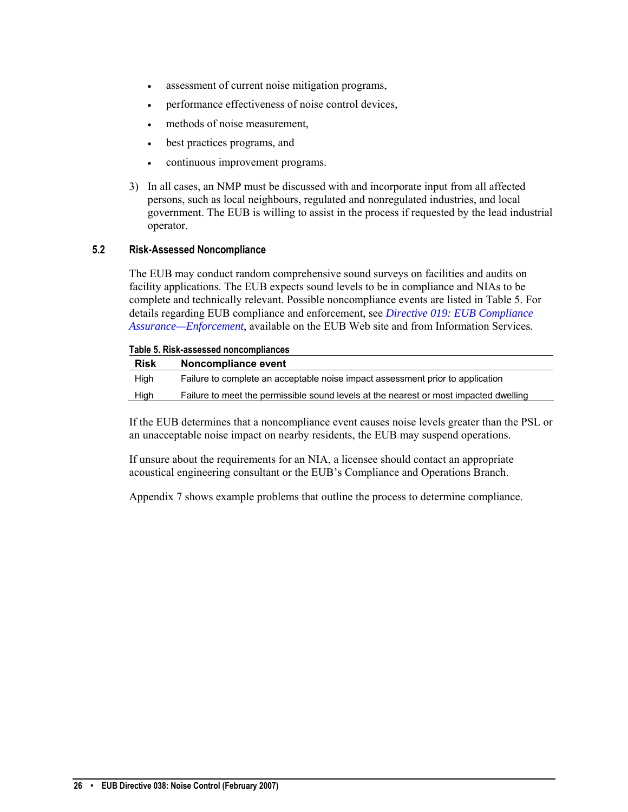- <span id="page-27-0"></span>assessment of current noise mitigation programs,
- performance effectiveness of noise control devices,
- methods of noise measurement,
- best practices programs, and
- continuous improvement programs.
- 3) In all cases, an NMP must be discussed with and incorporate input from all affected persons, such as local neighbours, regulated and nonregulated industries, and local government. The EUB is willing to assist in the process if requested by the lead industrial operator.

#### **5.2 Risk-Assessed Noncompliance**

The EUB may conduct random comprehensive sound surveys on facilities and audits on facility applications. The EUB expects sound levels to be in compliance and NIAs to be complete and technically relevant. Possible noncompliance events are listed in Table 5. For details regarding EUB compliance and enforcement, see *[Directive 019: EUB Compliance](http://www.eub.ca/portal/server.pt/gateway/PTARGS_0_0_270_233_0_43/http%3B/extContent/publishedcontent/publish/eub_home/industry_zone/rules__regulations__requirements/directives/directive019.aspx)  [Assurance—Enforcement](http://www.eub.ca/portal/server.pt/gateway/PTARGS_0_0_270_233_0_43/http%3B/extContent/publishedcontent/publish/eub_home/industry_zone/rules__regulations__requirements/directives/directive019.aspx)*, available on the EUB Web site and from Information Services*.* 

#### **Table 5. Risk-assessed noncompliances**

| <b>Risk</b> | Noncompliance event                                                                   |
|-------------|---------------------------------------------------------------------------------------|
| High        | Failure to complete an acceptable noise impact assessment prior to application        |
| High        | Failure to meet the permissible sound levels at the nearest or most impacted dwelling |

If the EUB determines that a noncompliance event causes noise levels greater than the PSL or an unacceptable noise impact on nearby residents, the EUB may suspend operations.

If unsure about the requirements for an NIA, a licensee should contact an appropriate acoustical engineering consultant or the EUB's Compliance and Operations Branch.

Appendix 7 shows example problems that outline the process to determine compliance.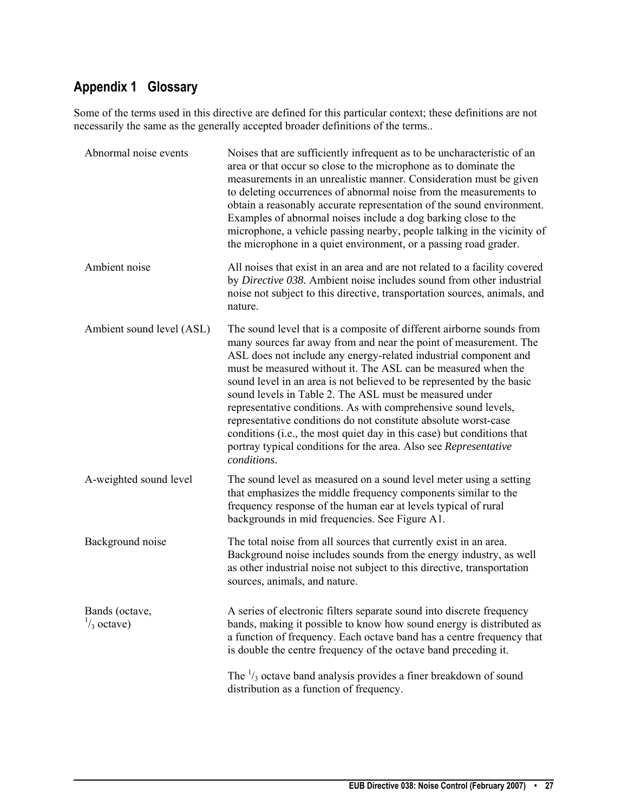# <span id="page-28-0"></span>**Appendix 1 Glossary**

Some of the terms used in this directive are defined for this particular context; these definitions are not necessarily the same as the generally accepted broader definitions of the terms..

| Abnormal noise events                   | Noises that are sufficiently infrequent as to be uncharacteristic of an<br>area or that occur so close to the microphone as to dominate the<br>measurements in an unrealistic manner. Consideration must be given<br>to deleting occurrences of abnormal noise from the measurements to<br>obtain a reasonably accurate representation of the sound environment.<br>Examples of abnormal noises include a dog barking close to the<br>microphone, a vehicle passing nearby, people talking in the vicinity of<br>the microphone in a quiet environment, or a passing road grader.                                                                                                                                     |
|-----------------------------------------|-----------------------------------------------------------------------------------------------------------------------------------------------------------------------------------------------------------------------------------------------------------------------------------------------------------------------------------------------------------------------------------------------------------------------------------------------------------------------------------------------------------------------------------------------------------------------------------------------------------------------------------------------------------------------------------------------------------------------|
| Ambient noise                           | All noises that exist in an area and are not related to a facility covered<br>by Directive 038. Ambient noise includes sound from other industrial<br>noise not subject to this directive, transportation sources, animals, and<br>nature.                                                                                                                                                                                                                                                                                                                                                                                                                                                                            |
| Ambient sound level (ASL)               | The sound level that is a composite of different airborne sounds from<br>many sources far away from and near the point of measurement. The<br>ASL does not include any energy-related industrial component and<br>must be measured without it. The ASL can be measured when the<br>sound level in an area is not believed to be represented by the basic<br>sound levels in Table 2. The ASL must be measured under<br>representative conditions. As with comprehensive sound levels,<br>representative conditions do not constitute absolute worst-case<br>conditions (i.e., the most quiet day in this case) but conditions that<br>portray typical conditions for the area. Also see Representative<br>conditions. |
| A-weighted sound level                  | The sound level as measured on a sound level meter using a setting<br>that emphasizes the middle frequency components similar to the<br>frequency response of the human ear at levels typical of rural<br>backgrounds in mid frequencies. See Figure A1.                                                                                                                                                                                                                                                                                                                                                                                                                                                              |
| Background noise                        | The total noise from all sources that currently exist in an area.<br>Background noise includes sounds from the energy industry, as well<br>as other industrial noise not subject to this directive, transportation<br>sources, animals, and nature.                                                                                                                                                                                                                                                                                                                                                                                                                                                                   |
| Bands (octave,<br>$\frac{1}{3}$ octave) | A series of electronic filters separate sound into discrete frequency<br>bands, making it possible to know how sound energy is distributed as<br>a function of frequency. Each octave band has a centre frequency that<br>is double the centre frequency of the octave band preceding it.                                                                                                                                                                                                                                                                                                                                                                                                                             |
|                                         | The $\frac{1}{3}$ octave band analysis provides a finer breakdown of sound<br>distribution as a function of frequency.                                                                                                                                                                                                                                                                                                                                                                                                                                                                                                                                                                                                |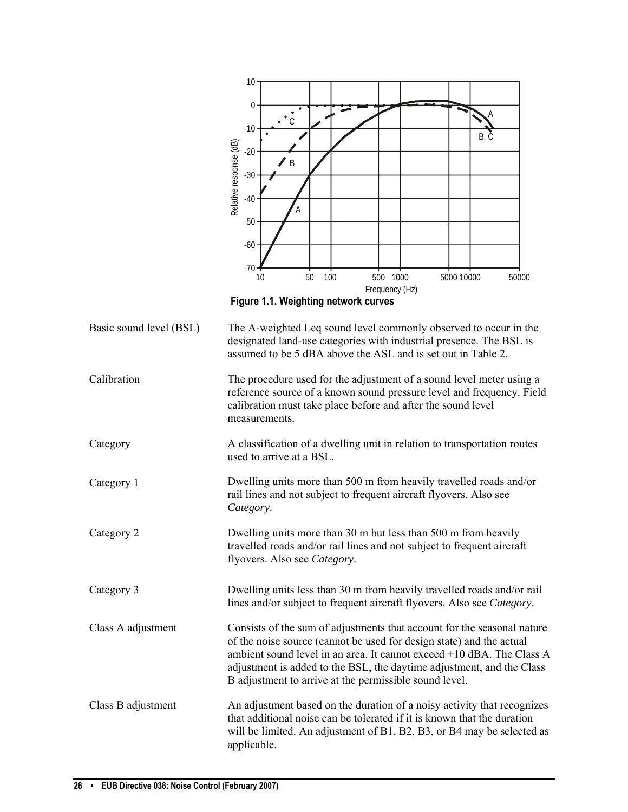| 10                                                                                                                                               |
|--------------------------------------------------------------------------------------------------------------------------------------------------|
| $\boldsymbol{0}$                                                                                                                                 |
| $-10$                                                                                                                                            |
| B, Č                                                                                                                                             |
| Relative response (dB)<br>$-20$<br>$\mathsf B$                                                                                                   |
| $-30$                                                                                                                                            |
| $-40$<br>А                                                                                                                                       |
| $-50$                                                                                                                                            |
| $-60$                                                                                                                                            |
| $-70$                                                                                                                                            |
| 100<br>500 1000<br>50<br>5000 10000<br>10<br>50000<br>Frequency (Hz)                                                                             |
| Figure 1.1. Weighting network curves                                                                                                             |
| The A-weighted Leq sound level commonly observed to occur in the                                                                                 |
| designated land-use categories with industrial presence. The BSL is<br>assumed to be 5 dBA above the ASL and is set out in Table 2.              |
| The procedure used for the adjustment of a sound level meter using a                                                                             |
| reference source of a known sound pressure level and frequency. Field<br>calibration must take place before and after the sound level            |
| measurements.                                                                                                                                    |
| A classification of a dwelling unit in relation to transportation routes<br>used to arrive at a BSL.                                             |
| Dwelling units more than 500 m from heavily travelled roads and/or                                                                               |
| rail lines and not subject to frequent aircraft flyovers. Also see<br>Category.                                                                  |
| Dwelling units more than 30 m but less than 500 m from heavily                                                                                   |
| travelled roads and/or rail lines and not subject to frequent aircraft<br>flyovers. Also see Category.                                           |
|                                                                                                                                                  |
| Dwelling units less than 30 m from heavily travelled roads and/or rail<br>lines and/or subject to frequent aircraft flyovers. Also see Category. |
| Consists of the sum of adjustments that account for the seasonal nature                                                                          |
| of the noise source (cannot be used for design state) and the actual<br>ambient sound level in an area. It cannot exceed +10 dBA. The Class A    |
| adjustment is added to the BSL, the daytime adjustment, and the Class<br>B adjustment to arrive at the permissible sound level.                  |
| An adjustment based on the duration of a noisy activity that recognizes                                                                          |
| that additional noise can be tolerated if it is known that the duration                                                                          |
| will be limited. An adjustment of B1, B2, B3, or B4 may be selected as<br>applicable.                                                            |
|                                                                                                                                                  |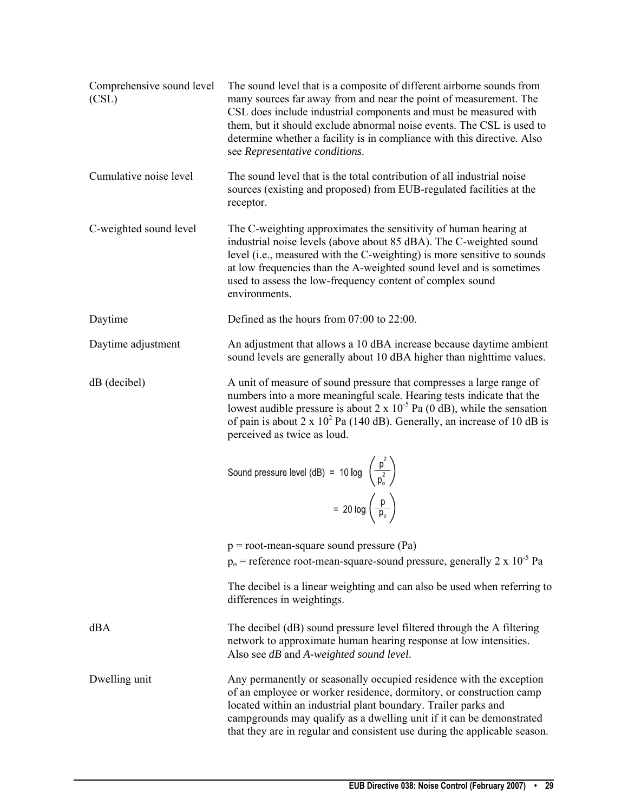| Comprehensive sound level<br>(CSL) | The sound level that is a composite of different airborne sounds from<br>many sources far away from and near the point of measurement. The<br>CSL does include industrial components and must be measured with<br>them, but it should exclude abnormal noise events. The CSL is used to<br>determine whether a facility is in compliance with this directive. Also<br>see Representative conditions. |
|------------------------------------|------------------------------------------------------------------------------------------------------------------------------------------------------------------------------------------------------------------------------------------------------------------------------------------------------------------------------------------------------------------------------------------------------|
| Cumulative noise level             | The sound level that is the total contribution of all industrial noise<br>sources (existing and proposed) from EUB-regulated facilities at the<br>receptor.                                                                                                                                                                                                                                          |
| C-weighted sound level             | The C-weighting approximates the sensitivity of human hearing at<br>industrial noise levels (above about 85 dBA). The C-weighted sound<br>level (i.e., measured with the C-weighting) is more sensitive to sounds<br>at low frequencies than the A-weighted sound level and is sometimes<br>used to assess the low-frequency content of complex sound<br>environments.                               |
| Daytime                            | Defined as the hours from 07:00 to 22:00.                                                                                                                                                                                                                                                                                                                                                            |
| Daytime adjustment                 | An adjustment that allows a 10 dBA increase because daytime ambient<br>sound levels are generally about 10 dBA higher than nighttime values.                                                                                                                                                                                                                                                         |
| $dB$ (decibel)                     | A unit of measure of sound pressure that compresses a large range of<br>numbers into a more meaningful scale. Hearing tests indicate that the<br>lowest audible pressure is about $2 \times 10^{-5}$ Pa (0 dB), while the sensation<br>of pain is about $2 \times 10^2$ Pa (140 dB). Generally, an increase of 10 dB is<br>perceived as twice as loud.                                               |
|                                    | Sound pressure level (dB) = 10 log $\left(\frac{p^2}{p_o^2}\right)$                                                                                                                                                                                                                                                                                                                                  |
|                                    | $= 20 \log \left(\frac{p}{p_o}\right)$                                                                                                                                                                                                                                                                                                                                                               |
|                                    | $p = root$ -mean-square sound pressure (Pa)<br>$p_0$ = reference root-mean-square-sound pressure, generally 2 x 10 <sup>-5</sup> Pa                                                                                                                                                                                                                                                                  |
|                                    | The decibel is a linear weighting and can also be used when referring to<br>differences in weightings.                                                                                                                                                                                                                                                                                               |
| dBA                                | The decibel (dB) sound pressure level filtered through the A filtering<br>network to approximate human hearing response at low intensities.<br>Also see dB and A-weighted sound level.                                                                                                                                                                                                               |
| Dwelling unit                      | Any permanently or seasonally occupied residence with the exception<br>of an employee or worker residence, dormitory, or construction camp<br>located within an industrial plant boundary. Trailer parks and<br>campgrounds may qualify as a dwelling unit if it can be demonstrated<br>that they are in regular and consistent use during the applicable season.                                    |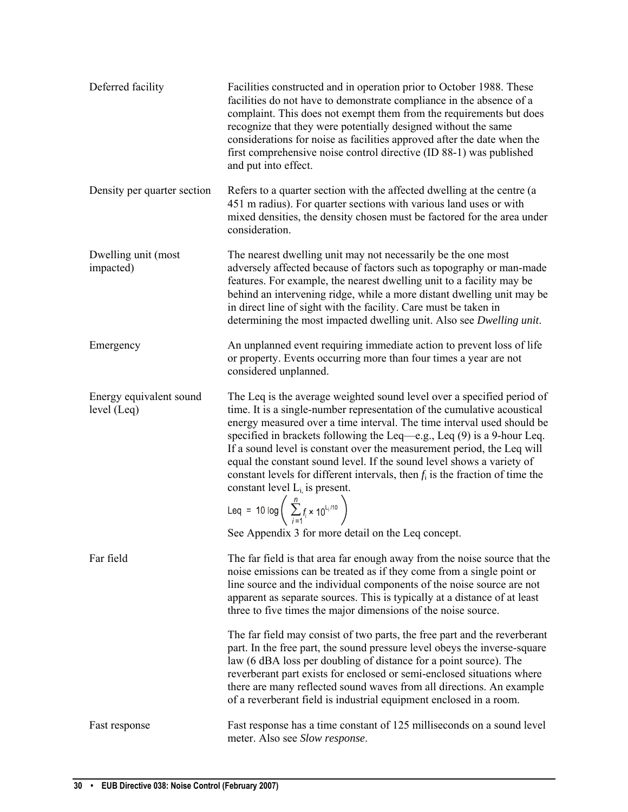| Deferred facility                      | Facilities constructed and in operation prior to October 1988. These<br>facilities do not have to demonstrate compliance in the absence of a<br>complaint. This does not exempt them from the requirements but does<br>recognize that they were potentially designed without the same<br>considerations for noise as facilities approved after the date when the<br>first comprehensive noise control directive (ID 88-1) was published<br>and put into effect.                                                                                                                                                                                                                                                |
|----------------------------------------|----------------------------------------------------------------------------------------------------------------------------------------------------------------------------------------------------------------------------------------------------------------------------------------------------------------------------------------------------------------------------------------------------------------------------------------------------------------------------------------------------------------------------------------------------------------------------------------------------------------------------------------------------------------------------------------------------------------|
| Density per quarter section            | Refers to a quarter section with the affected dwelling at the centre (a<br>451 m radius). For quarter sections with various land uses or with<br>mixed densities, the density chosen must be factored for the area under<br>consideration.                                                                                                                                                                                                                                                                                                                                                                                                                                                                     |
| Dwelling unit (most<br>impacted)       | The nearest dwelling unit may not necessarily be the one most<br>adversely affected because of factors such as topography or man-made<br>features. For example, the nearest dwelling unit to a facility may be<br>behind an intervening ridge, while a more distant dwelling unit may be<br>in direct line of sight with the facility. Care must be taken in<br>determining the most impacted dwelling unit. Also see <i>Dwelling unit</i> .                                                                                                                                                                                                                                                                   |
| Emergency                              | An unplanned event requiring immediate action to prevent loss of life<br>or property. Events occurring more than four times a year are not<br>considered unplanned.                                                                                                                                                                                                                                                                                                                                                                                                                                                                                                                                            |
| Energy equivalent sound<br>level (Leq) | The Leq is the average weighted sound level over a specified period of<br>time. It is a single-number representation of the cumulative acoustical<br>energy measured over a time interval. The time interval used should be<br>specified in brackets following the Leq—e.g., Leq $(9)$ is a 9-hour Leq.<br>If a sound level is constant over the measurement period, the Leq will<br>equal the constant sound level. If the sound level shows a variety of<br>constant levels for different intervals, then $f_i$ is the fraction of time the<br>constant level $L_i$ is present.<br>Leq = 10 log $\left( \sum_{i=1}^{n} f_i \times 10^{l_i/10} \right)$<br>See Appendix 3 for more detail on the Leq concept. |
| Far field                              | The far field is that area far enough away from the noise source that the<br>noise emissions can be treated as if they come from a single point or<br>line source and the individual components of the noise source are not<br>apparent as separate sources. This is typically at a distance of at least<br>three to five times the major dimensions of the noise source.                                                                                                                                                                                                                                                                                                                                      |
|                                        | The far field may consist of two parts, the free part and the reverberant<br>part. In the free part, the sound pressure level obeys the inverse-square<br>law (6 dBA loss per doubling of distance for a point source). The<br>reverberant part exists for enclosed or semi-enclosed situations where<br>there are many reflected sound waves from all directions. An example<br>of a reverberant field is industrial equipment enclosed in a room.                                                                                                                                                                                                                                                            |
| Fast response                          | Fast response has a time constant of 125 milliseconds on a sound level<br>meter. Also see Slow response.                                                                                                                                                                                                                                                                                                                                                                                                                                                                                                                                                                                                       |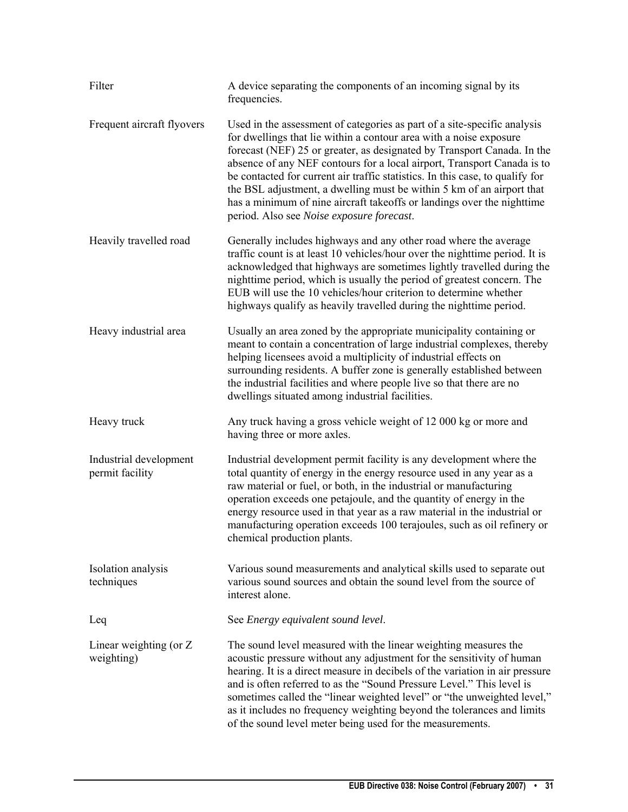| Filter                                    | A device separating the components of an incoming signal by its<br>frequencies.                                                                                                                                                                                                                                                                                                                                                                                                                                                                                                       |
|-------------------------------------------|---------------------------------------------------------------------------------------------------------------------------------------------------------------------------------------------------------------------------------------------------------------------------------------------------------------------------------------------------------------------------------------------------------------------------------------------------------------------------------------------------------------------------------------------------------------------------------------|
| Frequent aircraft flyovers                | Used in the assessment of categories as part of a site-specific analysis<br>for dwellings that lie within a contour area with a noise exposure<br>forecast (NEF) 25 or greater, as designated by Transport Canada. In the<br>absence of any NEF contours for a local airport, Transport Canada is to<br>be contacted for current air traffic statistics. In this case, to qualify for<br>the BSL adjustment, a dwelling must be within 5 km of an airport that<br>has a minimum of nine aircraft takeoffs or landings over the nighttime<br>period. Also see Noise exposure forecast. |
| Heavily travelled road                    | Generally includes highways and any other road where the average<br>traffic count is at least 10 vehicles/hour over the nighttime period. It is<br>acknowledged that highways are sometimes lightly travelled during the<br>nighttime period, which is usually the period of greatest concern. The<br>EUB will use the 10 vehicles/hour criterion to determine whether<br>highways qualify as heavily travelled during the nighttime period.                                                                                                                                          |
| Heavy industrial area                     | Usually an area zoned by the appropriate municipality containing or<br>meant to contain a concentration of large industrial complexes, thereby<br>helping licensees avoid a multiplicity of industrial effects on<br>surrounding residents. A buffer zone is generally established between<br>the industrial facilities and where people live so that there are no<br>dwellings situated among industrial facilities.                                                                                                                                                                 |
| Heavy truck                               | Any truck having a gross vehicle weight of 12 000 kg or more and<br>having three or more axles.                                                                                                                                                                                                                                                                                                                                                                                                                                                                                       |
| Industrial development<br>permit facility | Industrial development permit facility is any development where the<br>total quantity of energy in the energy resource used in any year as a<br>raw material or fuel, or both, in the industrial or manufacturing<br>operation exceeds one petajoule, and the quantity of energy in the<br>energy resource used in that year as a raw material in the industrial or<br>manufacturing operation exceeds 100 terajoules, such as oil refinery or<br>chemical production plants.                                                                                                         |
| Isolation analysis<br>techniques          | Various sound measurements and analytical skills used to separate out<br>various sound sources and obtain the sound level from the source of<br>interest alone.                                                                                                                                                                                                                                                                                                                                                                                                                       |
| Leq                                       | See Energy equivalent sound level.                                                                                                                                                                                                                                                                                                                                                                                                                                                                                                                                                    |
| Linear weighting (or Z<br>weighting)      | The sound level measured with the linear weighting measures the<br>acoustic pressure without any adjustment for the sensitivity of human<br>hearing. It is a direct measure in decibels of the variation in air pressure<br>and is often referred to as the "Sound Pressure Level." This level is<br>sometimes called the "linear weighted level" or "the unweighted level,"<br>as it includes no frequency weighting beyond the tolerances and limits<br>of the sound level meter being used for the measurements.                                                                   |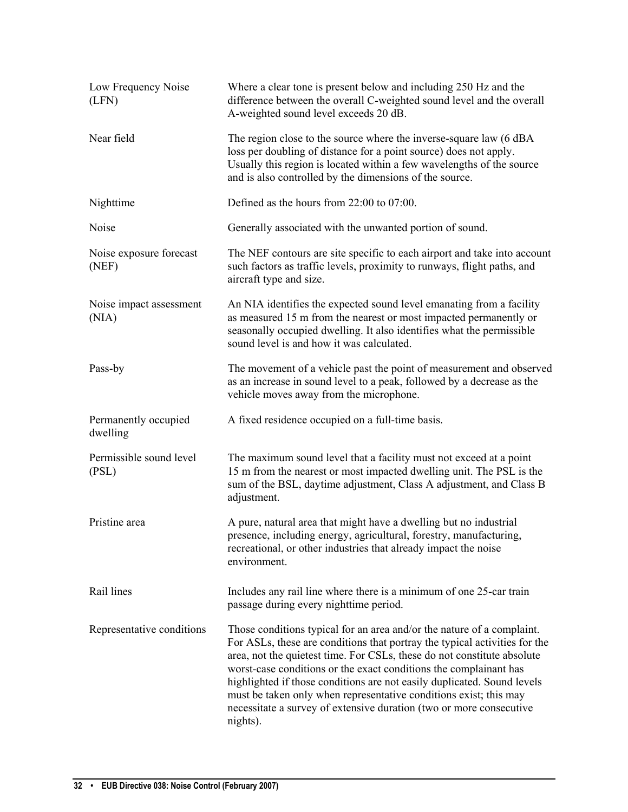| Low Frequency Noise<br>(LFN)     | Where a clear tone is present below and including 250 Hz and the<br>difference between the overall C-weighted sound level and the overall<br>A-weighted sound level exceeds 20 dB.                                                                                                                                                                                                                                                                                                                                                      |  |
|----------------------------------|-----------------------------------------------------------------------------------------------------------------------------------------------------------------------------------------------------------------------------------------------------------------------------------------------------------------------------------------------------------------------------------------------------------------------------------------------------------------------------------------------------------------------------------------|--|
| Near field                       | The region close to the source where the inverse-square law (6 dBA<br>loss per doubling of distance for a point source) does not apply.<br>Usually this region is located within a few wavelengths of the source<br>and is also controlled by the dimensions of the source.                                                                                                                                                                                                                                                             |  |
| Nighttime                        | Defined as the hours from 22:00 to 07:00.                                                                                                                                                                                                                                                                                                                                                                                                                                                                                               |  |
| Noise                            | Generally associated with the unwanted portion of sound.                                                                                                                                                                                                                                                                                                                                                                                                                                                                                |  |
| Noise exposure forecast<br>(NEF) | The NEF contours are site specific to each airport and take into account<br>such factors as traffic levels, proximity to runways, flight paths, and<br>aircraft type and size.                                                                                                                                                                                                                                                                                                                                                          |  |
| Noise impact assessment<br>(NIA) | An NIA identifies the expected sound level emanating from a facility<br>as measured 15 m from the nearest or most impacted permanently or<br>seasonally occupied dwelling. It also identifies what the permissible<br>sound level is and how it was calculated.                                                                                                                                                                                                                                                                         |  |
| Pass-by                          | The movement of a vehicle past the point of measurement and observed<br>as an increase in sound level to a peak, followed by a decrease as the<br>vehicle moves away from the microphone.                                                                                                                                                                                                                                                                                                                                               |  |
| Permanently occupied<br>dwelling | A fixed residence occupied on a full-time basis.                                                                                                                                                                                                                                                                                                                                                                                                                                                                                        |  |
| Permissible sound level<br>(PSL) | The maximum sound level that a facility must not exceed at a point<br>15 m from the nearest or most impacted dwelling unit. The PSL is the<br>sum of the BSL, daytime adjustment, Class A adjustment, and Class B<br>adjustment.                                                                                                                                                                                                                                                                                                        |  |
| Pristine area                    | A pure, natural area that might have a dwelling but no industrial<br>presence, including energy, agricultural, forestry, manufacturing,<br>recreational, or other industries that already impact the noise<br>environment.                                                                                                                                                                                                                                                                                                              |  |
| Rail lines                       | Includes any rail line where there is a minimum of one 25-car train<br>passage during every nighttime period.                                                                                                                                                                                                                                                                                                                                                                                                                           |  |
| Representative conditions        | Those conditions typical for an area and/or the nature of a complaint.<br>For ASLs, these are conditions that portray the typical activities for the<br>area, not the quietest time. For CSLs, these do not constitute absolute<br>worst-case conditions or the exact conditions the complainant has<br>highlighted if those conditions are not easily duplicated. Sound levels<br>must be taken only when representative conditions exist; this may<br>necessitate a survey of extensive duration (two or more consecutive<br>nights). |  |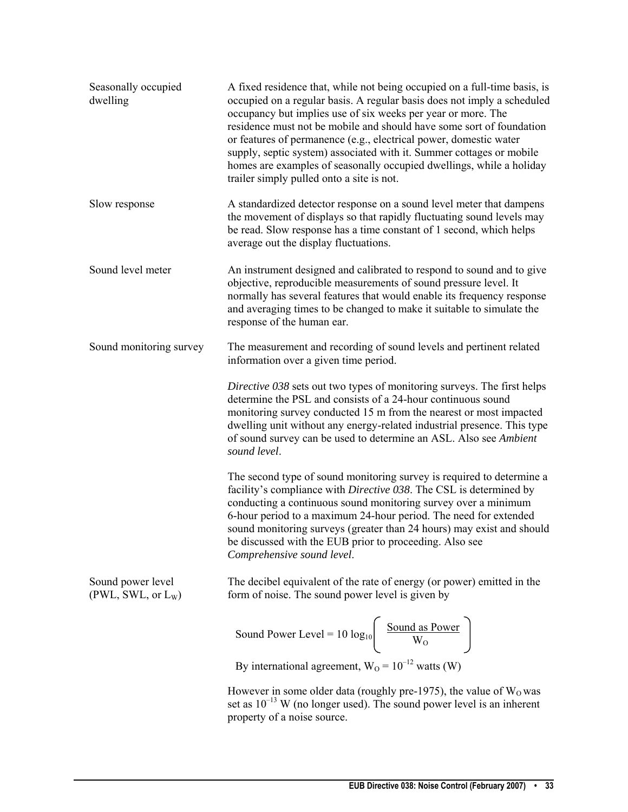| Seasonally occupied<br>dwelling                     | A fixed residence that, while not being occupied on a full-time basis, is<br>occupied on a regular basis. A regular basis does not imply a scheduled<br>occupancy but implies use of six weeks per year or more. The<br>residence must not be mobile and should have some sort of foundation<br>or features of permanence (e.g., electrical power, domestic water<br>supply, septic system) associated with it. Summer cottages or mobile<br>homes are examples of seasonally occupied dwellings, while a holiday<br>trailer simply pulled onto a site is not. |
|-----------------------------------------------------|----------------------------------------------------------------------------------------------------------------------------------------------------------------------------------------------------------------------------------------------------------------------------------------------------------------------------------------------------------------------------------------------------------------------------------------------------------------------------------------------------------------------------------------------------------------|
| Slow response                                       | A standardized detector response on a sound level meter that dampens<br>the movement of displays so that rapidly fluctuating sound levels may<br>be read. Slow response has a time constant of 1 second, which helps<br>average out the display fluctuations.                                                                                                                                                                                                                                                                                                  |
| Sound level meter                                   | An instrument designed and calibrated to respond to sound and to give<br>objective, reproducible measurements of sound pressure level. It<br>normally has several features that would enable its frequency response<br>and averaging times to be changed to make it suitable to simulate the<br>response of the human ear.                                                                                                                                                                                                                                     |
| Sound monitoring survey                             | The measurement and recording of sound levels and pertinent related<br>information over a given time period.                                                                                                                                                                                                                                                                                                                                                                                                                                                   |
|                                                     | Directive 038 sets out two types of monitoring surveys. The first helps<br>determine the PSL and consists of a 24-hour continuous sound<br>monitoring survey conducted 15 m from the nearest or most impacted<br>dwelling unit without any energy-related industrial presence. This type<br>of sound survey can be used to determine an ASL. Also see Ambient<br>sound level.                                                                                                                                                                                  |
|                                                     | The second type of sound monitoring survey is required to determine a<br>facility's compliance with Directive 038. The CSL is determined by<br>conducting a continuous sound monitoring survey over a minimum<br>6-hour period to a maximum 24-hour period. The need for extended<br>sound monitoring surveys (greater than 24 hours) may exist and should<br>be discussed with the EUB prior to proceeding. Also see<br>Comprehensive sound level.                                                                                                            |
| Sound power level<br>(PWL, SWL, or L <sub>W</sub> ) | The decibel equivalent of the rate of energy (or power) emitted in the<br>form of noise. The sound power level is given by                                                                                                                                                                                                                                                                                                                                                                                                                                     |
|                                                     | Sound Power Level = 10 $log_{10}$ $\left(\frac{Sound \text{ as Power}}{W_0}\right)$                                                                                                                                                                                                                                                                                                                                                                                                                                                                            |
|                                                     | By international agreement, $W_0 = 10^{-12}$ watts (W)                                                                                                                                                                                                                                                                                                                                                                                                                                                                                                         |
|                                                     | However in some older data (roughly pre-1975), the value of $W_0$ was<br>set as $10^{-13}$ W (no longer used). The sound power level is an inherent<br>property of a noise source.                                                                                                                                                                                                                                                                                                                                                                             |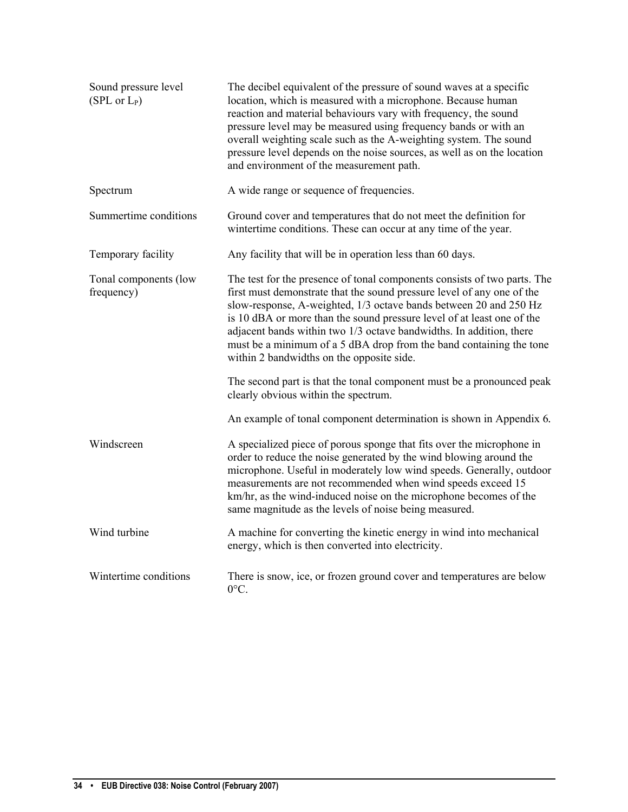| Sound pressure level<br>(SPL or L <sub>P</sub> ) | The decibel equivalent of the pressure of sound waves at a specific<br>location, which is measured with a microphone. Because human<br>reaction and material behaviours vary with frequency, the sound<br>pressure level may be measured using frequency bands or with an<br>overall weighting scale such as the A-weighting system. The sound<br>pressure level depends on the noise sources, as well as on the location<br>and environment of the measurement path.                        |
|--------------------------------------------------|----------------------------------------------------------------------------------------------------------------------------------------------------------------------------------------------------------------------------------------------------------------------------------------------------------------------------------------------------------------------------------------------------------------------------------------------------------------------------------------------|
| Spectrum                                         | A wide range or sequence of frequencies.                                                                                                                                                                                                                                                                                                                                                                                                                                                     |
| Summertime conditions                            | Ground cover and temperatures that do not meet the definition for<br>wintertime conditions. These can occur at any time of the year.                                                                                                                                                                                                                                                                                                                                                         |
| Temporary facility                               | Any facility that will be in operation less than 60 days.                                                                                                                                                                                                                                                                                                                                                                                                                                    |
| Tonal components (low<br>frequency)              | The test for the presence of tonal components consists of two parts. The<br>first must demonstrate that the sound pressure level of any one of the<br>slow-response, A-weighted, 1/3 octave bands between 20 and 250 Hz<br>is 10 dBA or more than the sound pressure level of at least one of the<br>adjacent bands within two 1/3 octave bandwidths. In addition, there<br>must be a minimum of a 5 dBA drop from the band containing the tone<br>within 2 bandwidths on the opposite side. |
|                                                  | The second part is that the tonal component must be a pronounced peak<br>clearly obvious within the spectrum.                                                                                                                                                                                                                                                                                                                                                                                |
|                                                  | An example of tonal component determination is shown in Appendix 6.                                                                                                                                                                                                                                                                                                                                                                                                                          |
| Windscreen                                       | A specialized piece of porous sponge that fits over the microphone in<br>order to reduce the noise generated by the wind blowing around the<br>microphone. Useful in moderately low wind speeds. Generally, outdoor<br>measurements are not recommended when wind speeds exceed 15<br>km/hr, as the wind-induced noise on the microphone becomes of the<br>same magnitude as the levels of noise being measured.                                                                             |
| Wind turbine                                     | A machine for converting the kinetic energy in wind into mechanical<br>energy, which is then converted into electricity.                                                                                                                                                                                                                                                                                                                                                                     |
| Wintertime conditions                            | There is snow, ice, or frozen ground cover and temperatures are below<br>0°C.                                                                                                                                                                                                                                                                                                                                                                                                                |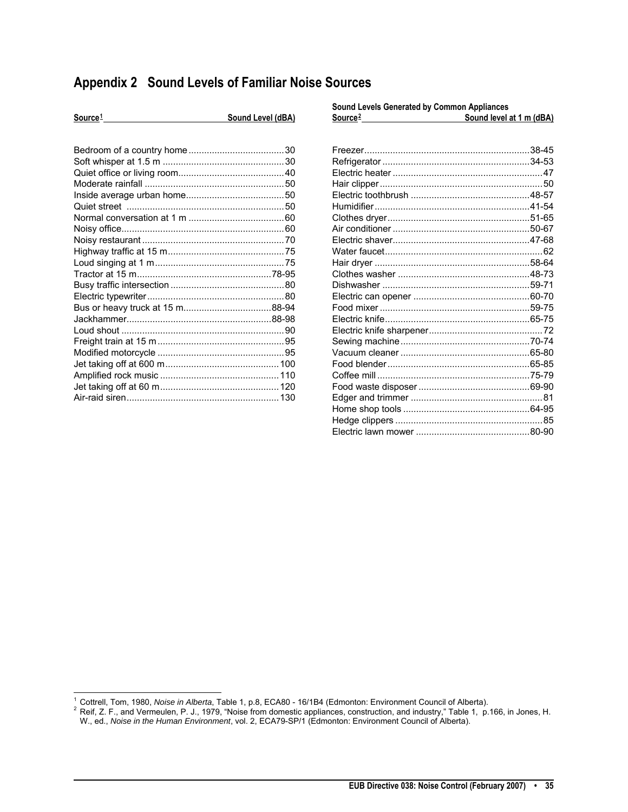# <span id="page-36-0"></span>**Appendix 2 Sound Levels of Familiar Noise Sources**

| Source <sup>1</sup> | Sound Level (dBA) | Source <sup>2</sup> | Sound level at 1 m (dBA) |  |
|---------------------|-------------------|---------------------|--------------------------|--|
|                     |                   |                     |                          |  |

| Sound Levels Generated by Common Appliances |                          |  |
|---------------------------------------------|--------------------------|--|
|                                             | Sound level at 1 m (dBA) |  |
|                                             |                          |  |
|                                             |                          |  |
|                                             |                          |  |
|                                             |                          |  |
|                                             |                          |  |
|                                             |                          |  |
|                                             |                          |  |
|                                             |                          |  |
|                                             |                          |  |
|                                             |                          |  |
|                                             |                          |  |
|                                             |                          |  |
|                                             |                          |  |
|                                             |                          |  |
|                                             |                          |  |
|                                             |                          |  |
|                                             |                          |  |
|                                             |                          |  |
|                                             |                          |  |
|                                             |                          |  |
|                                             |                          |  |
|                                             |                          |  |
|                                             |                          |  |
|                                             |                          |  |
|                                             |                          |  |
|                                             |                          |  |
|                                             |                          |  |
|                                             |                          |  |
|                                             |                          |  |

<sup>&</sup>lt;sup>1</sup> Cottrell, Tom, 1980, Noise in Alberta, Table 1, p.8, ECA80 - 16/1B4 (Edmonton: Environment Council of Alberta).

<span id="page-36-2"></span><span id="page-36-1"></span>Principle 1, 1999, 1999, 1999, 1999, "Noise from domestic appliances, construction, and industry," Table 1, p.166, in Jones, H. W., ed., *Noise in the Human Environment*, vol. 2, ECA79-SP/1 (Edmonton: Environment Council of Alberta).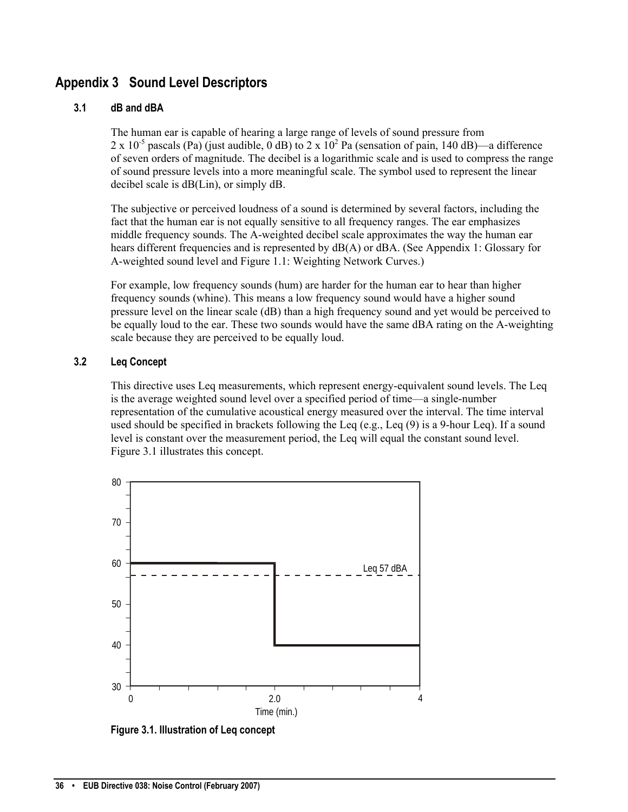# <span id="page-37-0"></span>**Appendix 3 Sound Level Descriptors**

## **3.1 dB and dBA**

The human ear is capable of hearing a large range of levels of sound pressure from 2 x 10<sup>-5</sup> pascals (Pa) (just audible, 0 dB) to 2 x 10<sup>2</sup> Pa (sensation of pain, 140 dB)—a difference of seven orders of magnitude. The decibel is a logarithmic scale and is used to compress the range of sound pressure levels into a more meaningful scale. The symbol used to represent the linear decibel scale is dB(Lin), or simply dB.

The subjective or perceived loudness of a sound is determined by several factors, including the fact that the human ear is not equally sensitive to all frequency ranges. The ear emphasizes middle frequency sounds. The A-weighted decibel scale approximates the way the human ear hears different frequencies and is represented by  $dB(A)$  or dBA. (See Appendix 1: Glossary for A-weighted sound level and Figure 1.1: Weighting Network Curves.)

For example, low frequency sounds (hum) are harder for the human ear to hear than higher frequency sounds (whine). This means a low frequency sound would have a higher sound pressure level on the linear scale (dB) than a high frequency sound and yet would be perceived to be equally loud to the ear. These two sounds would have the same dBA rating on the A-weighting scale because they are perceived to be equally loud.

# **3.2 Leq Concept**

This directive uses Leq measurements, which represent energy-equivalent sound levels. The Leq is the average weighted sound level over a specified period of time—a single-number representation of the cumulative acoustical energy measured over the interval. The time interval used should be specified in brackets following the Leq (e.g., Leq  $(9)$  is a 9-hour Leq). If a sound level is constant over the measurement period, the Leq will equal the constant sound level. Figure 3.1 illustrates this concept.



**Figure 3.1. Illustration of Leq concept**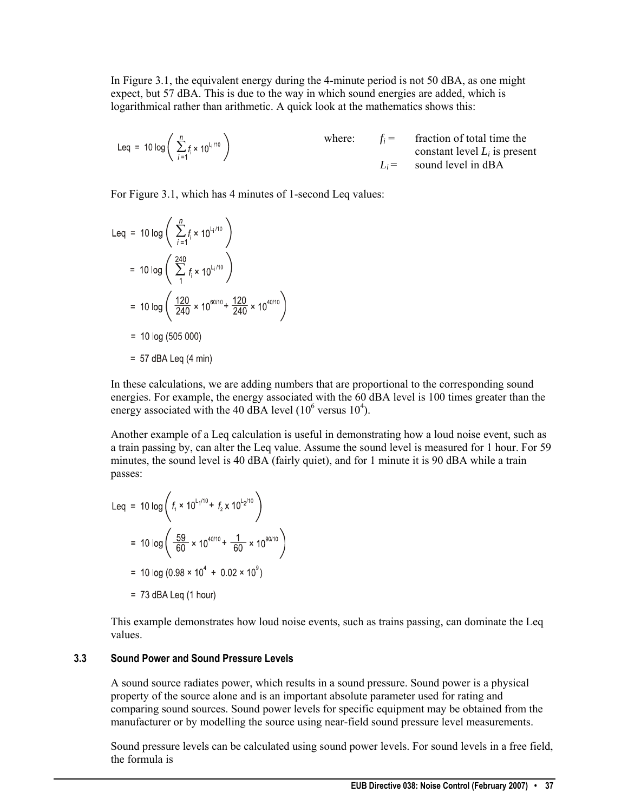In Figure 3.1, the equivalent energy during the 4-minute period is not 50 dBA, as one might expect, but 57 dBA. This is due to the way in which sound energies are added, which is logarithmical rather than arithmetic. A quick look at the mathematics shows this:

\n
$$
\text{Leg} = 10 \log \left( \sum_{i=1}^{n} f_i \times 10^{l_i/10} \right)
$$
\n where: \n  $f_i = \text{fraction of total time the constant level } L_i \text{ is present}$ \n  $L_i = \text{sound level in dBA}$ \n

For Figure 3.1, which has 4 minutes of 1-second Leq values:

$$
\begin{aligned}\n\text{Leq} &= 10 \log \left( \sum_{j=1}^{n} f_{i} \times 10^{L_{j}/10} \right) \\
&= 10 \log \left( \sum_{j=1}^{240} f_{j} \times 10^{L_{j}/10} \right) \\
&= 10 \log \left( \frac{120}{240} \times 10^{60/10} + \frac{120}{240} \times 10^{40/10} \right) \\
&= 10 \log (505\,000) \\
&= 57 \text{ dBA Leg (4 min)}\n\end{aligned}
$$

In these calculations, we are adding numbers that are proportional to the corresponding sound energies. For example, the energy associated with the 60 dBA level is 100 times greater than the energy associated with the 40 dBA level  $(10^6 \text{ versus } 10^4)$ .

Another example of a Leq calculation is useful in demonstrating how a loud noise event, such as a train passing by, can alter the Leq value. Assume the sound level is measured for 1 hour. For 59 minutes, the sound level is 40 dBA (fairly quiet), and for 1 minute it is 90 dBA while a train passes:

$$
\begin{aligned}\n\text{Leq} &= 10 \log \left( f_1 \times 10^{11/10} + f_2 \times 10^{12/10} \right) \\
&= 10 \log \left( \frac{59}{60} \times 10^{40/10} + \frac{1}{60} \times 10^{90/10} \right) \\
&= 10 \log \left( 0.98 \times 10^4 + 0.02 \times 10^9 \right) \\
&= 73 \text{ dBA Leg (1 hour)}\n\end{aligned}
$$

This example demonstrates how loud noise events, such as trains passing, can dominate the Leq values.

#### **3.3 Sound Power and Sound Pressure Levels**

A sound source radiates power, which results in a sound pressure. Sound power is a physical property of the source alone and is an important absolute parameter used for rating and comparing sound sources. Sound power levels for specific equipment may be obtained from the manufacturer or by modelling the source using near-field sound pressure level measurements.

Sound pressure levels can be calculated using sound power levels. For sound levels in a free field, the formula is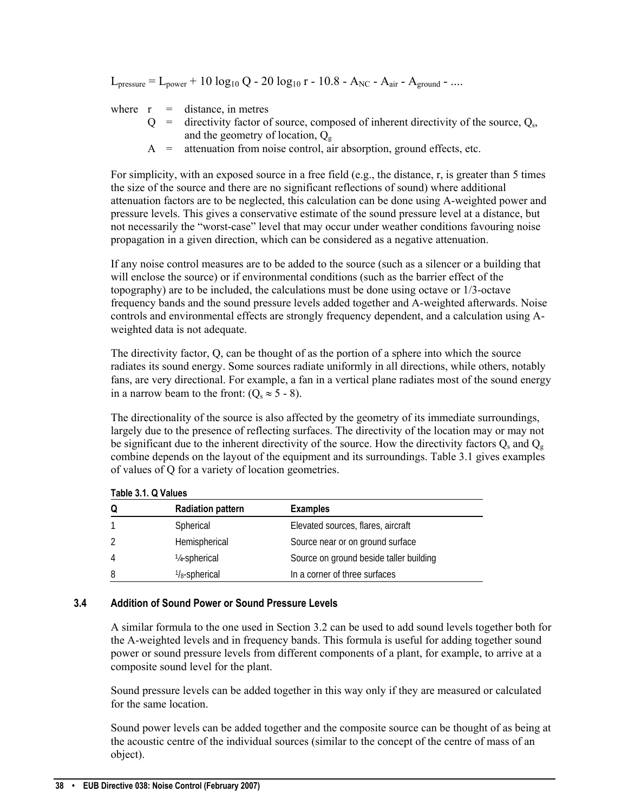$L_{\text{pressure}} = L_{\text{power}} + 10 \log_{10} Q - 20 \log_{10} r - 10.8 - A_{\text{NC}} - A_{\text{air}} - A_{\text{ground}} - ...$ 

where  $r =$  distance, in metres

- $Q =$  directivity factor of source, composed of inherent directivity of the source,  $Q_s$ , and the geometry of location,  $Q_{g}$
- $A =$  attenuation from noise control, air absorption, ground effects, etc.

For simplicity, with an exposed source in a free field (e.g., the distance, r, is greater than 5 times the size of the source and there are no significant reflections of sound) where additional attenuation factors are to be neglected, this calculation can be done using A-weighted power and pressure levels. This gives a conservative estimate of the sound pressure level at a distance, but not necessarily the "worst-case" level that may occur under weather conditions favouring noise propagation in a given direction, which can be considered as a negative attenuation.

If any noise control measures are to be added to the source (such as a silencer or a building that will enclose the source) or if environmental conditions (such as the barrier effect of the topography) are to be included, the calculations must be done using octave or 1/3-octave frequency bands and the sound pressure levels added together and A-weighted afterwards. Noise controls and environmental effects are strongly frequency dependent, and a calculation using Aweighted data is not adequate.

The directivity factor, Q, can be thought of as the portion of a sphere into which the source radiates its sound energy. Some sources radiate uniformly in all directions, while others, notably fans, are very directional. For example, a fan in a vertical plane radiates most of the sound energy in a narrow beam to the front:  $(O_s \approx 5 - 8)$ .

The directionality of the source is also affected by the geometry of its immediate surroundings, largely due to the presence of reflecting surfaces. The directivity of the location may or may not be significant due to the inherent directivity of the source. How the directivity factors  $Q_s$  and  $Q_s$ combine depends on the layout of the equipment and its surroundings. Table 3.1 gives examples of values of Q for a variety of location geometries.

| Q              | <b>Radiation pattern</b>   | <b>Examples</b>                         |  |
|----------------|----------------------------|-----------------------------------------|--|
|                | Spherical                  | Elevated sources, flares, aircraft      |  |
|                | Hemispherical              | Source near or on ground surface        |  |
| $\overline{4}$ | 1/ <sub>4</sub> -spherical | Source on ground beside taller building |  |
| 8              | $\frac{1}{8}$ -spherical   | In a corner of three surfaces           |  |

**Table 3.1. Q Values**

# **3.4 Addition of Sound Power or Sound Pressure Levels**

A similar formula to the one used in Section 3.2 can be used to add sound levels together both for the A-weighted levels and in frequency bands. This formula is useful for adding together sound power or sound pressure levels from different components of a plant, for example, to arrive at a composite sound level for the plant.

Sound pressure levels can be added together in this way only if they are measured or calculated for the same location.

Sound power levels can be added together and the composite source can be thought of as being at the acoustic centre of the individual sources (similar to the concept of the centre of mass of an object).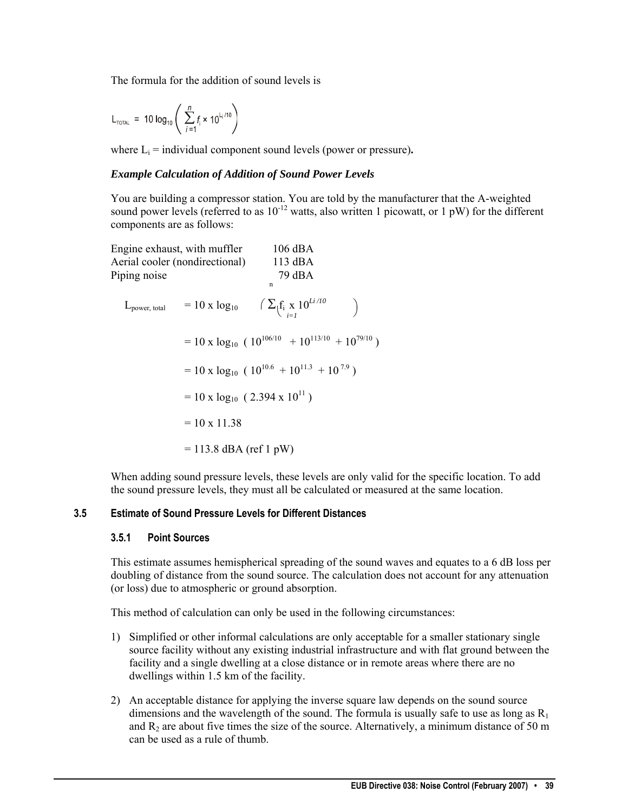The formula for the addition of sound levels is

$$
L_{\text{total}} = 10 \log_{10} \left( \sum_{i=1}^{n} f_i \times 10^{L_i/10} \right)
$$

where  $L_i$  = individual component sound levels (power or pressure).

#### *Example Calculation of Addition of Sound Power Levels*

You are building a compressor station. You are told by the manufacturer that the A-weighted sound power levels (referred to as  $10^{-12}$  watts, also written 1 picowatt, or 1 pW) for the different components are as follows:

| Engine exhaust, with muffler<br>Aerial cooler (nondirectional)<br>Piping noise |                          | $106$ dBA<br>$113$ dBA<br>79 dBA<br>$\mathsf{n}$                                           |  |
|--------------------------------------------------------------------------------|--------------------------|--------------------------------------------------------------------------------------------|--|
|                                                                                |                          | $L_{\text{power, total}} = 10 \text{ x } log_{10} \quad (\sum_{i=1}^{f_i} x_i 10^{Li/10})$ |  |
|                                                                                |                          | $= 10 \times log_{10} (10^{106/10} + 10^{113/10} + 10^{79/10})$                            |  |
|                                                                                |                          | $= 10 \times log_{10} (10^{10.6} + 10^{11.3} + 10^{7.9})$                                  |  |
|                                                                                |                          | $= 10 \times log_{10} (2.394 \times 10^{11})$                                              |  |
|                                                                                | $= 10 \times 11.38$      |                                                                                            |  |
|                                                                                | $= 113.8$ dBA (ref 1 pW) |                                                                                            |  |

When adding sound pressure levels, these levels are only valid for the specific location. To add the sound pressure levels, they must all be calculated or measured at the same location.

# **3.5 Estimate of Sound Pressure Levels for Different Distances**

#### **3.5.1 Point Sources**

This estimate assumes hemispherical spreading of the sound waves and equates to a 6 dB loss per doubling of distance from the sound source. The calculation does not account for any attenuation (or loss) due to atmospheric or ground absorption.

This method of calculation can only be used in the following circumstances:

- 1) Simplified or other informal calculations are only acceptable for a smaller stationary single source facility without any existing industrial infrastructure and with flat ground between the facility and a single dwelling at a close distance or in remote areas where there are no dwellings within 1.5 km of the facility.
- 2) An acceptable distance for applying the inverse square law depends on the sound source dimensions and the wavelength of the sound. The formula is usually safe to use as long as  $R_1$ and  $R_2$  are about five times the size of the source. Alternatively, a minimum distance of 50 m can be used as a rule of thumb.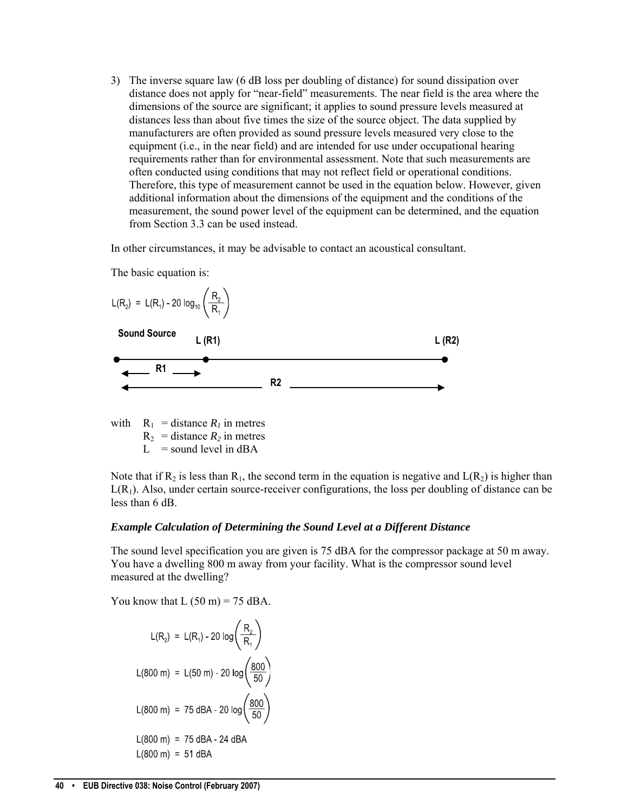3) The inverse square law (6 dB loss per doubling of distance) for sound dissipation over distance does not apply for "near-field" measurements. The near field is the area where the dimensions of the source are significant; it applies to sound pressure levels measured at distances less than about five times the size of the source object. The data supplied by manufacturers are often provided as sound pressure levels measured very close to the equipment (i.e., in the near field) and are intended for use under occupational hearing requirements rather than for environmental assessment. Note that such measurements are often conducted using conditions that may not reflect field or operational conditions. Therefore, this type of measurement cannot be used in the equation below. However, given additional information about the dimensions of the equipment and the conditions of the measurement, the sound power level of the equipment can be determined, and the equation from Section 3.3 can be used instead.

In other circumstances, it may be advisable to contact an acoustical consultant.



The basic equation is:

with  $R_1$  = distance  $R_1$  in metres  $R_2$  = distance  $R_2$  in metres  $L =$ sound level in dBA

Note that if R<sub>2</sub> is less than R<sub>1</sub>, the second term in the equation is negative and  $L(R_2)$  is higher than  $L(R_1)$ . Also, under certain source-receiver configurations, the loss per doubling of distance can be less than 6 dB.

#### *Example Calculation of Determining the Sound Level at a Different Distance*

The sound level specification you are given is 75 dBA for the compressor package at 50 m away. You have a dwelling 800 m away from your facility. What is the compressor sound level measured at the dwelling?

You know that  $L (50 m) = 75$  dBA.

$$
L(R_2) = L(R_1) - 20 \log \left(\frac{R_2}{R_1}\right)
$$
  
\n
$$
L(800 \text{ m}) = L(50 \text{ m}) - 20 \log \left(\frac{800}{50}\right)
$$
  
\n
$$
L(800 \text{ m}) = 75 \text{ dBA} - 20 \log \left(\frac{800}{50}\right)
$$
  
\n
$$
L(800 \text{ m}) = 75 \text{ dBA} - 24 \text{ dBA}
$$
  
\n
$$
L(800 \text{ m}) = 51 \text{ dBA}
$$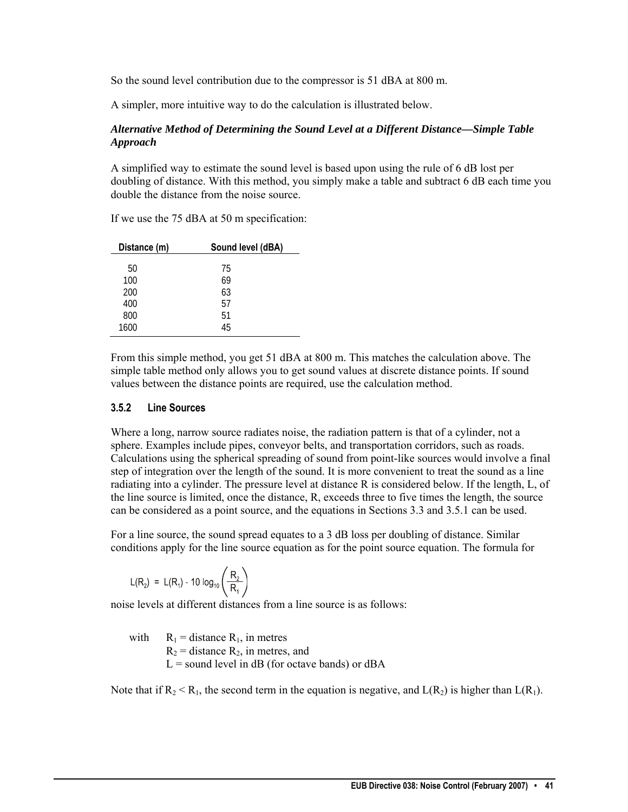So the sound level contribution due to the compressor is 51 dBA at 800 m.

A simpler, more intuitive way to do the calculation is illustrated below.

## *Alternative Method of Determining the Sound Level at a Different Distance—Simple Table Approach*

A simplified way to estimate the sound level is based upon using the rule of 6 dB lost per doubling of distance. With this method, you simply make a table and subtract 6 dB each time you double the distance from the noise source.

| Distance (m) | Sound level (dBA) |
|--------------|-------------------|
|              |                   |
| 50           | 75                |
| 100          | 69                |
| 200          | 63                |
| 400          | 57                |
| 800          | 51                |
| 1600         | 45                |

If we use the 75 dBA at 50 m specification:

From this simple method, you get 51 dBA at 800 m. This matches the calculation above. The simple table method only allows you to get sound values at discrete distance points. If sound values between the distance points are required, use the calculation method.

#### **3.5.2 Line Sources**

Where a long, narrow source radiates noise, the radiation pattern is that of a cylinder, not a sphere. Examples include pipes, conveyor belts, and transportation corridors, such as roads. Calculations using the spherical spreading of sound from point-like sources would involve a final step of integration over the length of the sound. It is more convenient to treat the sound as a line radiating into a cylinder. The pressure level at distance R is considered below. If the length, L, of the line source is limited, once the distance, R, exceeds three to five times the length, the source can be considered as a point source, and the equations in Sections 3.3 and 3.5.1 can be used.

For a line source, the sound spread equates to a 3 dB loss per doubling of distance. Similar conditions apply for the line source equation as for the point source equation. The formula for

$$
L(R_2) = L(R_1) - 10 \log_{10} \left( \frac{R_2}{R_1} \right)
$$

noise levels at different distances from a line source is as follows:

with  $R_1$  = distance  $R_1$ , in metres  $R_2$  = distance  $R_2$ , in metres, and  $L =$  sound level in dB (for octave bands) or dBA

Note that if  $R_2 < R_1$ , the second term in the equation is negative, and  $L(R_2)$  is higher than  $L(R_1)$ .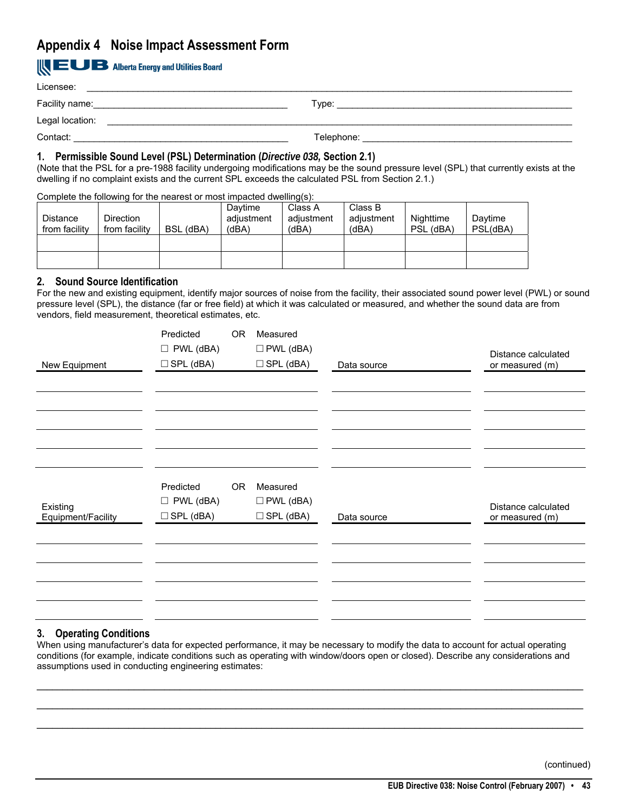# <span id="page-44-0"></span>**Appendix 4 Noise Impact Assessment Form**

# **IN EUB** Alberta Energy and Utilities Board

| Licensee:       |            |
|-----------------|------------|
| Facility name:  | Type:      |
| Legal location: |            |
| Contact:        | Telephone: |

#### **1. Permissible Sound Level (PSL) Determination (***Directive 038,* **Section 2.1)**

(Note that the PSL for a pre-1988 facility undergoing modifications may be the sound pressure level (SPL) that currently exists at the dwelling if no complaint exists and the current SPL exceeds the calculated PSL from Section 2.1.)

#### Complete the following for the nearest or most impacted dwelling(s):

| <b>Distance</b><br>from facility | <b>Direction</b><br>from facility | $\sim$ procedure the contract of the reduced of the stress integration with $\sim$<br>BSL (dBA) | Davtime<br>adjustment<br>(dBA) | Class A<br>adjustment<br>(dBA) | Class B<br>adjustment<br>(dBA) | Nighttime<br>PSL (dBA) | Daytime<br>PSL(dBA) |
|----------------------------------|-----------------------------------|-------------------------------------------------------------------------------------------------|--------------------------------|--------------------------------|--------------------------------|------------------------|---------------------|
|                                  |                                   |                                                                                                 |                                |                                |                                |                        |                     |
|                                  |                                   |                                                                                                 |                                |                                |                                |                        |                     |

#### **2. Sound Source Identification**

For the new and existing equipment, identify major sources of noise from the facility, their associated sound power level (PWL) or sound pressure level (SPL), the distance (far or free field) at which it was calculated or measured, and whether the sound data are from vendors, field measurement, theoretical estimates, etc.

|                    | Predicted        | OR <sub>1</sub> | Measured            |             |                     |
|--------------------|------------------|-----------------|---------------------|-------------|---------------------|
|                    | $\Box$ PWL (dBA) |                 | $\square$ PWL (dBA) |             | Distance calculated |
| New Equipment      | $\Box$ SPL (dBA) |                 | $\Box$ SPL (dBA)    | Data source | or measured (m)     |
|                    |                  |                 |                     |             |                     |
|                    |                  |                 |                     |             |                     |
|                    |                  |                 |                     |             |                     |
|                    |                  |                 |                     |             |                     |
|                    |                  |                 |                     |             |                     |
|                    |                  |                 |                     |             |                     |
|                    |                  |                 |                     |             |                     |
|                    |                  |                 |                     |             |                     |
|                    | Predicted        | 0R              | Measured            |             |                     |
| Existing           | $\Box$ PWL (dBA) |                 | $\square$ PWL (dBA) |             | Distance calculated |
| Equipment/Facility | $\Box$ SPL (dBA) |                 | $\Box$ SPL (dBA)    | Data source | or measured (m)     |
|                    |                  |                 |                     |             |                     |
|                    |                  |                 |                     |             |                     |
|                    |                  |                 |                     |             |                     |
|                    |                  |                 |                     |             |                     |
|                    |                  |                 |                     |             |                     |
|                    |                  |                 |                     |             |                     |
|                    |                  |                 |                     |             |                     |

#### **3. Operating Conditions**

When using manufacturer's data for expected performance, it may be necessary to modify the data to account for actual operating conditions (for example, indicate conditions such as operating with window/doors open or closed). Describe any considerations and assumptions used in conducting engineering estimates:

\_\_\_\_\_\_\_\_\_\_\_\_\_\_\_\_\_\_\_\_\_\_\_\_\_\_\_\_\_\_\_\_\_\_\_\_\_\_\_\_\_\_\_\_\_\_\_\_\_\_\_\_\_\_\_\_\_\_\_\_\_\_\_\_\_\_\_\_\_\_\_\_\_\_\_\_\_\_\_\_\_\_\_\_\_\_\_\_\_\_\_\_\_\_\_\_\_\_\_\_\_\_\_\_\_\_\_ \_\_\_\_\_\_\_\_\_\_\_\_\_\_\_\_\_\_\_\_\_\_\_\_\_\_\_\_\_\_\_\_\_\_\_\_\_\_\_\_\_\_\_\_\_\_\_\_\_\_\_\_\_\_\_\_\_\_\_\_\_\_\_\_\_\_\_\_\_\_\_\_\_\_\_\_\_\_\_\_\_\_\_\_\_\_\_\_\_\_\_\_\_\_\_\_\_\_\_\_\_\_\_\_\_\_\_ \_\_\_\_\_\_\_\_\_\_\_\_\_\_\_\_\_\_\_\_\_\_\_\_\_\_\_\_\_\_\_\_\_\_\_\_\_\_\_\_\_\_\_\_\_\_\_\_\_\_\_\_\_\_\_\_\_\_\_\_\_\_\_\_\_\_\_\_\_\_\_\_\_\_\_\_\_\_\_\_\_\_\_\_\_\_\_\_\_\_\_\_\_\_\_\_\_\_\_\_\_\_\_\_\_\_\_

(continued)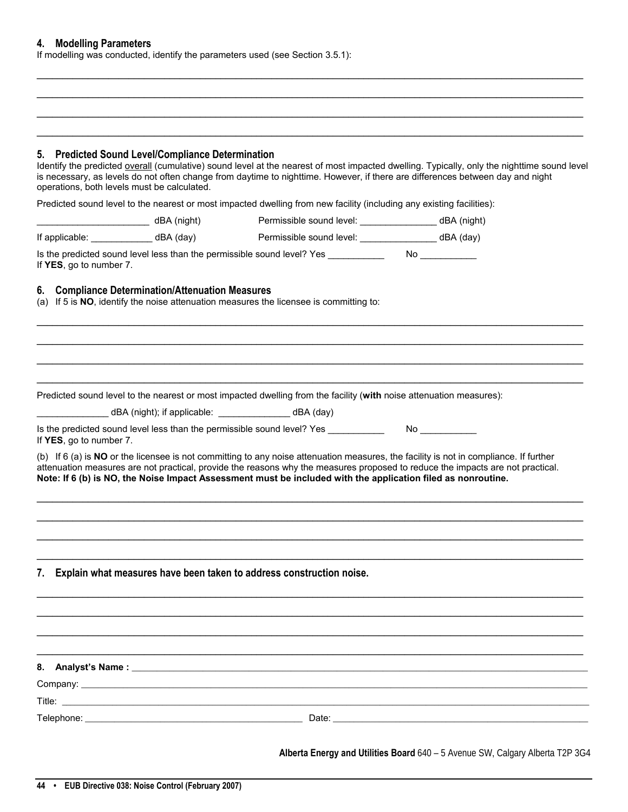#### **4. Modelling Parameters**

If modelling was conducted, identify the parameters used (see Section 3.5.1):

#### **5. Predicted Sound Level/Compliance Determination**

Identify the predicted overall (cumulative) sound level at the nearest of most impacted dwelling. Typically, only the nighttime sound level is necessary, as levels do not often change from daytime to nighttime. However, if there are differences between day and night operations, both levels must be calculated.

\_\_\_\_\_\_\_\_\_\_\_\_\_\_\_\_\_\_\_\_\_\_\_\_\_\_\_\_\_\_\_\_\_\_\_\_\_\_\_\_\_\_\_\_\_\_\_\_\_\_\_\_\_\_\_\_\_\_\_\_\_\_\_\_\_\_\_\_\_\_\_\_\_\_\_\_\_\_\_\_\_\_\_\_\_\_\_\_\_\_\_\_\_\_\_\_\_\_\_\_\_\_\_\_\_\_\_ \_\_\_\_\_\_\_\_\_\_\_\_\_\_\_\_\_\_\_\_\_\_\_\_\_\_\_\_\_\_\_\_\_\_\_\_\_\_\_\_\_\_\_\_\_\_\_\_\_\_\_\_\_\_\_\_\_\_\_\_\_\_\_\_\_\_\_\_\_\_\_\_\_\_\_\_\_\_\_\_\_\_\_\_\_\_\_\_\_\_\_\_\_\_\_\_\_\_\_\_\_\_\_\_\_\_\_ \_\_\_\_\_\_\_\_\_\_\_\_\_\_\_\_\_\_\_\_\_\_\_\_\_\_\_\_\_\_\_\_\_\_\_\_\_\_\_\_\_\_\_\_\_\_\_\_\_\_\_\_\_\_\_\_\_\_\_\_\_\_\_\_\_\_\_\_\_\_\_\_\_\_\_\_\_\_\_\_\_\_\_\_\_\_\_\_\_\_\_\_\_\_\_\_\_\_\_\_\_\_\_\_\_\_\_ \_\_\_\_\_\_\_\_\_\_\_\_\_\_\_\_\_\_\_\_\_\_\_\_\_\_\_\_\_\_\_\_\_\_\_\_\_\_\_\_\_\_\_\_\_\_\_\_\_\_\_\_\_\_\_\_\_\_\_\_\_\_\_\_\_\_\_\_\_\_\_\_\_\_\_\_\_\_\_\_\_\_\_\_\_\_\_\_\_\_\_\_\_\_\_\_\_\_\_\_\_\_\_\_\_\_\_

Predicted sound level to the nearest or most impacted dwelling from new facility (including any existing facilities):

|                         | dBA (night)           dBA (night)                |                                                                                                                     |                                                                                                                                                                                                                                                                         |
|-------------------------|--------------------------------------------------|---------------------------------------------------------------------------------------------------------------------|-------------------------------------------------------------------------------------------------------------------------------------------------------------------------------------------------------------------------------------------------------------------------|
|                         |                                                  | If applicable: ________________________dBA (day)       Permissible sound level: _________________________dBA (day)  |                                                                                                                                                                                                                                                                         |
|                         |                                                  |                                                                                                                     |                                                                                                                                                                                                                                                                         |
| If YES, go to number 7. |                                                  | Is the predicted sound level less than the permissible sound level? Yes ________                                    | No and the state of the state of the state of the state of the state of the state of the state of the state of                                                                                                                                                          |
|                         | 6. Compliance Determination/Attenuation Measures | (a) If 5 is NO, identify the noise attenuation measures the licensee is committing to:                              |                                                                                                                                                                                                                                                                         |
|                         |                                                  |                                                                                                                     |                                                                                                                                                                                                                                                                         |
|                         |                                                  |                                                                                                                     |                                                                                                                                                                                                                                                                         |
|                         |                                                  | Predicted sound level to the nearest or most impacted dwelling from the facility (with noise attenuation measures): |                                                                                                                                                                                                                                                                         |
|                         |                                                  | dBA (night); if applicable: _______________________ dBA (day)                                                       |                                                                                                                                                                                                                                                                         |
| If YES, go to number 7. |                                                  | Is the predicted sound level less than the permissible sound level? Yes                                             | No and the second second second second second second second second second second second second second second second second second second second second second second second second second second second second second second s                                          |
|                         |                                                  |                                                                                                                     | (b) If 6 (a) is NO or the licensee is not committing to any noise attenuation measures, the facility is not in compliance. If further<br>attenuation measures are not practical, provide the reasons why the measures proposed to reduce the impacts are not practical. |

**7. Explain what measures have been taken to address construction noise.** 

\_\_\_\_\_\_\_\_\_\_\_\_\_\_\_\_\_\_\_\_\_\_\_\_\_\_\_\_\_\_\_\_\_\_\_\_\_\_\_\_\_\_\_\_\_\_\_\_\_\_\_\_\_\_\_\_\_\_\_\_\_\_\_\_\_\_\_\_\_\_\_\_\_\_\_\_\_\_\_\_\_\_\_\_\_\_\_\_\_\_\_\_\_\_\_\_\_\_\_\_\_\_\_\_\_\_\_ **8. Analyst's Name : \_\_\_\_\_\_\_\_\_\_\_\_\_\_\_\_\_\_\_\_\_\_\_\_\_\_\_\_\_\_\_\_\_\_\_\_\_\_\_\_\_\_\_\_\_\_\_\_\_\_\_\_\_\_\_\_\_\_\_\_\_\_\_\_\_\_\_\_\_\_\_\_\_\_\_\_\_\_\_\_\_\_\_\_\_\_\_\_\_\_\_\_\_\_\_\_\_\_\_\_\_\_\_\_\_\_\_\_\_** Company: **\_\_\_\_\_\_\_\_\_\_\_\_\_\_\_\_\_\_\_\_\_\_\_\_\_\_\_\_\_\_\_\_\_\_\_\_\_\_\_\_\_\_\_\_\_\_\_\_\_\_\_\_\_\_\_\_\_\_\_\_\_\_\_\_\_\_\_\_\_\_\_\_\_\_\_\_\_\_\_\_\_\_\_\_\_\_\_\_\_\_\_\_\_\_\_\_\_\_\_\_\_\_\_\_\_\_\_\_\_\_\_\_\_\_\_\_\_\_\_\_\_** Title: **\_\_\_\_\_\_\_\_\_\_\_\_\_\_\_\_\_\_\_\_\_\_\_\_\_\_\_\_\_\_\_\_\_\_\_\_\_\_\_\_\_\_\_\_\_\_\_\_\_\_\_\_\_\_\_\_\_\_\_\_\_\_\_\_\_\_\_\_\_\_\_\_\_\_\_\_\_\_\_\_\_\_\_\_\_\_\_\_\_\_\_\_\_\_\_\_\_\_\_\_\_\_\_\_\_\_\_\_\_\_\_\_\_\_\_\_\_\_\_\_\_\_\_\_\_\_** Telephone: **\_\_\_\_\_\_\_\_\_\_\_\_\_\_\_\_\_\_\_\_\_\_\_\_\_\_\_\_\_\_\_\_\_\_\_\_\_\_\_\_\_\_\_\_\_\_\_\_\_\_\_\_** Date: **\_\_\_\_\_\_\_\_\_\_\_\_\_\_\_\_\_\_\_\_\_\_\_\_\_\_\_\_\_\_\_\_\_\_\_\_\_\_\_\_\_\_\_\_\_\_\_\_\_\_\_\_\_\_\_\_\_\_\_\_\_**

\_\_\_\_\_\_\_\_\_\_\_\_\_\_\_\_\_\_\_\_\_\_\_\_\_\_\_\_\_\_\_\_\_\_\_\_\_\_\_\_\_\_\_\_\_\_\_\_\_\_\_\_\_\_\_\_\_\_\_\_\_\_\_\_\_\_\_\_\_\_\_\_\_\_\_\_\_\_\_\_\_\_\_\_\_\_\_\_\_\_\_\_\_\_\_\_\_\_\_\_\_\_\_\_\_\_\_ \_\_\_\_\_\_\_\_\_\_\_\_\_\_\_\_\_\_\_\_\_\_\_\_\_\_\_\_\_\_\_\_\_\_\_\_\_\_\_\_\_\_\_\_\_\_\_\_\_\_\_\_\_\_\_\_\_\_\_\_\_\_\_\_\_\_\_\_\_\_\_\_\_\_\_\_\_\_\_\_\_\_\_\_\_\_\_\_\_\_\_\_\_\_\_\_\_\_\_\_\_\_\_\_\_\_\_

\_\_\_\_\_\_\_\_\_\_\_\_\_\_\_\_\_\_\_\_\_\_\_\_\_\_\_\_\_\_\_\_\_\_\_\_\_\_\_\_\_\_\_\_\_\_\_\_\_\_\_\_\_\_\_\_\_\_\_\_\_\_\_\_\_\_\_\_\_\_\_\_\_\_\_\_\_\_\_\_\_\_\_\_\_\_\_\_\_\_\_\_\_\_\_\_\_\_\_\_\_\_\_\_\_\_\_ \_\_\_\_\_\_\_\_\_\_\_\_\_\_\_\_\_\_\_\_\_\_\_\_\_\_\_\_\_\_\_\_\_\_\_\_\_\_\_\_\_\_\_\_\_\_\_\_\_\_\_\_\_\_\_\_\_\_\_\_\_\_\_\_\_\_\_\_\_\_\_\_\_\_\_\_\_\_\_\_\_\_\_\_\_\_\_\_\_\_\_\_\_\_\_\_\_\_\_\_\_\_\_\_\_\_\_ \_\_\_\_\_\_\_\_\_\_\_\_\_\_\_\_\_\_\_\_\_\_\_\_\_\_\_\_\_\_\_\_\_\_\_\_\_\_\_\_\_\_\_\_\_\_\_\_\_\_\_\_\_\_\_\_\_\_\_\_\_\_\_\_\_\_\_\_\_\_\_\_\_\_\_\_\_\_\_\_\_\_\_\_\_\_\_\_\_\_\_\_\_\_\_\_\_\_\_\_\_\_\_\_\_\_\_

**Alberta Energy and Utilities Board** 640 – 5 Avenue SW, Calgary Alberta T2P 3G4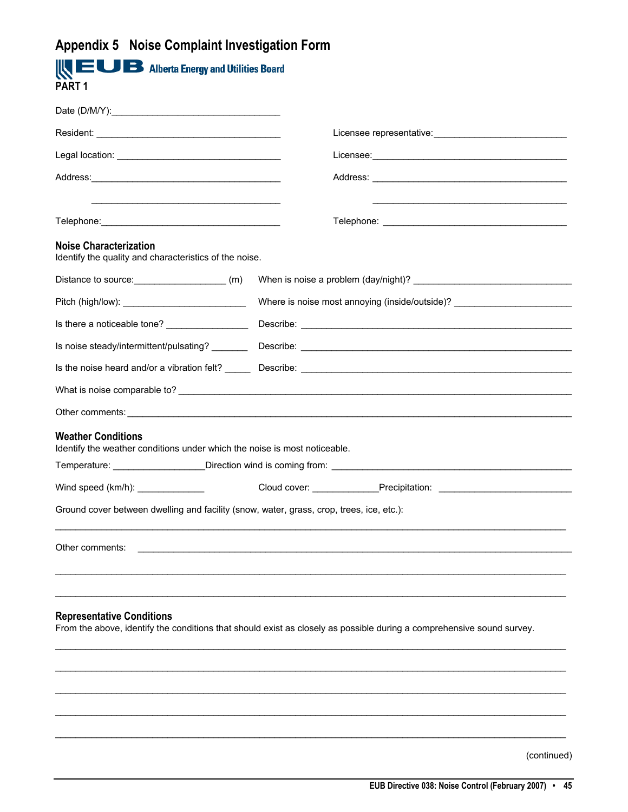# <span id="page-46-0"></span>**Appendix 5 Noise Complaint Investigation Form**

| <b>EUB</b> Alberta Energy and Utilities Board<br><b>PART1</b>                                          |                                                                                                                       |
|--------------------------------------------------------------------------------------------------------|-----------------------------------------------------------------------------------------------------------------------|
|                                                                                                        |                                                                                                                       |
|                                                                                                        |                                                                                                                       |
|                                                                                                        |                                                                                                                       |
|                                                                                                        |                                                                                                                       |
|                                                                                                        |                                                                                                                       |
| <b>Noise Characterization</b><br>Identify the quality and characteristics of the noise.                |                                                                                                                       |
| Distance to source: (m)                                                                                |                                                                                                                       |
|                                                                                                        | Where is noise most annoying (inside/outside)? _________________________________                                      |
|                                                                                                        |                                                                                                                       |
|                                                                                                        |                                                                                                                       |
|                                                                                                        |                                                                                                                       |
|                                                                                                        |                                                                                                                       |
|                                                                                                        |                                                                                                                       |
| <b>Weather Conditions</b><br>Identify the weather conditions under which the noise is most noticeable. |                                                                                                                       |
|                                                                                                        | Temperature: ___________________Direction wind is coming from: __________________                                     |
| Wind speed (km/h): ________________                                                                    |                                                                                                                       |
| Ground cover between dwelling and facility (snow, water, grass, crop, trees, ice, etc.):               |                                                                                                                       |
| Other comments:                                                                                        |                                                                                                                       |
| <b>Representative Conditions</b>                                                                       | From the above, identify the conditions that should exist as closely as possible during a comprehensive sound survey. |
|                                                                                                        |                                                                                                                       |
|                                                                                                        |                                                                                                                       |
|                                                                                                        |                                                                                                                       |
|                                                                                                        |                                                                                                                       |
|                                                                                                        |                                                                                                                       |

(continued)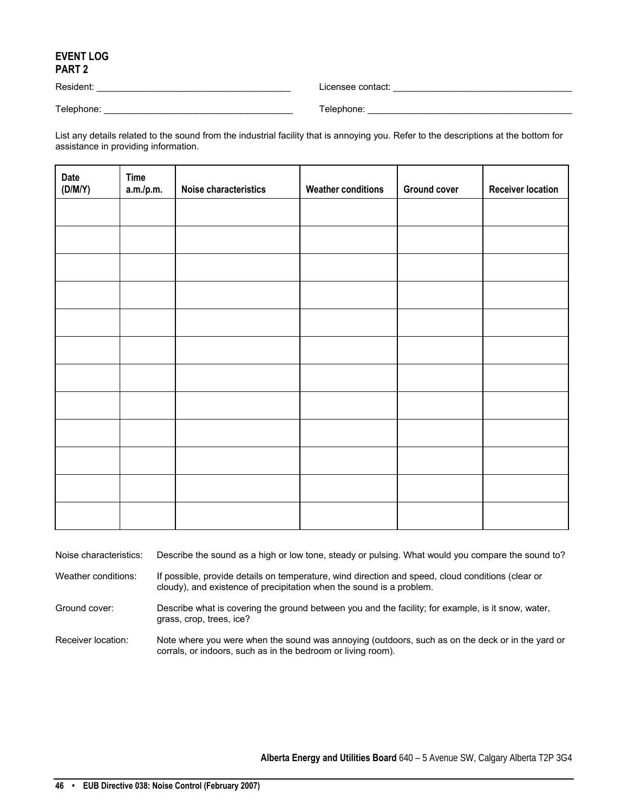## **EVENT LOG PART 2**

Resident: \_\_\_\_\_\_\_\_\_\_\_\_\_\_\_\_\_\_\_\_\_\_\_\_\_\_\_\_\_\_\_\_\_\_\_\_\_\_ Licensee contact: \_\_\_\_\_\_\_\_\_\_\_\_\_\_\_\_\_\_\_\_\_\_\_\_\_\_\_\_\_\_\_\_\_\_\_

Telephone: \_\_\_\_\_\_\_\_\_\_\_\_\_\_\_\_\_\_\_\_\_\_\_\_\_\_\_\_\_\_\_\_\_\_\_\_\_ Telephone: \_\_\_\_\_\_\_\_\_\_\_\_\_\_\_\_\_\_\_\_\_\_\_\_\_\_\_\_\_\_\_\_\_\_\_\_\_\_\_\_

List any details related to the sound from the industrial facility that is annoying you. Refer to the descriptions at the bottom for assistance in providing information.

| <b>Date</b><br>(D/M/Y) | <b>Time</b><br>a.m./p.m. | Noise characteristics | <b>Weather conditions</b> | <b>Ground cover</b> | <b>Receiver location</b> |
|------------------------|--------------------------|-----------------------|---------------------------|---------------------|--------------------------|
|                        |                          |                       |                           |                     |                          |
|                        |                          |                       |                           |                     |                          |
|                        |                          |                       |                           |                     |                          |
|                        |                          |                       |                           |                     |                          |
|                        |                          |                       |                           |                     |                          |
|                        |                          |                       |                           |                     |                          |
|                        |                          |                       |                           |                     |                          |
|                        |                          |                       |                           |                     |                          |
|                        |                          |                       |                           |                     |                          |
|                        |                          |                       |                           |                     |                          |
|                        |                          |                       |                           |                     |                          |
|                        |                          |                       |                           |                     |                          |

Noise characteristics: Describe the sound as a high or low tone, steady or pulsing. What would you compare the sound to?

Weather conditions: If possible, provide details on temperature, wind direction and speed, cloud conditions (clear or cloudy), and existence of precipitation when the sound is a problem.

Ground cover: Describe what is covering the ground between you and the facility; for example, is it snow, water, grass, crop, trees, ice?

Receiver location: Note where you were when the sound was annoying (outdoors, such as on the deck or in the yard or corrals, or indoors, such as in the bedroom or living room).

**Alberta Energy and Utilities Board** 640 – 5 Avenue SW, Calgary Alberta T2P 3G4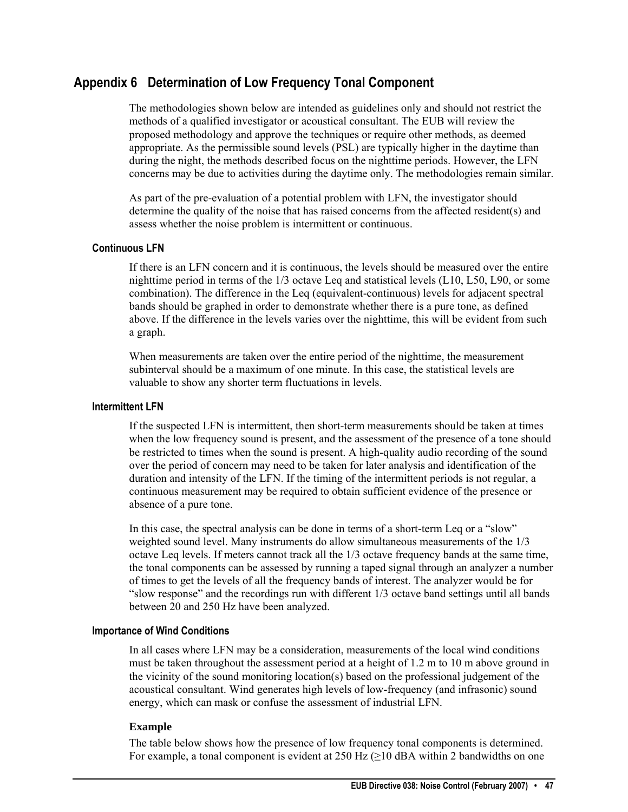# <span id="page-48-0"></span>**Appendix 6 Determination of Low Frequency Tonal Component**

The methodologies shown below are intended as guidelines only and should not restrict the methods of a qualified investigator or acoustical consultant. The EUB will review the proposed methodology and approve the techniques or require other methods, as deemed appropriate. As the permissible sound levels (PSL) are typically higher in the daytime than during the night, the methods described focus on the nighttime periods. However, the LFN concerns may be due to activities during the daytime only. The methodologies remain similar.

As part of the pre-evaluation of a potential problem with LFN, the investigator should determine the quality of the noise that has raised concerns from the affected resident(s) and assess whether the noise problem is intermittent or continuous.

#### **Continuous LFN**

If there is an LFN concern and it is continuous, the levels should be measured over the entire nighttime period in terms of the 1/3 octave Leq and statistical levels (L10, L50, L90, or some combination). The difference in the Leq (equivalent-continuous) levels for adjacent spectral bands should be graphed in order to demonstrate whether there is a pure tone, as defined above. If the difference in the levels varies over the nighttime, this will be evident from such a graph.

When measurements are taken over the entire period of the nighttime, the measurement subinterval should be a maximum of one minute. In this case, the statistical levels are valuable to show any shorter term fluctuations in levels.

#### **Intermittent LFN**

If the suspected LFN is intermittent, then short-term measurements should be taken at times when the low frequency sound is present, and the assessment of the presence of a tone should be restricted to times when the sound is present. A high-quality audio recording of the sound over the period of concern may need to be taken for later analysis and identification of the duration and intensity of the LFN. If the timing of the intermittent periods is not regular, a continuous measurement may be required to obtain sufficient evidence of the presence or absence of a pure tone.

In this case, the spectral analysis can be done in terms of a short-term Leq or a "slow" weighted sound level. Many instruments do allow simultaneous measurements of the 1/3 octave Leq levels. If meters cannot track all the 1/3 octave frequency bands at the same time, the tonal components can be assessed by running a taped signal through an analyzer a number of times to get the levels of all the frequency bands of interest. The analyzer would be for "slow response" and the recordings run with different 1/3 octave band settings until all bands between 20 and 250 Hz have been analyzed.

# **Importance of Wind Conditions**

In all cases where LFN may be a consideration, measurements of the local wind conditions must be taken throughout the assessment period at a height of 1.2 m to 10 m above ground in the vicinity of the sound monitoring location(s) based on the professional judgement of the acoustical consultant. Wind generates high levels of low-frequency (and infrasonic) sound energy, which can mask or confuse the assessment of industrial LFN.

# **Example**

The table below shows how the presence of low frequency tonal components is determined. For example, a tonal component is evident at  $250$  Hz ( $\geq$ 10 dBA within 2 bandwidths on one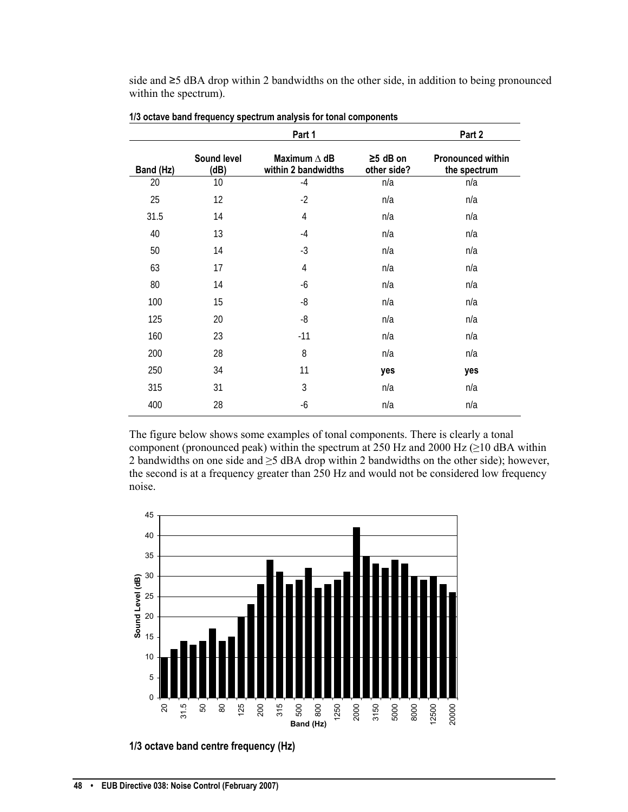side and ≥5 dBA drop within 2 bandwidths on the other side, in addition to being pronounced within the spectrum).

|           |                     | Part 1                                     |                               | Part 2                                   |
|-----------|---------------------|--------------------------------------------|-------------------------------|------------------------------------------|
| Band (Hz) | Sound level<br>(dB) | Maximum $\Delta$ dB<br>within 2 bandwidths | $\geq$ 5 dB on<br>other side? | <b>Pronounced within</b><br>the spectrum |
| 20        | 10                  | $-4$                                       | n/a                           | n/a                                      |
| 25        | 12                  | $-2$                                       | n/a                           | n/a                                      |
| 31.5      | 14                  | 4                                          | n/a                           | n/a                                      |
| 40        | 13                  | $-4$                                       | n/a                           | n/a                                      |
| 50        | 14                  | $-3$                                       | n/a                           | n/a                                      |
| 63        | 17                  | $\overline{4}$                             | n/a                           | n/a                                      |
| 80        | 14                  | -6                                         | n/a                           | n/a                                      |
| 100       | 15                  | -8                                         | n/a                           | n/a                                      |
| 125       | 20                  | $-8$                                       | n/a                           | n/a                                      |
| 160       | 23                  | $-11$                                      | n/a                           | n/a                                      |
| 200       | 28                  | 8                                          | n/a                           | n/a                                      |
| 250       | 34                  | 11                                         | yes                           | yes                                      |
| 315       | 31                  | 3                                          | n/a                           | n/a                                      |
| 400       | 28                  | -6                                         | n/a                           | n/a                                      |

The figure below shows some examples of tonal components. There is clearly a tonal component (pronounced peak) within the spectrum at 250 Hz and 2000 Hz  $(\geq 10$  dBA within 2 bandwidths on one side and ≥5 dBA drop within 2 bandwidths on the other side); however, the second is at a frequency greater than 250 Hz and would not be considered low frequency noise.



**1/3 octave band centre frequency (Hz)**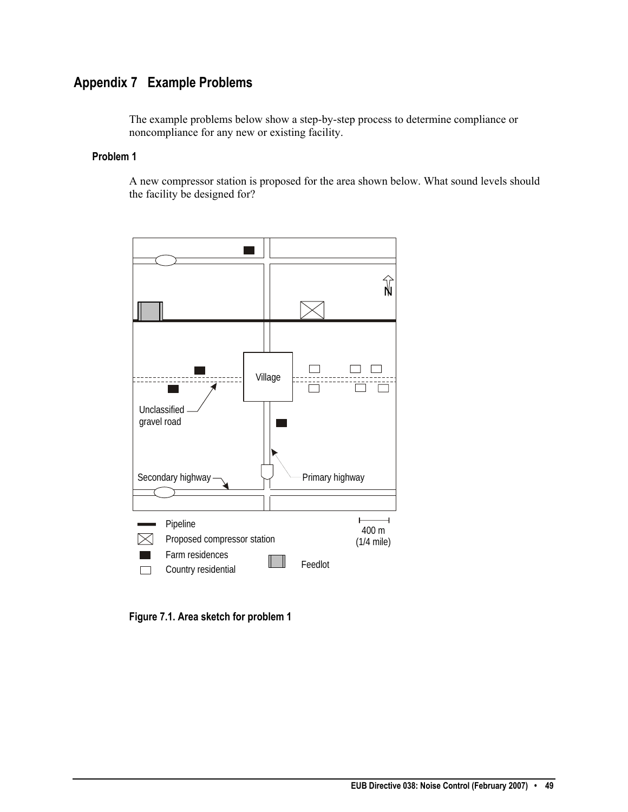# <span id="page-50-0"></span>**Appendix 7 Example Problems**

The example problems below show a step-by-step process to determine compliance or noncompliance for any new or existing facility.

## **Problem 1**

A new compressor station is proposed for the area shown below. What sound levels should the facility be designed for?



**Figure 7.1. Area sketch for problem 1**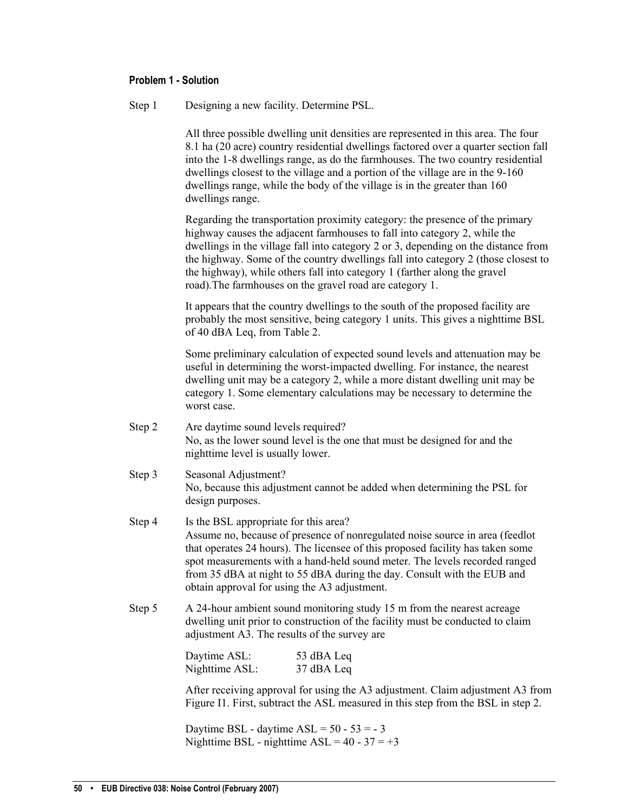#### **Problem 1 - Solution**

| Step 1 |  | Designing a new facility. Determine PSL. |
|--------|--|------------------------------------------|
|        |  |                                          |

All three possible dwelling unit densities are represented in this area. The four 8.1 ha (20 acre) country residential dwellings factored over a quarter section fall into the 1-8 dwellings range, as do the farmhouses. The two country residential dwellings closest to the village and a portion of the village are in the 9-160 dwellings range, while the body of the village is in the greater than 160 dwellings range.

Regarding the transportation proximity category: the presence of the primary highway causes the adjacent farmhouses to fall into category 2, while the dwellings in the village fall into category 2 or 3, depending on the distance from the highway. Some of the country dwellings fall into category 2 (those closest to the highway), while others fall into category 1 (farther along the gravel road).The farmhouses on the gravel road are category 1.

It appears that the country dwellings to the south of the proposed facility are probably the most sensitive, being category 1 units. This gives a nighttime BSL of 40 dBA Leq, from Table 2.

Some preliminary calculation of expected sound levels and attenuation may be useful in determining the worst-impacted dwelling. For instance, the nearest dwelling unit may be a category 2, while a more distant dwelling unit may be category 1. Some elementary calculations may be necessary to determine the worst case.

- Step 2 Are daytime sound levels required? No, as the lower sound level is the one that must be designed for and the nighttime level is usually lower.
- Step 3 Seasonal Adjustment? No, because this adjustment cannot be added when determining the PSL for design purposes.
- Step 4 Is the BSL appropriate for this area? Assume no, because of presence of nonregulated noise source in area (feedlot that operates 24 hours). The licensee of this proposed facility has taken some spot measurements with a hand-held sound meter. The levels recorded ranged from 35 dBA at night to 55 dBA during the day. Consult with the EUB and obtain approval for using the A3 adjustment.
- Step 5 A 24-hour ambient sound monitoring study 15 m from the nearest acreage dwelling unit prior to construction of the facility must be conducted to claim adjustment A3. The results of the survey are

| Daytime ASL:   | 53 dBA Leq |
|----------------|------------|
| Nighttime ASL: | 37 dBA Leq |

After receiving approval for using the A3 adjustment. Claim adjustment A3 from Figure I1. First, subtract the ASL measured in this step from the BSL in step 2.

Daytime BSL - daytime  $ASL = 50 - 53 = -3$ Nighttime BSL - nighttime  $ASL = 40 - 37 = +3$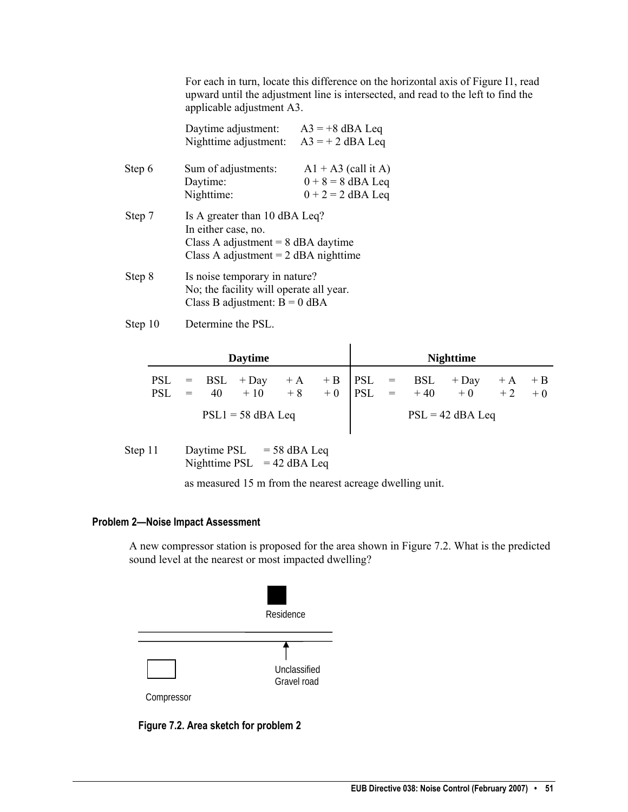For each in turn, locate this difference on the horizontal axis of Figure I1, read upward until the adjustment line is intersected, and read to the left to find the applicable adjustment A3.

|        | Daytime adjustment:<br>Nighttime adjustment:                                                                                           | $A3 = +8$ dBA Leq<br>$A3 = +2$ dBA Leq                              |  |  |  |
|--------|----------------------------------------------------------------------------------------------------------------------------------------|---------------------------------------------------------------------|--|--|--|
| Step 6 | Sum of adjustments:<br>Daytime:<br>Nighttime:                                                                                          | $A1 + A3$ (call it A)<br>$0 + 8 = 8$ dBA Leq<br>$0 + 2 = 2$ dBA Leq |  |  |  |
| Step 7 | Is A greater than 10 dBA Leq?<br>In either case, no.<br>Class A adjustment $= 8$ dBA daytime<br>Class A adjustment $= 2$ dBA nighttime |                                                                     |  |  |  |
| Step 8 | Is noise temporary in nature?<br>No; the facility will operate all year.<br>Class B adjustment: $B = 0$ dBA                            |                                                                     |  |  |  |

Step 10 Determine the PSL.

|                     |  | <b>Daytime</b> |  |  |  | <b>Nighttime</b>                                                                                        |  |
|---------------------|--|----------------|--|--|--|---------------------------------------------------------------------------------------------------------|--|
|                     |  |                |  |  |  | PSL = BSL + Day + A + B $ $ PSL = BSL + Day + A + B<br>PSL = 40 + 10 + 8 + 0 $ $ PSL = + 40 + 0 + 2 + 0 |  |
| $PSL1 = 58$ dBA Leq |  |                |  |  |  | $PSL = 42$ dBA Leq                                                                                      |  |

| Step 11 | Daytime PSL   | $= 58$ dBA Leq |
|---------|---------------|----------------|
|         | Nighttime PSL | $= 42$ dBA Leq |

as measured 15 m from the nearest acreage dwelling unit.

## **Problem 2—Noise Impact Assessment**

A new compressor station is proposed for the area shown in Figure 7.2. What is the predicted sound level at the nearest or most impacted dwelling?



**Figure 7.2. Area sketch for problem 2**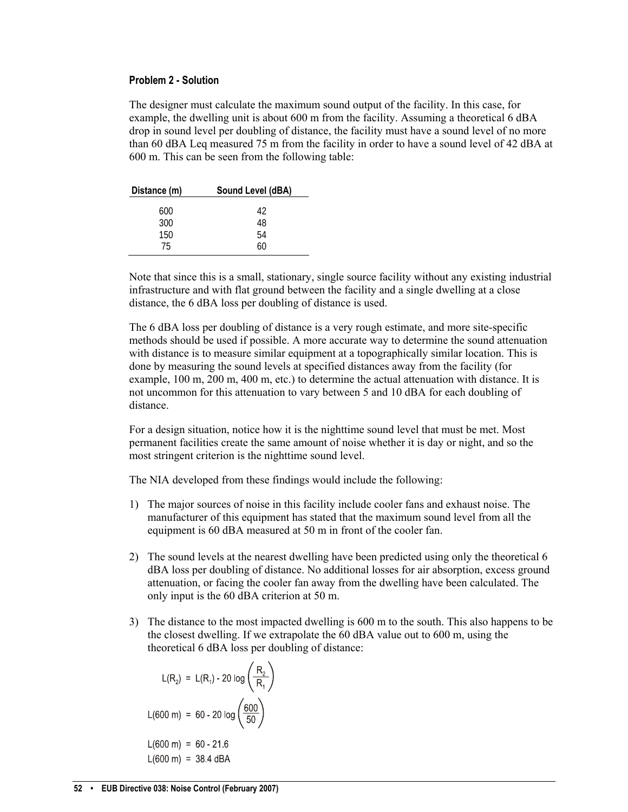#### **Problem 2 - Solution**

The designer must calculate the maximum sound output of the facility. In this case, for example, the dwelling unit is about 600 m from the facility. Assuming a theoretical 6 dBA drop in sound level per doubling of distance, the facility must have a sound level of no more than 60 dBA Leq measured 75 m from the facility in order to have a sound level of 42 dBA at 600 m. This can be seen from the following table:

| Sound Level (dBA) |
|-------------------|
|                   |
| 42                |
| 48                |
| 54                |
| 60                |
|                   |

Note that since this is a small, stationary, single source facility without any existing industrial infrastructure and with flat ground between the facility and a single dwelling at a close distance, the 6 dBA loss per doubling of distance is used.

The 6 dBA loss per doubling of distance is a very rough estimate, and more site-specific methods should be used if possible. A more accurate way to determine the sound attenuation with distance is to measure similar equipment at a topographically similar location. This is done by measuring the sound levels at specified distances away from the facility (for example, 100 m, 200 m, 400 m, etc.) to determine the actual attenuation with distance. It is not uncommon for this attenuation to vary between 5 and 10 dBA for each doubling of distance.

For a design situation, notice how it is the nighttime sound level that must be met. Most permanent facilities create the same amount of noise whether it is day or night, and so the most stringent criterion is the nighttime sound level.

The NIA developed from these findings would include the following:

- 1) The major sources of noise in this facility include cooler fans and exhaust noise. The manufacturer of this equipment has stated that the maximum sound level from all the equipment is 60 dBA measured at 50 m in front of the cooler fan.
- 2) The sound levels at the nearest dwelling have been predicted using only the theoretical 6 dBA loss per doubling of distance. No additional losses for air absorption, excess ground attenuation, or facing the cooler fan away from the dwelling have been calculated. The only input is the 60 dBA criterion at 50 m.
- 3) The distance to the most impacted dwelling is 600 m to the south. This also happens to be the closest dwelling. If we extrapolate the 60 dBA value out to 600 m, using the theoretical 6 dBA loss per doubling of distance:

$$
L(R_2) = L(R_1) - 20 \log \left(\frac{R_2}{R_1}\right)
$$
  

$$
L(600 \text{ m}) = 60 - 20 \log \left(\frac{600}{50}\right)
$$
  

$$
L(600 \text{ m}) = 60 - 21.6
$$
  

$$
L(600 \text{ m}) = 38.4 \text{ dBA}
$$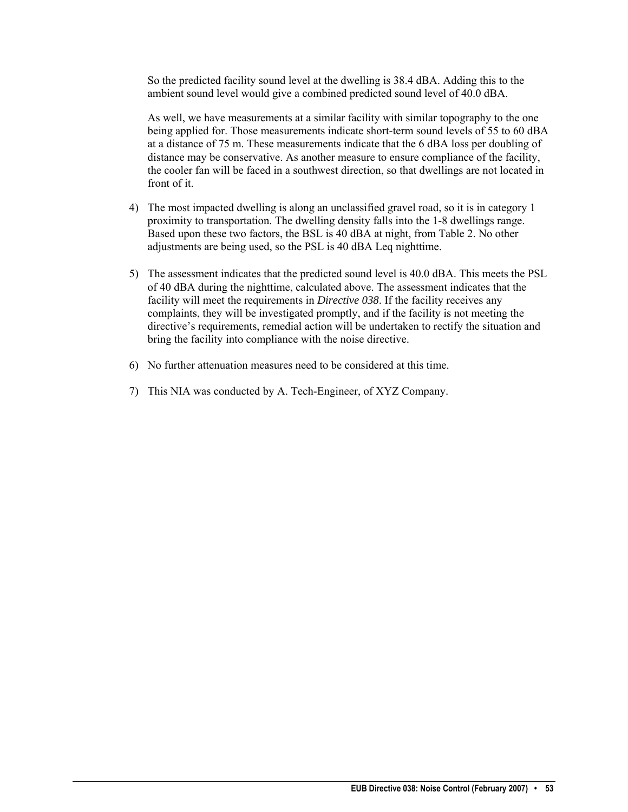So the predicted facility sound level at the dwelling is 38.4 dBA. Adding this to the ambient sound level would give a combined predicted sound level of 40.0 dBA.

As well, we have measurements at a similar facility with similar topography to the one being applied for. Those measurements indicate short-term sound levels of 55 to 60 dBA at a distance of 75 m. These measurements indicate that the 6 dBA loss per doubling of distance may be conservative. As another measure to ensure compliance of the facility, the cooler fan will be faced in a southwest direction, so that dwellings are not located in front of it.

- 4) The most impacted dwelling is along an unclassified gravel road, so it is in category 1 proximity to transportation. The dwelling density falls into the 1-8 dwellings range. Based upon these two factors, the BSL is 40 dBA at night, from Table 2. No other adjustments are being used, so the PSL is 40 dBA Leq nighttime.
- 5) The assessment indicates that the predicted sound level is 40.0 dBA. This meets the PSL of 40 dBA during the nighttime, calculated above. The assessment indicates that the facility will meet the requirements in *Directive 038*. If the facility receives any complaints, they will be investigated promptly, and if the facility is not meeting the directive's requirements, remedial action will be undertaken to rectify the situation and bring the facility into compliance with the noise directive.
- 6) No further attenuation measures need to be considered at this time.
- 7) This NIA was conducted by A. Tech-Engineer, of XYZ Company.